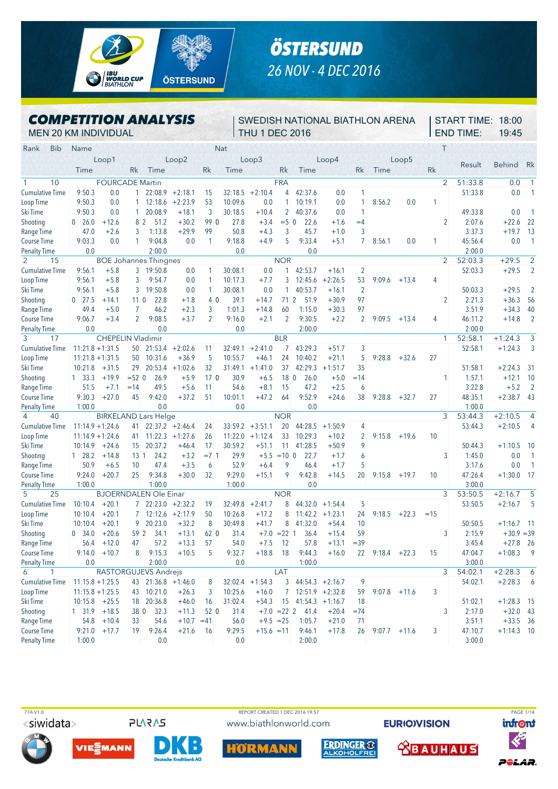

## *ÖSTERSUND 26 NOV - 4 DEC 2016*

## *COMPETITION ANALYSIS*

SWEDISH NATIONAL BIATHLON ARENA START TIME: 18:00 THU 1 DEC 2016

| <b>MEN 20 KM INDIVIDUAL</b>      |                |                          |                       |                              |                    |                 |              | <b>THU 1 DEC 2016</b> |                 |                      |                    |                |                 |         |                | <b>END TIME:</b> |                  | 19:45         |                 |
|----------------------------------|----------------|--------------------------|-----------------------|------------------------------|--------------------|-----------------|--------------|-----------------------|-----------------|----------------------|--------------------|----------------|-----------------|---------|----------------|------------------|------------------|---------------|-----------------|
| <b>Bib</b><br>Rank               | Name           |                          |                       |                              |                    |                 | <b>Nat</b>   |                       |                 |                      |                    |                |                 |         | $\top$         |                  |                  |               |                 |
|                                  |                | Loop1                    |                       |                              | Loop2              |                 |              | Loop3                 |                 |                      | Loop4              |                |                 | Loop5   |                |                  | Result           |               | Rk              |
|                                  | Time           |                          | <b>Rk</b>             | Time                         |                    | Rk              | Time         |                       | <b>Rk</b>       | Time                 |                    | Rk             | Time            |         | Rk             |                  |                  | <b>Behind</b> |                 |
| 10<br>$\mathbf{1}$               |                | <b>FOURCADE Martin</b>   |                       |                              |                    |                 |              |                       | <b>FRA</b>      |                      |                    |                |                 |         | $\overline{2}$ |                  | 51:33.8          | 0.0           | $\mathbf{1}$    |
| <b>Cumulative Time</b>           | 9:50.3         | 0.0                      | 1                     |                              | $22:08.9 + 2:18.1$ | 15              |              | $32:18.5 + 2:10.4$    |                 | 4 42:37.6            | 0.0                | 1              |                 |         |                |                  | 51:33.8          | 0.0           | 1               |
| Loop Time                        | 9:50.3         | 0.0                      | $1^{\circ}$           |                              | $12:18.6 + 2:23.9$ | 53              | 10:09.6      | 0.0                   | $\mathbf{1}$    | 10:19.1              | 0.0                | $\mathbf{1}$   | 8:56.2          | 0.0     | 1              |                  |                  |               |                 |
| Ski Time                         | 9:50.3         | 0.0                      | $\mathbf{1}$          | 20:08.9                      | $+18.1$            | 3               | 30:18.5      | $+10.4$               | $\overline{2}$  | 40:37.6              | 0.0                | $\mathbf{1}$   |                 |         |                |                  | 49:33.8          | 0.0           |                 |
| Shooting                         | 0 26.0         | $+12.6$                  |                       | 51.2<br>8 <sup>2</sup>       | $+30.2$            | 99 0            | 27.8         | $+3.4$                | $=5$ 0          | 22.6                 | $+1.6$             | $=4$           |                 |         | $\overline{2}$ |                  | 2:07.6           | $+22.6$       | 22              |
| Range Time                       | 47.0           | $+2.6$                   | 3                     | 1:13.8                       | $+29.9$            | 99              | 50.8         | $+4.3$                | 3               | 45.7                 | $+1.0$             | 3              |                 |         |                |                  | 3:37.3           | $+19.7$       | 13              |
| <b>Course Time</b>               | 9:03.3         | 0.0                      | $\mathbf{1}$          | 9:04.8                       | 0.0                | 1               | 9:18.8       | $+4.9$                | 5               | 9:33.4               | $+5.1$             | $\overline{7}$ | 8:56.1          | 0.0     | 1              |                  | 45:56.4          | 0.0           | $\mathbf{1}$    |
| <b>Penalty Time</b>              | 0.0            |                          |                       | 2:00.0                       |                    |                 | 0.0          |                       |                 | 0.0                  |                    |                |                 |         |                |                  | 2:00.0           |               |                 |
| 2<br>15                          |                |                          |                       | <b>BOE</b> Johannes Thingnes |                    |                 |              |                       | <b>NOR</b>      |                      |                    |                |                 |         | 2              |                  | 52:03.3          | $+29.5$       | $\overline{2}$  |
| <b>Cumulative Time</b>           | 9:56.1         | $+5.8$                   |                       | $3 \mid 19:50.8$             | 0.0                | 1               | 30:08.1      | 0.0                   |                 | $1 \quad 42:53.7$    | $+16.1$            | $\overline{2}$ |                 |         |                |                  | 52:03.3          | $+29.5$       | $\overline{2}$  |
| Loop Time                        | 9:56.1         | $+5.8$                   | 3                     | 9:54.7                       | 0.0                | 1               | 10:17.3      | $+7.7$                | 3               | 12:45.6              | $+2:26.5$          | 53             | 9:09.6          | $+13.4$ | 4              |                  |                  |               |                 |
| Ski Time                         | 9:56.1         | $+5.8$                   | 3                     | 19:50.8                      | 0.0                | 1               | 30:08.1      | 0.0                   | $\mathbf{1}$    | 40:53.7              | $+16.1$            | $\overline{2}$ |                 |         |                |                  | 50:03.3          | $+29.5$       | $\overline{2}$  |
| Shooting                         | $0$ 27.5       | $+14.1$                  | 11 <sub>0</sub>       | 22.8                         | $+1.8$             | 40              | 39.1         | $+14.7$               | 712             | 51.9                 | $+30.9$            | 97             |                 |         | $\overline{2}$ |                  | 2:21.3           | $+36.3$       | 56              |
| Range Time                       | 49.4           | $+5.0$                   | 7                     | 46.2                         | $+2.3$             | 3               | 1:01.3       | $+14.8$               | 60              | 1:15.0               | $+30.3$            | 97             |                 |         |                |                  | 3:51.9           | $+34.3$       | 40              |
| <b>Course Time</b>               | 9:06.7         | $+3.4$                   | $\overline{2}$        | 9:08.5                       | $+3.7$             | $\overline{2}$  | 9:16.0       | $+2.1$                | $\overline{2}$  | 9:30.5               | $+2.2$             | $\overline{2}$ | 9:09.5          | $+13.4$ | 4              |                  | 46:11.2          | $+14.8$       | $\overline{2}$  |
| <b>Penalty Time</b>              | 0.0            |                          |                       | 0.0                          |                    |                 | 0.0          |                       |                 | 2:00.0               |                    |                |                 |         |                |                  | 2:00.0           |               |                 |
| 3<br>17                          |                | <b>CHEPELIN Vladimir</b> |                       |                              |                    |                 |              |                       | <b>BLR</b>      |                      |                    |                |                 |         | $\mathbf 1$    | 52:58.1          |                  | $+1:24.3$     | 3               |
| Cumulative Time                  |                | $11:21.8 + 1:31.5$       |                       | $50$ 21:53.4 +2:02.6         |                    | 11              | 32:49.1      | $+2:41.0$             | $7^{\circ}$     | 43:29.3              | $+51.7$            | 3              |                 |         |                |                  | 52:58.1          | $+1:24.3$     | 3               |
| Loop Time                        |                | $11:21.8 + 1:31.5$       | 50                    | 10:31.6                      | $+36.9$            | 5               | 10:55.7      | $+46.1$               | 24              | 10:40.2              | $+21.1$            | 5              | 9:28.8          | $+32.6$ | 27             |                  |                  |               |                 |
| Ski Time                         | 10:21.8        | $+31.5$                  | 29                    |                              | $20:53.4 +1:02.6$  | 32              |              | $31:49.1 +1:41.0$     | 37              | 42:29.3              | $+1:51.7$          | 35             |                 |         |                |                  | 51:58.1          | $+2:24.3$     | -31             |
| Shooting                         | 1, 33.3        | $+19.9$                  | $= 52$ 0              | 26.9                         | $+5.9$             | 17 <sup>0</sup> | 30.9         | $+6.5$                | 18 <sup>0</sup> | 26.0                 | $+5.0$             | $=14$          |                 |         | -1             |                  | 1:57.1           | $+12.1$       | 10              |
| Range Time                       | 51.5           | $+7.1$                   | $=14$                 | 49.5                         | $+5.6$             | 11              | 54.6         | $+8.1$                | 15              | 47.2                 | $+2.5$             | 6              |                 |         |                |                  | 3:22.8           | $+5.2$        | $\overline{2}$  |
| <b>Course Time</b>               | 9:30.3         | $+27.0$                  | 45                    | 9:42.0                       | $+37.2$            | 51              | 10:01.1      | $+47.2$               | 64              | 9:52.9               | $+24.6$            | 38             | 9:28.8          | $+32.7$ | 27             |                  | 48:35.1          | $+2:38.7$     | - 43            |
| <b>Penalty Time</b>              | 1:00.0         |                          |                       | 0.0                          |                    |                 | 0.0          |                       |                 | 0.0                  |                    |                |                 |         |                |                  | 1:00.0           |               |                 |
| 4<br>40                          |                |                          |                       | <b>BIRKELAND Lars Helge</b>  |                    |                 |              |                       | <b>NOR</b>      |                      |                    |                |                 |         | 3              |                  | 53:44.3          | $+2:10.5$     | 4               |
| <b>Cumulative Time</b>           |                | $11:14.9 + 1:24.6$       | 41                    |                              | $22:37.2 +2:46.4$  | 24              | 33:59.2      | $+3:51.1$             | 20              | 44:28.5              | $+1:50.9$          | 4              |                 |         |                |                  | 53:44.3          | $+2:10.5$     | 4               |
| Loop Time                        |                | $11:14.9 + 1:24.6$       | 41                    |                              | $11:22.3 + 1:27.6$ | 26              | 11:22.0      | $+1:12.4$             | 33              | 10:29.3              | $+10.2$            | $\overline{2}$ | 9:15.8          | $+19.6$ | 10             |                  |                  |               |                 |
| Ski Time                         | 10:14.9        | $+24.6$                  | 15 <sup>2</sup>       | 20:37.2                      | $+46.4$            | 17              | 30:59.2      | $+51.1$               | 11              | 41:28.5              | $+50.9$            | 9              |                 |         |                |                  | 50:44.3          | $+1:10.5$     | -10             |
| Shooting                         | 128.2<br>50.9  | $+14.8$                  | 13 <sup>1</sup><br>10 | 24.2<br>47.4                 | $+3.2$<br>$+3.5$   | $= 71$<br>6     | 29.9<br>52.9 | $+5.5$<br>$+6.4$      | $=10$ 0<br>9    | 22.7<br>46.4         | $+1.7$<br>$+1.7$   | 6<br>5         |                 |         | 3              |                  | 1:45.0<br>3:17.6 | 0.0<br>0.0    | -1              |
| Range Time<br><b>Course Time</b> | 9:24.0         | $+6.5$<br>$+20.7$        | 25                    | 9:34.8                       | $+30.0$            | 32              | 9:29.0       | $+15.1$               | 9               | 9:42.8               | $+14.5$            | 20             | 9:15.8          | $+19.7$ | 10             |                  | 47:26.4          | $+1:30.0$     | - 17            |
| <b>Penalty Time</b>              | 1:00.0         |                          |                       | 1:00.0                       |                    |                 | 1:00.0       |                       |                 | 0.0                  |                    |                |                 |         |                |                  | 3:00.0           |               |                 |
| 5<br>25                          |                |                          |                       | <b>BJOERNDALEN Ole Einar</b> |                    |                 |              |                       | <b>NOR</b>      |                      |                    |                |                 |         | 3              |                  | 53:50.5          | $+2:16.7$     | 5               |
| <b>Cumulative Time</b>           | 10:10.4        | $+20.1$                  | 7 <sup>1</sup>        |                              | $22:23.0 +2:32.2$  | 19              | 32:49.8      | $+2:41.7$             | 8               | 44:32.0              | $+1:54.4$          | 5              |                 |         |                |                  | 53:50.5          | $+2:16.7$     | 5               |
| Loop Time                        | 10:10.4        | $+20.1$                  | $7^{\circ}$           |                              | $12:12.6 + 2:17.9$ | 50              | 10:26.8      | $+17.2$               | 8               |                      | $11:42.2 + 1:23.1$ | 24             | 9:18.5          | $+22.3$ | $=15$          |                  |                  |               |                 |
| Ski Time                         | 10:10.4        | $+20.1$                  | 9                     | 20:23.0                      | $+32.2$            | 8               | 30:49.8      | $+41.7$               | 8               | 41:32.0              | $+54.4$            | 10             |                 |         |                |                  | 50:50.5          | $+1:16.7$ 11  |                 |
| Shooting                         | 0, 34.0        | $+20.6$                  | 59 2                  | 34.1                         | $+13.1$            | 62 0            | 31.4         | $+7.0$                | $= 22 \, 1$     | 36.4                 | $+15.4$            | 59             |                 |         | 3              |                  | 2:15.9           | $+30.9 = 39$  |                 |
| Range Time                       | 56.4           | $+12.0$                  | 47                    | 57.2                         | $+13.3$            | 57              | 54.0         | $+7.5$                | 12              | 57.8                 | $+13.1$            | $=39$          |                 |         |                |                  | 3:45.4           | $+27.8$ 26    |                 |
| Course Time                      |                | $9:14.0 + 10.7$          | 8                     | 9:15.3                       | $+10.5$            | 5               | 9:32.7       | $+18.8$               | - 18            | 9:44.3               | $+16.0$            | 22             | $9:18.4$ +22.3  |         | 15             |                  | 47:04.7          | $+1:08.3$     | 9               |
| <b>Penalty Time</b>              | 0.0            |                          |                       | 2:00.0                       |                    |                 | 0.0          |                       |                 | 1:00.0               |                    |                |                 |         |                |                  | 3:00.0           |               |                 |
| 6<br>1                           |                |                          |                       | RASTORGUJEVS Andrejs         |                    |                 |              |                       | LAT             |                      |                    |                |                 |         | 3              |                  | 54:02.1          | $+2:28.3$     | 6               |
| Cumulative Time                  |                | $11:15.8 + 1:25.5$       |                       | 43 21:36.8 +1:46.0           |                    | 8               | 32:02.4      | $+1:54.3$             | 3               |                      | $44:54.3 +2:16.7$  | 9              |                 |         |                |                  | 54:02.1          | $+2:28.3$     | $6\overline{6}$ |
| Loop Time                        |                | $11:15.8 + 1:25.5$       |                       | 43 10:21.0                   | $+26.3$            | 3               | 10:25.6      | $+16.0$               |                 | $7$ 12:51.9 +2:32.8  |                    | 59             | $9:07.8$ +11.6  |         | 3              |                  |                  |               |                 |
| Ski Time                         |                | $10:15.8$ +25.5          |                       | 18 20:36.8                   | $+46.0$            | 16              | 31:02.4      | $+54.3$               |                 | $15$ 41:54.3 +1:16.7 |                    | 18             |                 |         |                |                  | 51:02.1          | $+1:28.3$ 15  |                 |
| Shooting                         | $1 \quad 31.9$ | $+18.5$                  | 38 0                  | 32.3                         | $+11.3$            | $52$ 0          | 31.4         | $+7.0 = 22$ 2         |                 | 41.4                 | $+20.4$            | $=74$          |                 |         | 3              |                  | 2:17.0           | $+32.0$ 43    |                 |
| Range Time                       |                | $54.8$ +10.4             | 33                    | 54.6                         | $+10.7 = 41$       |                 | 56.0         | $+9.5 = 25$           |                 | 1:05.7               | $+21.0$            | 71             |                 |         |                |                  | 3:51.1           | $+33.5$ 36    |                 |
| Course Time                      |                | $9:21.0 +17.7$           | 19                    | 9:26.4                       | $+21.6$            | - 16            | 9:29.5       | $+15.6 = 11$          |                 | 9:46.1               | $+17.8$            |                | 26 9:07.7 +11.6 |         | 3              |                  | 47:10.7          | $+1:14.3$ 10  |                 |



**PLARAS** 

**VIEMANN** 





**EURIO)VISION** 







Penalty Time 1:00.0 0.0 0.0 2:00.0 3:00.0



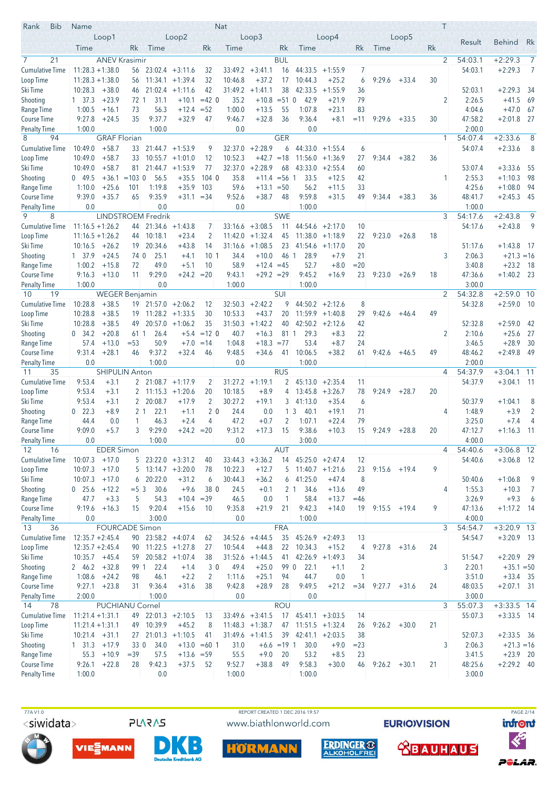| <b>Bib</b><br>Rank                        | Name               |                        |                   |                                  |                             |                   | <b>Nat</b>      |                      |                      |                         |                             |              |        |                 |    | Τ              |                    |                              |                |
|-------------------------------------------|--------------------|------------------------|-------------------|----------------------------------|-----------------------------|-------------------|-----------------|----------------------|----------------------|-------------------------|-----------------------------|--------------|--------|-----------------|----|----------------|--------------------|------------------------------|----------------|
|                                           |                    | Loop1                  |                   |                                  | Loop2                       |                   |                 | Loop3                |                      |                         | Loop4                       |              |        | Loop5           |    |                | Result             | <b>Behind</b>                | Rk             |
|                                           | Time               |                        | Rk                | Time                             |                             | Rk                | Time            |                      | Rk                   | Time                    |                             | Rk           | Time   |                 | Rk |                |                    |                              |                |
| 21<br>$\overline{7}$                      |                    | <b>ANEV Krasimir</b>   |                   |                                  |                             |                   |                 |                      | <b>BUL</b>           |                         |                             |              |        |                 |    | $\overline{2}$ | 54:03.1            | $+2:29.3$                    | $\overline{7}$ |
| <b>Cumulative Time</b>                    | $11:28.3 + 1:38.0$ |                        | 56                |                                  | $23:02.4 + 3:11.6$          | 32                | 33:49.2         | $+3:41.1$            | 16                   | 44:33.5                 | $+1:55.9$                   | 7            |        |                 |    |                | 54:03.1            | $+2:29.3$                    | 7              |
| Loop Time                                 | $11:28.3 + 1:38.0$ |                        | 56                |                                  | $11:34.1 + 1:39.4$          | 32                | 10:46.8         | $+37.2$              | 17                   | 10:44.3                 | $+25.2$                     | 6            | 9:29.6 | $+33.4$         | 30 |                |                    |                              |                |
| Ski Time                                  | 10:28.3            | $+38.0$                | 46                | 21:02.4                          | $+1:11.6$                   | 42                | 31:49.2         | $+1:41.1$            | 38                   | 42:33.5                 | $+1:55.9$                   | 36           |        |                 |    |                | 52:03.1            | $+2:29.3$                    | 34             |
| Shooting                                  | $1 \quad 37.3$     | $+23.9$<br>$+16.1$     | 72 1<br>73        | 31.1<br>56.3                     | $+10.1$<br>$+12.4$          | $=42$ 0<br>$= 52$ | 35.2<br>1:00.0  | $+10.8$<br>$+13.5$   | $= 510$<br>55        | 42.9<br>1:07.8          | $+21.9$<br>$+23.1$          | 79<br>83     |        |                 |    | 2              | 2:26.5<br>4:04.6   | $+41.5$<br>$+47.0$           | 69<br>67       |
| Range Time<br><b>Course Time</b>          | 1:00.5<br>9:27.8   | $+24.5$                | 35                | 9:37.7                           | $+32.9$                     | 47                | 9:46.7          | $+32.8$              | 36                   | 9:36.4                  | $+8.1$                      | $=11$        | 9:29.6 | $+33.5$         | 30 |                | 47:58.2            | $+2:01.8$                    | -27            |
| <b>Penalty Time</b>                       | 1:00.0             |                        |                   | 1:00.0                           |                             |                   | 0.0             |                      |                      | 0.0                     |                             |              |        |                 |    |                | 2:00.0             |                              |                |
| 8<br>94                                   |                    | <b>GRAF Florian</b>    |                   |                                  |                             |                   |                 |                      | <b>GER</b>           |                         |                             |              |        |                 |    | 1              | 54:07.4            | $+2:33.6$                    | 8              |
| <b>Cumulative Time</b>                    | 10:49.0            | $+58.7$                | 33                |                                  | $21:44.7 +1:53.9$           | 9                 | 32:37.0         | $+2:28.9$            | 6                    | 44:33.0                 | $+1:55.4$                   | 6            |        |                 |    |                | 54:07.4            | $+2:33.6$                    | 8              |
| Loop Time                                 | 10:49.0            | $+58.7$                | 33                | 10:55.7                          | $+1:01.0$                   | 12                | 10:52.3         | $+42.7 = 18$         |                      | 11:56.0                 | $+1:36.9$                   | 27           | 9:34.4 | $+38.2$         | 36 |                |                    |                              |                |
| Ski Time                                  | 10:49.0            | $+58.7$                | 81                |                                  | $21:44.7 + 1:53.9$          | 77                | 32:37.0         | $+2:28.9$            | 68                   | 43:33.0                 | $+2:55.4$                   | 60           |        |                 |    |                | 53:07.4            | $+3:33.6$                    | -55            |
| Shooting                                  | 049.5              | $+36.1 = 103$ 0        |                   | 56.5                             | $+35.5$                     | 1040              | 35.8            | $+11.4 = 56$ 1       |                      | 33.5                    | $+12.5$                     | 42           |        |                 |    | 1              | 2:55.3             | $+1:10.3$                    | 98             |
| Range Time                                | 1:10.0             | $+25.6$                | 101               | 1:19.8                           | $+35.9$                     | 103               | 59.6            | $+13.1$              | $=50$                | 56.2                    | $+11.5$                     | 33           |        |                 |    |                | 4:25.6             | $+1:08.0$                    | 94             |
| <b>Course Time</b>                        | 9:39.0             | $+35.7$                | 65                | 9:35.9                           | $+31.1$                     | $= 34$            | 9:52.6          | $+38.7$              | 48                   | 9:59.8                  | $+31.5$                     | 49           | 9:34.4 | $+38.3$         | 36 |                | 48:41.7            | $+2:45.3$                    | - 45           |
| <b>Penalty Time</b><br>9<br>8             | 0.0                |                        |                   | 0.0<br><b>LINDSTROEM Fredrik</b> |                             |                   | 0.0             |                      | <b>SWE</b>           | 1:00.0                  |                             |              |        |                 |    | 3              | 1:00.0<br>54:17.6  | $+2:43.8$                    | 9              |
| Cumulative Time                           | $11:16.5 + 1:26.2$ |                        | 44                |                                  | $21:34.6 +1:43.8$           | 7                 | 33:16.6         | $+3:08.5$            | 11                   | 44:54.6                 | $+2:17.0$                   | 10           |        |                 |    |                | 54:17.6            | $+2:43.8$                    | 9              |
| Loop Time                                 | $11:16.5 + 1:26.2$ |                        | 44                | 10:18.1                          | $+23.4$                     | $\overline{2}$    | 11:42.0         | $+1:32.4$            | 45                   | 11:38.0                 | $+1:18.9$                   | 22           | 9:23.0 | $+26.8$         | 18 |                |                    |                              |                |
| Ski Time                                  | 10:16.5            | $+26.2$                | 19                | 20:34.6                          | $+43.8$                     | 14                | 31:16.6         | $+1:08.5$            | 23                   | 41:54.6                 | $+1:17.0$                   | 20           |        |                 |    |                | 51:17.6            | $+1:43.8$                    | - 17           |
| Shooting                                  | 1, 37.9            | $+24.5$                | 74 0              | 25.1                             | $+4.1$                      | 10 <sup>1</sup>   | 34.4            | $+10.0$              | 46 1                 | 28.9                    | $+7.9$                      | 21           |        |                 |    | 3              | 2:06.3             | $+21.3 = 16$                 |                |
| Range Time                                | 1:00.2             | $+15.8$                | 72                | 49.0                             | $+5.1$                      | 10                | 58.9            | $+12.4 = 45$         |                      | 52.7                    | $+8.0$                      | $= 20$       |        |                 |    |                | 3:40.8             | $+23.2$                      | 18             |
| <b>Course Time</b>                        | 9:16.3             | $+13.0$                | 11                | 9:29.0                           | $+24.2 = 20$                |                   | 9:43.1          | $+29.2 = 29$         |                      | 9:45.2                  | $+16.9$                     | 23           | 9:23.0 | $+26.9$         | 18 |                | 47:36.6            | $+1:40.2$ 23                 |                |
| <b>Penalty Time</b>                       | 1:00.0             |                        |                   | 0.0                              |                             |                   | 1:00.0          |                      |                      | 1:00.0                  |                             |              |        |                 |    |                | 3:00.0             |                              |                |
| 19<br>10                                  |                    | <b>WEGER Benjamin</b>  |                   |                                  |                             |                   |                 |                      | SUI                  |                         |                             |              |        |                 |    | $\overline{2}$ | 54:32.8            | $+2:59.0$                    | 10             |
| <b>Cumulative Time</b>                    | 10:28.8            | $+38.5$                |                   | $19$ 21:57.0 +2:06.2             |                             | 12                | 32:50.3         | $+2:42.2$            | 9                    | 44:50.2                 | $+2:12.6$                   | 8            |        |                 |    |                | 54:32.8            | $+2:59.0$ 10                 |                |
| Loop Time                                 | 10:28.8            | $+38.5$<br>$+38.5$     | 19                |                                  | $11:28.2 +1:33.5$           | 30                | 10:53.3         | $+43.7$              | 20                   |                         | $11:59.9 + 1:40.8$          | 29           | 9:42.6 | $+46.4$         | 49 |                |                    |                              |                |
| Ski Time<br>Shooting                      | 10:28.8<br>0, 34.2 | $+20.8$                | 49<br>61 1        | 26.4                             | $20:57.0 +1:06.2$<br>$+5.4$ | 35<br>$=12$ 0     | 31:50.3<br>40.7 | $+1:42.2$<br>$+16.3$ | 40<br>811            | 29.3                    | $42:50.2 +2:12.6$<br>$+8.3$ | 42<br>22     |        |                 |    | 2              | 52:32.8<br>2:10.6  | $+2:59.0$<br>$+25.6$         | 42<br>27       |
| Range Time                                | 57.4               | $+13.0$                | $= 53$            | 50.9                             | $+7.0$                      | $=14$             | 1:04.8          | $+18.3 = 77$         |                      | 53.4                    | $+8.7$                      | 24           |        |                 |    |                | 3:46.5             | $+28.9$                      | 30             |
| <b>Course Time</b>                        | 9:31.4             | $+28.1$                | 46                | 9:37.2                           | $+32.4$                     | 46                | 9:48.5          | $+34.6$              | 41                   | 10:06.5                 | $+38.2$                     | 61           | 9:42.6 | $+46.5$         | 49 |                | 48:46.2            | $+2:49.8$                    | 49             |
| <b>Penalty Time</b>                       | 0.0                |                        |                   | 1:00.0                           |                             |                   | 0.0             |                      |                      | 1:00.0                  |                             |              |        |                 |    |                | 2:00.0             |                              |                |
| 35<br>11                                  |                    | <b>SHIPULIN Anton</b>  |                   |                                  |                             |                   |                 |                      | <b>RUS</b>           |                         |                             |              |        |                 |    | 4              | 54:37.9            | $+3:04.1$                    | 11             |
| <b>Cumulative Time</b>                    | 9:53.4             | $+3.1$                 |                   | $2 \mid 21:08.7 +1:17.9$         |                             | $\overline{2}$    |                 | $31:27.2 +1:19.1$    | $\overline{2}$       | 45:13.0                 | $+2:35.4$                   | 11           |        |                 |    |                | 54:37.9            | $+3:04.1$ 11                 |                |
| Loop Time                                 | 9:53.4             | $+3.1$                 | $\overline{2}$    |                                  | $11:15.3 + 1:20.6$          | 20                | 10:18.5         | $+8.9$               | 4                    | 13:45.8                 | $+3:26.7$                   | 78           | 9:24.9 | $+28.7$         | 20 |                |                    |                              |                |
| Ski Time                                  | 9:53.4             | $+3.1$                 | $\overline{2}$    | 20:08.7                          | $+17.9$                     | $\overline{2}$    | 30:27.2         | $+19.1$              | 3                    | 41:13.0                 | $+35.4$                     | 6            |        |                 |    |                | 50:37.9            | $+1:04.1$                    | 8              |
| Shooting                                  | $0$ 22.3           | $+8.9$                 | 2 <sub>1</sub>    | 22.1                             | $+1.1$                      | 2 <sub>0</sub>    | 24.4            | 0.0                  |                      | $1\overline{3}$<br>40.1 | $+19.1$                     | 71           |        |                 |    | 4              | 1:48.9             | $+3.9$                       | $\overline{2}$ |
| Range Time                                | 44.4<br>9:09.0     | 0.0<br>$+5.7$          | $\mathbf{1}$<br>3 | 46.3<br>9:29.0                   | $+2.4$<br>$+24.2 = 20$      | 4                 | 47.2<br>9:31.2  | $+0.7$<br>$+17.3$    | $\overline{2}$<br>15 | 1:07.1<br>9:38.6        | $+22.4$<br>$+10.3$          | 79<br>15     |        | $+28.8$         | 20 |                | 3:25.0<br>47:12.7  | $+7.4$                       | 4<br>$-11$     |
| <b>Course Time</b><br><b>Penalty Time</b> | $0.0\,$            |                        |                   | 1:00.0                           |                             |                   | $0.0\,$         |                      |                      | 3:00.0                  |                             |              | 9:24.9 |                 |    |                | 4:00.0             | $+1:16.3$                    |                |
| 12<br>16                                  |                    | <b>EDER Simon</b>      |                   |                                  |                             |                   |                 |                      | AUT                  |                         |                             |              |        |                 |    | $\overline{4}$ | 54:40.6            | $+3:06.8$ 12                 |                |
| <b>Cumulative Time</b>                    | 10:07.3            | $+17.0$                |                   | $5$ 23:22.0 +3:31.2              |                             | 40                | 33:44.3         | $+3:36.2$            | 14                   | $45:25.0 +2:47.4$       |                             | 12           |        |                 |    |                | 54:40.6            | $+3:06.8$ 12                 |                |
| Loop Time                                 | 10:07.3            | $+17.0$                | 5 <sup>5</sup>    |                                  | $13:14.7 + 3:20.0$          | 78                | 10:22.3         | $+12.7$              |                      | $5$ 11:40.7 +1:21.6     |                             | 23           | 9:15.6 | $+19.4$         | 9  |                |                    |                              |                |
| Ski Time                                  | 10:07.3            | $+17.0$                | 6                 | 20:22.0                          | $+31.2$                     | 6                 | 30:44.3         | $+36.2$              |                      | $6$ 41:25.0             | $+47.4$                     | 8            |        |                 |    |                | 50:40.6            | $+1:06.8$                    | 9              |
| Shooting                                  | $0$ 25.6           | $+12.2$                | $= 5 \, 3$        | 30.6                             | $+9.6$                      | 38 0              | 24.5            | $+0.1$               |                      | 34.6<br>2 <sub>1</sub>  | $+13.6$                     | 49           |        |                 |    | 4              | 1:55.3             | $+10.3$                      | $\overline{7}$ |
| Range Time                                | 47.7               | $+3.3$                 | 5                 | 54.3                             | $+10.4$                     | $=39$             | 46.5            | 0.0                  | 1                    | 58.4                    | $+13.7$                     | $=46$        |        |                 |    |                | 3:26.9             | $+9.3$                       | 6              |
| Course Time                               | 9:19.6             | $+16.3$                | 15                | 9:20.4                           | $+15.6$                     | 10                | 9:35.8          | $+21.9$              | 21                   | 9:42.3                  | $+14.0$                     | 19           | 9:15.5 | $+19.4$         | 9  |                | 47:13.6            | $+1:17.2$ 14                 |                |
| <b>Penalty Time</b>                       | 0.0                |                        |                   | 3:00.0                           |                             |                   | 0.0             |                      |                      | 1:00.0                  |                             |              |        |                 |    |                | 4:00.0             |                              |                |
| 13<br>36<br>Cumulative Time               | $12:35.7 + 2:45.4$ | <b>FOURCADE Simon</b>  |                   | 90 23:58.2 +4:07.4               |                             |                   | 34:52.6         | $+4:44.5$            | <b>FRA</b><br>35     |                         | $45:26.9 +2:49.3$           | 13           |        |                 |    | 3              | 54:54.7<br>54:54.7 | $+3:20.9$ 13<br>$+3:20.9$ 13 |                |
| Loop Time                                 | $12:35.7 + 2:45.4$ |                        | 90                | $11:22.5 + 1:27.8$               |                             | 62<br>27          | 10:54.4         | $+44.8$              | 22                   | 10:34.3                 | $+15.2$                     | 4            | 9:27.8 | $+31.6$         | 24 |                |                    |                              |                |
| Ski Time                                  | $10:35.7 +45.4$    |                        | 59                |                                  | $20:58.2 + 1:07.4$          | 38                | 31:52.6         | $+1:44.5$            | 41                   | 42:26.9                 | $+1:49.3$                   | 34           |        |                 |    |                | 51:54.7            | $+2:20.9$ 29                 |                |
| Shooting                                  | 2 46.2             | $+32.8$                | 99 1              | 22.4                             | $+1.4$                      | 3 0               | 49.4            | $+25.0$              | 99 0                 | 22.1                    | $+1.1$                      | 2            |        |                 |    | 3              | 2:20.1             | $+35.1 = 50$                 |                |
| Range Time                                | 1:08.6             | $+24.2$                | 98                | 46.1                             | $+2.2$                      | $\overline{2}$    | 1:11.6          | $+25.1$              | 94                   | 44.7                    | 0.0                         | 1            |        |                 |    |                | 3:51.0             | $+33.4$ 35                   |                |
| Course Time                               | 9:27.1             | $+23.8$                | 31                | 9:36.4                           | $+31.6$                     | 38                | 9:42.8          | $+28.9$              | 28                   | 9:49.5                  | $+21.2$                     | $= 34$       | 9:27.7 | $+31.6$         | 24 |                | 48:03.5            | $+2:07.1$ 31                 |                |
| <b>Penalty Time</b>                       | 2:00.0             |                        |                   | 1:00.0                           |                             |                   | 0.0             |                      |                      | 0.0                     |                             |              |        |                 |    |                | 3:00.0             |                              |                |
| 14<br>78                                  |                    | <b>PUCHIANU Cornel</b> |                   |                                  |                             |                   |                 |                      | <b>ROU</b>           |                         |                             |              |        |                 |    | 3              | 55:07.3            | $+3:33.5$ 14                 |                |
| <b>Cumulative Time</b>                    | $11:21.4 + 1:31.1$ |                        |                   | 49 22:01.3 +2:10.5               |                             | 13                |                 | $33:49.6 + 3:41.5$   | 17                   |                         | $45:41.1 + 3:03.5$          | 14           |        |                 |    |                | 55:07.3            | $+3:33.5$ 14                 |                |
| Loop Time                                 | $11:21.4 + 1:31.1$ |                        | 49                | 10:39.9                          | $+45.2$                     | 8                 |                 | $11:48.3 +1:38.7$    | 47                   |                         | $11:51.5 + 1:32.4$          | 26           |        | $9:26.2 + 30.0$ | 21 |                |                    |                              |                |
| Ski Time                                  | $10:21.4$ $+31.1$  |                        |                   | $27$ 21:01.3 +1:10.5             |                             | 41                |                 | $31:49.6 +1:41.5$    |                      | $39$ 42:41.1 +2:03.5    |                             | 38           |        |                 |    |                | 52:07.3            | $+2:33.5$ 36                 |                |
| Shooting<br>Range Time                    | 1 31.3<br>55.3     | $+17.9$<br>$+10.9$     | 330<br>$=39$      | 34.0<br>57.5                     | $+13.6 = 59$                | $+13.0 = 601$     | 31.0<br>55.5    | $+9.0$               | $+6.6 = 191$<br>20   | 30.0<br>53.2            | $+9.0$<br>$+8.5$            | $= 23$<br>23 |        |                 |    | 3              | 2:06.3<br>3:41.5   | $+21.3 = 16$<br>$+23.9$ 20   |                |
| Course Time                               | 9:26.1             | $+22.8$                | 28                | 9:42.3                           | $+37.5$                     | 52                | 9:52.7          | $+38.8$              | 49                   | 9:58.3                  | $+30.0$                     | 46           | 9:26.2 | $+30.1$         | 21 |                | 48:25.6            | $+2:29.2$ 40                 |                |
| <b>Penalty Time</b>                       | 1:00.0             |                        |                   | 0.0                              |                             |                   | 1:00.0          |                      |                      | 1:00.0                  |                             |              |        |                 |    |                | 3:00.0             |                              |                |
|                                           |                    |                        |                   |                                  |                             |                   |                 |                      |                      |                         |                             |              |        |                 |    |                |                    |                              |                |

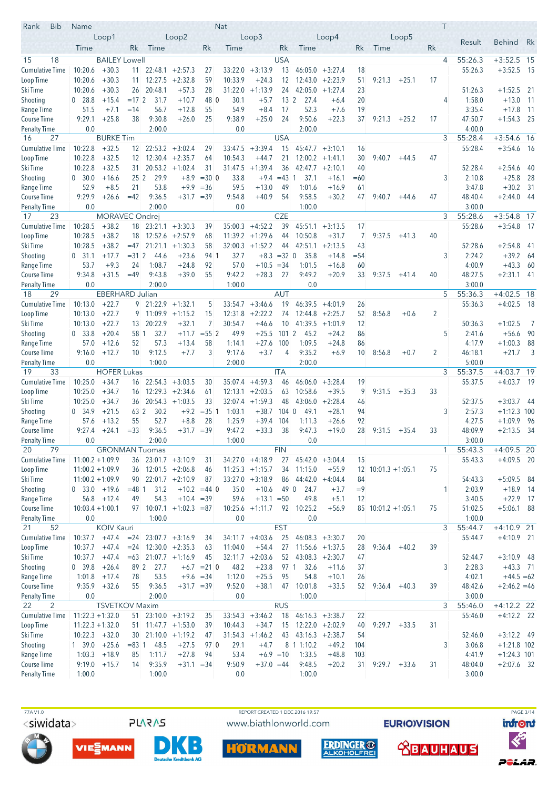| Rank<br><b>Bib</b>               | Name                  |                        |                  |                      |                                          |                | Nat                |                      |                       |                           |                                         |           |                            |                 |    | Τ |                   |                               |                          |
|----------------------------------|-----------------------|------------------------|------------------|----------------------|------------------------------------------|----------------|--------------------|----------------------|-----------------------|---------------------------|-----------------------------------------|-----------|----------------------------|-----------------|----|---|-------------------|-------------------------------|--------------------------|
|                                  |                       | Loop1                  |                  |                      | Loop2                                    |                |                    | Loop3                |                       |                           | Loop4                                   |           |                            | Loop5           |    |   | Result            | <b>Behind</b>                 | Rk                       |
|                                  | Time                  |                        | Rk.              | Time                 |                                          | Rk             | Time               |                      | Rk                    | Time                      |                                         | Rk        | Time                       |                 | Rk |   |                   |                               |                          |
| 15<br>18                         |                       | <b>BAILEY Lowell</b>   |                  |                      |                                          |                |                    |                      | <b>USA</b>            |                           |                                         |           |                            |                 |    | 4 | 55:26.3           | $+3:52.5$ 15                  |                          |
| <b>Cumulative Time</b>           | 10:20.6               | $+30.3$                | 11               | 22:48.1              | $+2:57.3$                                | 27             | 33:22.0            | $+3:13.9$            | 13                    | 46:05.0                   | $+3:27.4$                               | 18        |                            |                 |    |   | 55:26.3           | $+3:52.5$                     | - 15                     |
| Loop Time                        | 10:20.6               | $+30.3$                | 11               | 12:27.5              | $+2:32.8$                                | 59             | 10:33.9            | $+24.3$              | 12                    | 12:43.0                   | $+2:23.9$                               | 51        | 9:21.3                     | $+25.1$         | 17 |   |                   |                               |                          |
| Ski Time                         | 10:20.6               | $+30.3$                | 26               | 20:48.1              | $+57.3$                                  | 28             | 31:22.0            | $+1:13.9$            | 24                    | 42:05.0                   | $+1:27.4$                               | 23        |                            |                 |    |   | 51:26.3           | $+1:52.5$ 21                  |                          |
| Shooting<br>Range Time           | $0$ 28.8<br>51.5      | $+15.4$<br>$+7.1$      | $=172$<br>$=14$  | 31.7<br>56.7         | $+10.7$<br>$+12.8$                       | 48 0<br>55     | 30.1<br>54.9       | $+5.7$<br>$+8.4$     | 13 <sup>2</sup><br>17 | 27.4<br>52.3              | $+6.4$<br>$+7.6$                        | 20<br>19  |                            |                 |    | 4 | 1:58.0<br>3:35.4  | $+13.0$<br>$+17.8$            | $\overline{11}$<br>$-11$ |
| Course Time                      | 9:29.1                | $+25.8$                | 38               | 9:30.8               | $+26.0$                                  | 25             | 9:38.9             | $+25.0$              | 24                    | 9:50.6                    | $+22.3$                                 | 37        | 9:21.3                     | $+25.2$         | 17 |   | 47:50.7           | $+1:54.3$                     | 25                       |
| <b>Penalty Time</b>              | 0.0                   |                        |                  | 2:00.0               |                                          |                | 0.0                |                      |                       | 2:00.0                    |                                         |           |                            |                 |    |   | 4:00.0            |                               |                          |
| 27<br>16                         |                       | <b>BURKE Tim</b>       |                  |                      |                                          |                |                    |                      | <b>USA</b>            |                           |                                         |           |                            |                 |    | 3 | 55:28.4           | $+3:54.6$ 16                  |                          |
| <b>Cumulative Time</b>           | 10:22.8               | $+32.5$                | 12               |                      | $22:53.2 + 3:02.4$                       | 29             | 33:47.5            | $+3:39.4$            | 15                    | 45:47.7                   | $+3:10.1$                               | 16        |                            |                 |    |   | 55:28.4           | $+3:54.6$ 16                  |                          |
| Loop Time                        | 10:22.8               | $+32.5$                | 12 <sup>2</sup>  |                      | $12:30.4$ +2:35.7                        | 64             | 10:54.3            | $+44.7$              | 21                    | 12:00.2                   | $+1:41.1$                               | 30        | 9:40.7                     | $+44.5$         | 47 |   |                   |                               |                          |
| Ski Time                         | 10:22.8               | $+32.5$                | 31.              |                      | $20:53.2 +1:02.4$                        | 31             | 31:47.5            | $+1:39.4$            | 36                    |                           | $42:47.7 + 2:10.1$                      | 40        |                            |                 |    |   | 52:28.4           | $+2:54.6$                     | 40                       |
| Shooting                         | 0, 30.0               | $+16.6$                | $25\,2$          | 29.9                 | $+8.9$                                   | $= 300$        | 33.8               | $+9.4$               | $=43$                 | 37.1<br>-1                | $+16.1$                                 | $=60$     |                            |                 |    | 3 | 2:10.8            | $+25.8$                       | 28                       |
| Range Time                       | 52.9                  | $+8.5$                 | 21               | 53.8                 | $+9.9$                                   | $= 36$         | 59.5               | $+13.0$              | 49                    | 1:01.6                    | $+16.9$                                 | 61        |                            |                 |    |   | 3:47.8            | $+30.2$                       | -31                      |
| Course Time                      | 9:29.9                | $+26.6$                | $=42$            | 9:36.5               | $+31.7 = 39$                             |                | 9:54.8             | $+40.9$              | 54                    | 9:58.5                    | $+30.2$                                 | 47        | 9:40.7                     | $+44.6$         | 47 |   | 48:40.4           | $+2:44.0$                     | - 44                     |
| <b>Penalty Time</b><br>23<br>17  | 0.0                   | MORAVEC Ondrej         |                  | 2:00.0               |                                          |                | 0.0                |                      | <b>CZE</b>            | 1:00.0                    |                                         |           |                            |                 |    | 3 | 3:00.0<br>55:28.6 | $+3:54.8$ 17                  |                          |
| <b>Cumulative Time</b>           | 10:28.5               | $+38.2$                | 18               |                      | $23:21.1 + 3:30.3$                       | 39             | 35:00.3            | $+4:52.2$            | 39                    | 45:51.1                   | $+3:13.5$                               | 17        |                            |                 |    |   | 55:28.6           | $+3:54.8$ 17                  |                          |
| Loop Time                        | 10:28.5               | $+38.2$                | 18               |                      | $12:52.6 + 2:57.9$                       | 68             | 11:39.2            | $+1:29.6$            | 44                    | 10:50.8                   | $+31.7$                                 | 7         | 9:37.5                     | $+41.3$         | 40 |   |                   |                               |                          |
| Ski Time                         | 10:28.5               | $+38.2$                | $=47$            | 21:21.1              | $+1:30.3$                                | 58             | 32:00.3            | $+1:52.2$            | 44                    | 42:51.1                   | $+2:13.5$                               | 43        |                            |                 |    |   | 52:28.6           | $+2:54.8$                     | -41                      |
| Shooting                         | $0$ 31.1              | $+17.7$                | $= 31.2$         | 44.6                 | $+23.6$                                  | 94 1           | 32.7               | $+8.3$               | $=32$ 0               | 35.8                      | $+14.8$                                 | $= 54$    |                            |                 |    | 3 | 2:24.2            | $+39.2$                       | - 64                     |
| Range Time                       | 53.7                  | $+9.3$                 | 24               | 1:08.7               | $+24.8$                                  | 92             | 57.0               | $+10.5 = 34$         |                       | 1:01.5                    | $+16.8$                                 | 60        |                            |                 |    |   | 4:00.9            | $+43.3$                       | - 60                     |
| <b>Course Time</b>               | 9:34.8                | $+31.5$                | $=49$            | 9:43.8               | $+39.0$                                  | 55             | 9:42.2             | $+28.3$              | 27                    | 9:49.2                    | $+20.9$                                 | 33        | 9:37.5                     | $+41.4$         | 40 |   | 48:27.5           | $+2:31.1$ 41                  |                          |
| <b>Penalty Time</b>              | 0.0                   |                        |                  | 2:00.0               |                                          |                | 1:00.0             |                      |                       | 0.0                       |                                         |           |                            |                 |    |   | 3:00.0            |                               |                          |
| 29<br>18                         |                       | <b>EBERHARD Julian</b> |                  |                      |                                          |                |                    |                      | <b>AUT</b>            |                           |                                         |           |                            |                 |    | 5 | 55:36.3           | $+4:02.5$ 18                  |                          |
| <b>Cumulative Time</b>           | 10:13.0               | $+22.7$                |                  | $9$ 21:22.9 +1:32.1  |                                          | 5              | 33:54.7            | $+3:46.6$            | 19                    | 46:39.5                   | $+4:01.9$                               | 26        |                            |                 |    |   | 55:36.3           | $+4:02.5$ 18                  |                          |
| Loop Time                        | 10:13.0               | $+22.7$                | 9                |                      | $11:09.9 + 1:15.2$                       | 15             | 12:31.8            | $+2:22.2$            | 74                    |                           | $12:44.8$ +2:25.7                       | 52        | 8:56.8                     | $+0.6$          | 2  |   |                   |                               |                          |
| Ski Time                         | 10:13.0               | $+22.7$                | 13 <sup>°</sup>  | 20:22.9              | $+32.1$                                  | 7<br>$= 552$   | 30:54.7            | $+46.6$              | 10 <sup>°</sup>       |                           | $41:39.5 +1:01.9$                       | 12        |                            |                 |    | 5 | 50:36.3           | $+1:02.5$                     | - 7                      |
| Shooting<br>Range Time           | $0\quad 33.8$<br>57.0 | $+20.4$<br>$+12.6$     | 58 1<br>52       | 32.7<br>57.3         | $+11.7$<br>$+13.4$                       | 58             | 49.9<br>1:14.1     | $+25.5$<br>$+27.6$   | 1012<br>100           | 45.2<br>1:09.5            | $+24.2$<br>$+24.8$                      | 86<br>86  |                            |                 |    |   | 2:41.6<br>4:17.9  | $+56.6$<br>$+1:00.3$          | - 90<br>88               |
| <b>Course Time</b>               | 9:16.0                | $+12.7$                | 10               | 9:12.5               | $+7.7$                                   | 3              | 9:17.6             | $+3.7$               | 4                     | 9:35.2                    | $+6.9$                                  | 10        | 8:56.8                     | $+0.7$          | 2  |   | 46:18.1           | $+21.7$                       | 3                        |
| <b>Penalty Time</b>              | 0.0                   |                        |                  | 1:00.0               |                                          |                | 2:00.0             |                      |                       | 2:00.0                    |                                         |           |                            |                 |    |   | 5:00.0            |                               |                          |
| 19<br>33                         |                       | <b>HOFER Lukas</b>     |                  |                      |                                          |                |                    |                      | <b>ITA</b>            |                           |                                         |           |                            |                 |    | 3 | 55:37.5           | $+4:03.7$                     | 19                       |
| Cumulative Time                  | 10:25.0               | $+34.7$                | 16               |                      | $22:54.3 +3:03.5$                        | 30             | 35:07.4            | $+4:59.3$            | 46                    | 46:06.0                   | $+3:28.4$                               | 19        |                            |                 |    |   | 55:37.5           | $+4:03.7$ 19                  |                          |
| Loop Time                        | 10:25.0               | $+34.7$                | 16               |                      | $12:29.3 + 2:34.6$                       | 61             | 12:13.1            | $+2:03.5$            | 63                    | 10:58.6                   | $+39.5$                                 | 9         | 9:31.5                     | $+35.3$         | 33 |   |                   |                               |                          |
| Ski Time                         | 10:25.0               | $+34.7$                | 36               |                      | $20:54.3 +1:03.5$                        | 33             | 32:07.4            | $+1:59.3$            | 48                    | 43:06.0                   | $+2:28.4$                               | 46        |                            |                 |    |   | 52:37.5           | $+3:03.7$                     | - 44                     |
| Shooting                         | 0, 34.9               | $+21.5$                | 63 2             | 30.2                 | $+9.2$                                   | $=35$ 1        | 1:03.1             | $+38.7$              | $104 \ 0$             | 49.1                      | $+28.1$                                 | 94        |                            |                 |    | 3 | 2:57.3            | $+1:12.3$ 100                 |                          |
| Range Time                       | 57.6                  | $+13.2$                | 55               | 52.7                 | $+8.8$                                   | 28             | 1:25.9             | $+39.4$              | 104                   | 1:11.3                    | $+26.6$                                 | 92        |                            |                 |    |   | 4:27.5            | $+1:09.9$                     | - 96                     |
| Course Time                      | 9:27.4<br>0.0         | $+24.1$                | $= 33$           | 9:36.5<br>2:00.0     | $+31.7 = 39$                             |                | 9:47.2<br>1:00.0   | $+33.3$              | 38                    | 9:47.3                    | $+19.0$                                 | 28        | 9:31.5                     | $+35.4$         | 33 |   | 48:09.9           | $+2:13.5$                     | - 34                     |
| <b>Penalty Time</b><br>20<br>79  |                       | <b>GRONMAN Tuomas</b>  |                  |                      |                                          |                |                    |                      | <b>FIN</b>            | 0.0                       |                                         |           |                            |                 |    | 1 | 3:00.0<br>55:43.3 | $+4:09.5$ 20                  |                          |
| <b>Cumulative Time</b>           | $11:00.2 + 1:09.9$    |                        |                  | $36$ 23:01.7 +3:10.9 |                                          | 31             |                    | $34:27.0 +4:18.9$    | 27                    | $45:42.0 +3:04.4$         |                                         | 15        |                            |                 |    |   | 55:43.3           | $+4:09.5$ 20                  |                          |
| Loop Time                        | $11:00.2 + 1:09.9$    |                        |                  |                      | $36$ 12:01.5 +2:06.8                     | 46             |                    | $11:25.3 +1:15.7$    | 34                    | 11:15.0                   | $+55.9$                                 |           | $12 \mid 10:01.3 + 1:05.1$ |                 | 75 |   |                   |                               |                          |
| Ski Time                         | $11:00.2 + 1:09.9$    |                        | 90               |                      | $22:01.7 +2:10.9$                        | 87             |                    | $33:27.0 +3:18.9$    |                       | $86$ 44:42.0 +4:04.4      |                                         | 84        |                            |                 |    |   | 54:43.3           | $+5:09.5$ 84                  |                          |
| Shooting                         | $0$ 33.0 $+19.6$      |                        | $= 48$ 1         | 31.2                 |                                          | $+10.2 = 44$ 0 | 35.0               | $+10.6$              | 49 0                  | 24.7                      | $+3.7$                                  | $=9$      |                            |                 |    | 1 | 2:03.9            | $+18.9$ 14                    |                          |
| Range Time                       |                       | $56.8$ +12.4           | 49               | 54.3                 | $+10.4 = 39$                             |                | 59.6               | $+13.1 = 50$         |                       | 49.8                      | $+5.1$                                  | 12        |                            |                 |    |   | 3:40.5            | $+22.9$ 17                    |                          |
| Course Time                      | $10:03.4 + 1:00.1$    |                        |                  |                      | $97 \mid 10:07.1 +1:02.3 = 87$           |                |                    | $10:25.6$ +1:11.7    | 92                    | 10:25.2                   | $+56.9$                                 |           | 85 10:01.2 +1:05.1         |                 | 75 |   | 51:02.5           | $+5:06.1$ 88                  |                          |
| <b>Penalty Time</b>              | 0.0                   |                        |                  | 1:00.0               |                                          |                | 0.0                |                      |                       | 0.0                       |                                         |           |                            |                 |    |   | 1:00.0            |                               |                          |
| 21<br>52                         |                       | <b>KOIV Kauri</b>      |                  |                      |                                          |                |                    |                      | <b>EST</b>            |                           |                                         |           |                            |                 |    | 3 | 55:44.7           | $+4:10.9$ 21                  |                          |
| Cumulative Time                  | 10:37.7<br>10:37.7    | $+47.4$<br>$+47.4$     | $= 24$<br>$= 24$ |                      | $23:07.7 + 3:16.9$<br>$12:30.0 + 2:35.3$ | 34             | 34:11.7<br>11:04.0 | $+4:03.6$<br>$+54.4$ | 25<br>27              |                           | $46:08.3 +3:30.7$<br>$11:56.6 + 1:37.5$ | 20        |                            | $9:36.4 +40.2$  | 39 |   | 55:44.7           | $+4:10.9$ 21                  |                          |
| Loop Time<br>Ski Time            | 10:37.7               | $+47.4$                | $=63$            |                      | $21:07.7 +1:16.9$                        | 63<br>45       |                    | $32:11.7 + 2:03.6$   | 52                    |                           | $43:08.3 +2:30.7$                       | 28<br>47  |                            |                 |    |   | 52:44.7           | $+3:10.9$ 48                  |                          |
| Shooting                         | 0, 39.8               | $+26.4$                | 89 2             | 27.7                 |                                          | $+6.7 = 21$ 0  | 48.2               | $+23.8$              | 97 1                  | 32.6                      | $+11.6$                                 | 37        |                            |                 |    | 3 | 2:28.3            | $+43.3$ 71                    |                          |
| Range Time                       | 1:01.8                | $+17.4$                | 78               | 53.5                 | $+9.6 = 34$                              |                | 1:12.0             | $+25.5$              | 95                    | 54.8                      | $+10.1$                                 | 26        |                            |                 |    |   | 4:02.1            | $+44.5 = 62$                  |                          |
| Course Time                      | 9:35.9                | $+32.6$                | 55               | 9:36.5               | $+31.7 = 39$                             |                | 9:52.0             | $+38.1$              | 47                    | 10:01.8                   | $+33.5$                                 | 52        |                            | $9:36.4 +40.3$  | 39 |   | 48:42.6           | $+2:46.2 = 46$                |                          |
| <b>Penalty Time</b>              | 0.0                   |                        |                  | 2:00.0               |                                          |                | 0.0                |                      |                       | 1:00.0                    |                                         |           |                            |                 |    |   | 3:00.0            |                               |                          |
| 22<br>2                          |                       | <b>TSVETKOV Maxim</b>  |                  |                      |                                          |                |                    |                      | <b>RUS</b>            |                           |                                         |           |                            |                 |    | 3 | 55:46.0           | $+4:12.2$ 22                  |                          |
| Cumulative Time                  | $11:22.3 + 1:32.0$    |                        |                  |                      | $51$ 23:10.0 +3:19.2                     | 35             |                    | $33:54.3 + 3:46.2$   | 18                    |                           | $46:16.3 +3:38.7$                       | 22        |                            |                 |    |   | 55:46.0           | $+4:12.2$ 22                  |                          |
| Loop Time                        | $11:22.3 + 1:32.0$    |                        |                  |                      | $51$ 11:47.7 +1:53.0                     | 39             | 10:44.3            | $+34.7$              | 15                    |                           | $12:22.0 + 2:02.9$                      | 40        |                            | $9:29.7 + 33.5$ | 31 |   |                   |                               |                          |
| Ski Time                         | $10:22.3 + 32.0$      |                        |                  |                      | $30$ 21:10.0 +1:19.2                     | 47             |                    | $31:54.3 +1:46.2$    |                       | $43 \mid 43:16.3 +2:38.7$ |                                         | 54        |                            |                 |    |   | 52:46.0           | $+3:12.2$ 49                  |                          |
| Shooting                         | 1 39.0                | $+25.6$                | $= 83 \; 1$      | 48.5                 | $+27.5$                                  | 97 0           | 29.1               | $+4.7$               |                       | 8 1 1:10.2                | $+49.2$                                 | 104       |                            |                 |    | 3 | 3:06.8            | $+1:21.8$ 102                 |                          |
| Range Time<br><b>Course Time</b> | 1:03.3<br>9:19.0      | $+18.9$<br>$+15.7$     | 85<br>14         | 1:11.7<br>9:35.9     | $+27.8$<br>$+31.1 = 34$                  | 94             | 53.4<br>9:50.9     | $+37.0 = 44$         | $+6.9 = 10$           | 1:33.5<br>9:48.5          | $+48.8$<br>$+20.2$                      | 103<br>31 | 9:29.7                     | $+33.6$         | 31 |   | 4:41.9<br>48:04.0 | $+1:24.3$ 101<br>$+2:07.6$ 32 |                          |
| <b>Penalty Time</b>              | 1:00.0                |                        |                  | 1:00.0               |                                          |                | 0.0                |                      |                       | 1:00.0                    |                                         |           |                            |                 |    |   | 3:00.0            |                               |                          |
|                                  |                       |                        |                  |                      |                                          |                |                    |                      |                       |                           |                                         |           |                            |                 |    |   |                   |                               |                          |

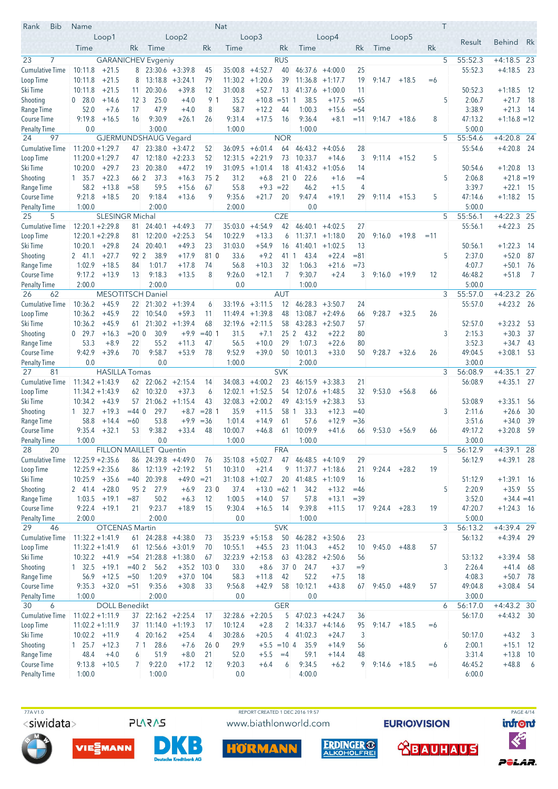| Rank<br><b>Bib</b>                  | Name                          |                        |                                 |                           |                      |               | <b>Nat</b>         |                                 |                 |                                 |                                         |                 |                |                 |       | T |                   |                            |                            |
|-------------------------------------|-------------------------------|------------------------|---------------------------------|---------------------------|----------------------|---------------|--------------------|---------------------------------|-----------------|---------------------------------|-----------------------------------------|-----------------|----------------|-----------------|-------|---|-------------------|----------------------------|----------------------------|
|                                     |                               | Loop1                  |                                 |                           | Loop2                |               |                    | Loop <sub>3</sub>               |                 |                                 | Loop4                                   |                 |                | Loop5           |       |   | Result            | <b>Behind</b>              | Rk                         |
|                                     | Time                          |                        | Rk.                             | Time                      |                      | Rk            | Time               |                                 | Rk              | Time                            |                                         | Rk              | Time           |                 | Rk    |   |                   |                            |                            |
| 23<br>7                             |                               |                        |                                 | <b>GARANICHEV</b> Evgeniy |                      |               |                    |                                 | <b>RUS</b>      |                                 |                                         |                 |                |                 |       | 5 | 55:52.3           | $+4:18.5$ 23               |                            |
| <b>Cumulative Time</b>              | 10:11.8                       | $+21.5$                | 8                               |                           | $23:30.6 + 3:39.8$   | 45            |                    | $35:00.8$ +4:52.7               | 40              |                                 | $46:37.6 +4:00.0$                       | 25              |                |                 |       |   | 55:52.3           | $+4:18.5$ 23               |                            |
| Loop Time                           | 10:11.8                       | $+21.5$                | 8                               |                           | $13:18.8 + 3:24.1$   | 79            | 11:30.2            | $+1:20.6$                       | 39              |                                 | $11:36.8 + 1:17.7$                      | 19              | 9:14.7         | $+18.5$         | $=6$  |   |                   |                            |                            |
| Ski Time                            | 10:11.8                       | $+21.5$                | 11.                             | 20:30.6                   | $+39.8$              | 12            | 31:00.8            | $+52.7$                         | 13              | 41:37.6                         | $+1:00.0$                               | 11              |                |                 |       |   | 50:52.3           | $+1:18.5$                  | - 12                       |
| Shooting<br>Range Time              | 0 28.0<br>52.0                | $+14.6$<br>$+7.6$      | $12 \overline{\smash{3}}$<br>17 | 25.0<br>47.9              | $+4.0$<br>$+4.0$     | 91<br>8       | 35.2<br>58.7       | $+10.8$<br>$+12.2$              | $= 511$<br>44   | 38.5<br>1:00.3                  | $+17.5$<br>$+15.6$                      | $=65$<br>$= 54$ |                |                 |       | 5 | 2:06.7<br>3:38.9  | $+21.7$<br>$+21.3$         | - 18<br>- 14               |
| Course Time                         | 9:19.8                        | $+16.5$                | 16                              | 9:30.9                    | $+26.1$              | 26            | 9:31.4             | $+17.5$                         | 16              | 9:36.4                          | $+8.1$                                  | $=11$           | 9:14.7         | $+18.6$         | 8     |   | 47:13.2           | $+1:16.8 = 12$             |                            |
| <b>Penalty Time</b>                 | 0.0                           |                        |                                 | 3:00.0                    |                      |               | 1:00.0             |                                 |                 | 1:00.0                          |                                         |                 |                |                 |       |   | 5:00.0            |                            |                            |
| 24<br>97                            |                               |                        |                                 | GJERMUNDSHAUG Vegard      |                      |               |                    |                                 | <b>NOR</b>      |                                 |                                         |                 |                |                 |       | 5 | 55:54.6           | $+4:20.8$ 24               |                            |
| <b>Cumulative Time</b>              | $11:20.0 + 1:29.7$            |                        | 47                              |                           | $23:38.0 + 3:47.2$   | 52            | 36:09.5            | $+6:01.4$                       | 64              | 46:43.2                         | $+4:05.6$                               | 28              |                |                 |       |   | 55:54.6           | $+4:20.8$ 24               |                            |
| Loop Time                           | $11:20.0 + 1:29.7$            |                        | 47                              | 12:18.0                   | $+2:23.3$            | 52            | 12:31.5            | $+2:21.9$                       | 73              | 10:33.7                         | $+14.6$                                 | 3               | 9:11.4         | $+15.2$         | 5     |   |                   |                            |                            |
| Ski Time                            | $10:20.0 + 29.7$              |                        | 23                              | 20:38.0                   | $+47.2$              | 19            |                    | $31:09.5 +1:01.4$               | 18              | 41:43.2                         | $+1:05.6$                               | 14              |                |                 |       |   | 50:54.6           | $+1:20.8$ 13               |                            |
| Shooting                            | 1 35.7                        | $+22.3$                | 66 2                            | 37.3                      | $+16.3$              | 75 2          | 31.2               | $+6.8$                          | 210             | 22.6                            | $+1.6$                                  | $=4$            |                |                 |       | 5 | 2:06.8            | $+21.8 = 19$               |                            |
| Range Time                          | 58.2                          | $+13.8$                | $= 58$                          | 59.5                      | $+15.6$              | 67            | 55.8               | $+9.3 = 22$                     |                 | 46.2                            | $+1.5$                                  | 4               |                |                 |       |   | 3:39.7            | $+22.1$                    | - 15                       |
| Course Time                         | 9:21.8                        | $+18.5$                | 20                              | 9:18.4<br>2:00.0          | $+13.6$              | 9             | 9:35.6             | $+21.7$                         | 20              | 9:47.4                          | $+19.1$                                 | 29              |                | $9:11.4$ +15.3  | 5     |   | 47:14.6<br>5:00.0 | $+1:18.2$ 15               |                            |
| <b>Penalty Time</b><br>5<br>25      | 1:00.0                        | <b>SLESINGR Michal</b> |                                 |                           |                      |               | 2:00.0             |                                 | <b>CZE</b>      | 0.0                             |                                         |                 |                |                 |       | 5 | 55:56.1           | $+4:22.3$ 25               |                            |
| <b>Cumulative Time</b>              | $12:20.1 + 2:29.8$            |                        | 81.                             | 24:40.1                   | $+4:49.3$            | 77            | 35:03.0            | $+4:54.9$                       | 42              | 46:40.1                         | $+4:02.5$                               | 27              |                |                 |       |   | 55:56.1           | $+4:22.3$ 25               |                            |
| Loop Time                           | $12:20.1 + 2:29.8$            |                        | 81 -                            | 12:20.0                   | $+2:25.3$            | 54            | 10:22.9            | $+13.3$                         | 6               |                                 | $11:37.1 + 1:18.0$                      | 20              | 9:16.0         | $+19.8$         | $=11$ |   |                   |                            |                            |
| Ski Time                            | 10:20.1                       | $+29.8$                | 24                              | 20:40.1                   | $+49.3$              | 23            | 31:03.0            | $+54.9$                         | 16              | 41:40.1                         | $+1:02.5$                               | 13              |                |                 |       |   | 50:56.1           | $+1:22.3$                  | -14                        |
| Shooting                            | 2 41.1                        | $+27.7$                | 92 2                            | 38.9                      | $+17.9$              | 81 0          | 33.6               | $+9.2$                          | 41 1            | 43.4                            | $+22.4$                                 | $= 81$          |                |                 |       | 5 | 2:37.0            | $+52.0$                    | 87                         |
| Range Time                          | 1:02.9                        | $+18.5$                | 84                              | 1:01.7                    | $+17.8$              | 74            | 56.8               | $+10.3$                         | 32              | 1:06.3                          | $+21.6$                                 | $=73$           |                |                 |       |   | 4:07.7            | $+50.1$                    | 76                         |
| <b>Course Time</b>                  | 9:17.2                        | $+13.9$                | 13                              | 9:18.3                    | $+13.5$              | 8             | 9:26.0             | $+12.1$                         | 7               | 9:30.7                          | $+2.4$                                  | 3               |                | $9:16.0 + 19.9$ | 12    |   | 46:48.2           | $+51.8$                    | - 7                        |
| <b>Penalty Time</b>                 | 2:00.0                        |                        |                                 | 2:00.0                    |                      |               | 0.0                |                                 |                 | 1:00.0                          |                                         |                 |                |                 |       |   | 5:00.0            |                            |                            |
| 26<br>62                            |                               |                        |                                 | <b>MESOTITSCH Daniel</b>  |                      |               |                    |                                 | <b>AUT</b>      |                                 |                                         |                 |                |                 |       | 3 | 55:57.0           | $+4:23.2$ 26               |                            |
| <b>Cumulative Time</b><br>Loop Time | 10:36.2<br>10:36.2            | $+45.9$<br>$+45.9$     |                                 | 22 21:30.2<br>22 10:54.0  | $+1:39.4$<br>$+59.3$ | 6<br>11       | 11:49.4            | $33:19.6 + 3:11.5$<br>$+1:39.8$ | 12<br>48        |                                 | $46:28.3 +3:50.7$<br>$13:08.7 + 2:49.6$ | 24<br>66        | 9:28.7         | $+32.5$         | 26    |   | 55:57.0           | $+4:23.2$ 26               |                            |
| Ski Time                            | 10:36.2                       | $+45.9$                | 61                              | 21:30.2                   | $+1:39.4$            | 68            |                    | $32:19.6 + 2:11.5$              | 58              |                                 | $43:28.3 +2:50.7$                       | 57              |                |                 |       |   | 52:57.0           | $+3:23.2$                  | - 53                       |
| Shooting                            | $0$ 29.7                      | $+16.3$                | $= 200$                         | 30.9                      | $+9.9$               | $=40$ 1       | 31.5               | $+7.1$                          | 25 <sup>2</sup> | 43.2                            | $+22.2$                                 | 80              |                |                 |       | 3 | 2:15.3            | $+30.3$                    | -37                        |
| Range Time                          | 53.3                          | $+8.9$                 | 22                              | 55.2                      | $+11.3$              | 47            | 56.5               | $+10.0$                         | 29              | 1:07.3                          | $+22.6$                                 | 80              |                |                 |       |   | 3:52.3            | $+34.7$ 43                 |                            |
| <b>Course Time</b>                  | 9:42.9                        | $+39.6$                | 70                              | 9:58.7                    | $+53.9$              | 78            | 9:52.9             | $+39.0$                         | 50              | 10:01.3                         | $+33.0$                                 | 50              | 9:28.7         | $+32.6$         | 26    |   | 49:04.5           | $+3:08.1$ 53               |                            |
| <b>Penalty Time</b>                 | 0.0                           |                        |                                 | 0.0                       |                      |               | 1:00.0             |                                 |                 | 2:00.0                          |                                         |                 |                |                 |       |   | 3:00.0            |                            |                            |
| 27<br>81                            |                               | <b>HASILLA Tomas</b>   |                                 |                           |                      |               |                    |                                 | <b>SVK</b>      |                                 |                                         |                 |                |                 |       | 3 | 56:08.9           | $+4:35.1$                  | 27                         |
| <b>Cumulative Time</b>              | $11:34.2 + 1:43.9$            |                        |                                 | $62$ 22:06.2 +2:15.4      |                      | 14            | 34:08.3            | $+4:00.2$                       | 23              |                                 | $46:15.9 + 3:38.3$                      | 21              |                |                 |       |   | 56:08.9           | $+4:35.1$ 27               |                            |
| Loop Time<br>Ski Time               | $11:34.2 + 1:43.9$<br>10:34.2 | $+43.9$                | 62<br>57                        | 10:32.0<br>21:06.2        | $+37.3$<br>$+1:15.4$ | 6<br>43       | 12:02.1<br>32:08.3 | $+1:52.5$<br>$+2:00.2$          | 54<br>49        |                                 | $12:07.6$ +1:48.5<br>$43:15.9 +2:38.3$  | 32<br>53        | 9:53.0         | $+56.8$         | 66    |   | 53:08.9           | $+3:35.1$                  | - 56                       |
| Shooting                            | $1 \quad 32.7$                | $+19.3$                | $= 44$ 0                        | 29.7                      | $+8.7$               | $= 2811$      | 35.9               | $+11.5$                         | 58 1            | 33.3                            | $+12.3$                                 | $=40$           |                |                 |       | 3 | 2:11.6            | $+26.6$                    | -30                        |
| Range Time                          | 58.8                          | $+14.4$                | $=60$                           | 53.8                      | $+9.9$               | $= 36$        | 1:01.4             | $+14.9$                         | 61              | 57.6                            | $+12.9$                                 | $= 36$          |                |                 |       |   | 3:51.6            | $+34.0$                    | 39                         |
| Course Time                         | 9:35.4                        | $+32.1$                | 53                              | 9:38.2                    | $+33.4$              | 48            | 10:00.7            | $+46.8$                         | 61              | 10:09.9                         | $+41.6$                                 | 66              | 9:53.0         | $+56.9$         | 66    |   | 49:17.2           | $+3:20.8$                  | 59                         |
| <b>Penalty Time</b>                 | 1:00.0                        |                        |                                 | 0.0                       |                      |               | 1:00.0             |                                 |                 | 1:00.0                          |                                         |                 |                |                 |       |   | 3:00.0            |                            |                            |
| 28<br>20                            |                               |                        |                                 | FILLON MAILLET Quentin    |                      |               |                    |                                 | <b>FRA</b>      |                                 |                                         |                 |                |                 |       | 5 | 56:12.9           | $+4:39.1$ 28               |                            |
| Cumulative Time                     | $12:25.9 + 2:35.6$            |                        |                                 |                           | 86 24:39.8 +4:49.0   | 76            |                    | $35:10.8$ +5:02.7               | 47              | $46:48.5 +4:10.9$               |                                         | 29              |                |                 |       |   | 56:12.9           | $+4:39.1$ 28               |                            |
| Loop Time                           | $12:25.9 + 2:35.6$            |                        |                                 |                           | $86$ 12:13.9 +2:19.2 | 51            | 10:31.0            | $+21.4$                         | 9               |                                 | $11:37.7 + 1:18.6$                      | 21              | 9:24.4         | $+28.2$         | 19    |   |                   |                            |                            |
| Ski Time                            | $10:25.9$ +35.6               |                        | $=40$                           | 20:39.8                   | $+49.0 = 21$         |               |                    | $31:10.8$ +1:02.7               | 20              | $41:48.5 +1:10.9$               |                                         | 16              |                |                 |       |   | 51:12.9           | $+1:39.1$ 16               |                            |
| Shooting<br>Range Time              | $2, 41.4 +28.0$               | $1:03.5$ +19.1         | 95 2<br>$= 87$                  | 27.9<br>50.2              | $+6.9$<br>$+6.3$     | 230<br>12     | 37.4<br>1:00.5     | $+13.0 = 62$ 1<br>$+14.0$       | 57              | 34.2<br>57.8                    | $+13.2$<br>$+13.1$                      | $=46$<br>$=39$  |                |                 |       | 5 | 2:20.9<br>3:52.0  | $+35.9$ 55<br>$+34.4 = 41$ |                            |
| <b>Course Time</b>                  |                               | $9:22.4$ +19.1         | 21                              | 9:23.7                    | $+18.9$              | 15            | 9:30.4             | $+16.5$                         | 14              | 9:39.8                          | $+11.5$                                 | 17              | $9:24.4 +28.3$ |                 | 19    |   | 47:20.7           | $+1:24.3$ 16               |                            |
| <b>Penalty Time</b>                 | 2:00.0                        |                        |                                 | 2:00.0                    |                      |               | 0.0                |                                 |                 | 1:00.0                          |                                         |                 |                |                 |       |   | 5:00.0            |                            |                            |
| 29<br>46                            |                               | <b>OTCENAS Martin</b>  |                                 |                           |                      |               |                    |                                 | <b>SVK</b>      |                                 |                                         |                 |                |                 |       | 3 | 56:13.2           | $+4:39.4$ 29               |                            |
| Cumulative Time                     | $11:32.2 + 1:41.9$            |                        | 61                              |                           | $24:28.8 + 4:38.0$   | 73            |                    | $35:23.9 +5:15.8$               | 50              |                                 | $46:28.2 + 3:50.6$                      | 23              |                |                 |       |   | 56:13.2           | $+4:39.4$ 29               |                            |
| Loop Time                           | $11:32.2 + 1:41.9$            |                        |                                 | $61$ 12:56.6 +3:01.9      |                      | 70            | 10:55.1            | $+45.5$                         | 23              | 11:04.3                         | $+45.2$                                 | 10              | 9:45.0         | $+48.8$         | 57    |   |                   |                            |                            |
| Ski Time                            | $10:32.2 +41.9$               |                        | $= 54$                          |                           | $21:28.8 + 1:38.0$   | 67            |                    | $32:23.9 +2:15.8$               | 63              |                                 | $43:28.2 +2:50.6$                       | 56              |                |                 |       |   | 53:13.2           | $+3:39.4$ 58               |                            |
| Shooting                            | $1 \quad 32.5 \quad +19.1$    |                        | $=40$ 2                         | 56.2                      |                      | $+35.2$ 103 0 | 33.0               | $+8.6$                          |                 | 37 0 24.7                       | $+3.7$                                  | $=9$            |                |                 |       | 3 | 2:26.4            | $+41.4$                    | 68                         |
| Range Time                          | 56.9                          | $+12.5$                | $=50$                           | 1:20.9                    | $+37.0$              | 104           | 58.3               | $+11.8$                         | 42              | 52.2                            | $+7.5$                                  | 18              |                |                 |       |   | 4:08.3            | $+50.7$ 78                 |                            |
| Course Time<br><b>Penalty Time</b>  | 9:35.3<br>1:00.0              | $+32.0$                | $= 51$                          | 9:35.6<br>2:00.0          | $+30.8$              | 33            | 9:56.8<br>0.0      | $+42.9$                         | 58              | 10:12.1<br>0.0                  | $+43.8$                                 | 67              |                | $9:45.0 +48.9$  | 57    |   | 49:04.8<br>3:00.0 | $+3:08.4$ 54               |                            |
| 30<br>6                             |                               | <b>DOLL Benedikt</b>   |                                 |                           |                      |               |                    |                                 | <b>GER</b>      |                                 |                                         |                 |                |                 |       | 6 | 56:17.0           | $+4:43.2$ 30               |                            |
| Cumulative Time                     | $11:02.2 + 1:11.9$            |                        | 37                              |                           | $22:16.2 + 2:25.4$   | 17            |                    | $32:28.6$ +2:20.5               |                 | $5 \quad 47:02.3 \quad +4:24.7$ |                                         | 36              |                |                 |       |   | 56:17.0           | $+4:43.2$ 30               |                            |
| Loop Time                           | $11:02.2 + 1:11.9$            |                        |                                 | $37$ 11:14.0 +1:19.3      |                      | 17            | 10:12.4            | $+2.8$                          | $\overline{2}$  |                                 | $14:33.7 +4:14.6$                       | 95              | 9:14.7         | $+18.5$         | $=6$  |   |                   |                            |                            |
| Ski Time                            | $10:02.2 +11.9$               |                        |                                 | 4 20:16.2                 | $+25.4$              | 4             | 30:28.6            | $+20.5$                         |                 | 4 41:02.3                       | $+24.7$                                 | 3               |                |                 |       |   | 50:17.0           | $+43.2$                    | $\overline{\phantom{a}}$ 3 |
| Shooting                            | 1 25.7                        | $+12.3$                | 71                              | 28.6                      | $+7.6$               | 260           | 29.9               |                                 | $+5.5 = 10$ 4   | 35.9                            | $+14.9$                                 | 56              |                |                 |       | 6 | 2:00.1            | $+15.1$ 12                 |                            |
| Range Time                          | 48.4                          | $+4.0$                 | 6                               | 51.9                      | $+8.0$               | 21            | 52.0               | $+5.5$                          | $=4$            | 59.1                            | $+14.4$                                 | 48              |                |                 |       |   | 3:31.4            | $+13.8$ 10                 |                            |
| <b>Course Time</b>                  | 9:13.8                        | $+10.5$                | 7 <sup>1</sup>                  | 9:22.0                    | $+17.2$              | 12            | 9:20.3             | $+6.4$                          | 6               | 9:34.5                          | $+6.2$                                  | 9               |                | $9:14.6$ +18.5  | $=6$  |   | 46:45.2           | $+48.8$ 6                  |                            |
| <b>Penalty Time</b>                 | 1:00.0                        |                        |                                 | 1:00.0                    |                      |               | 0.0                |                                 |                 | 4:00.0                          |                                         |                 |                |                 |       |   | 6:00.0            |                            |                            |





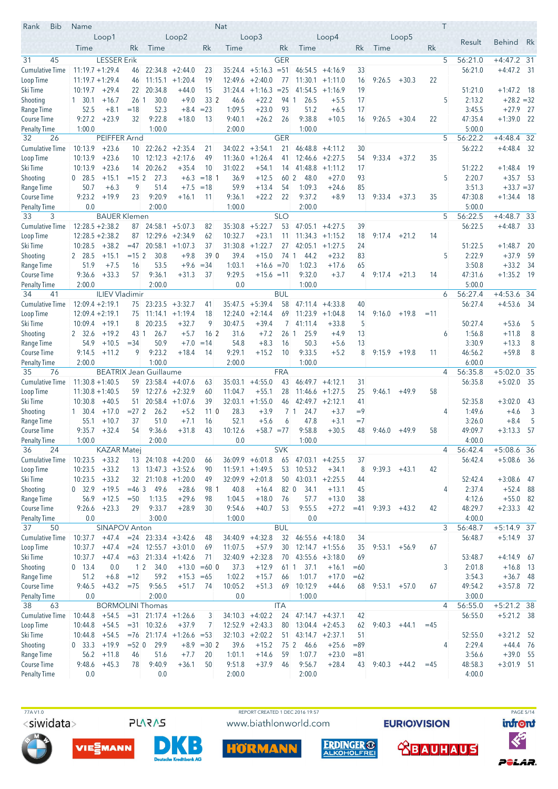| <b>Bib</b><br>Rank                        | Name                        |                       |                 |                                                   |                              |                          | Nat              |                               |                       |                                  |                    |             |                 |         |       | T              |                   |                              |                         |
|-------------------------------------------|-----------------------------|-----------------------|-----------------|---------------------------------------------------|------------------------------|--------------------------|------------------|-------------------------------|-----------------------|----------------------------------|--------------------|-------------|-----------------|---------|-------|----------------|-------------------|------------------------------|-------------------------|
|                                           |                             | Loop1                 |                 |                                                   | Loop2                        |                          |                  | Loop3                         |                       |                                  | Loop4              |             |                 | Loop5   |       |                | Result            | <b>Behind</b>                | Rk                      |
|                                           | Time                        |                       | Rk              | Time                                              |                              | Rk                       | Time             |                               | Rk                    | Time                             |                    | Rk          | Time            |         | Rk    |                |                   |                              |                         |
| 45<br>31                                  |                             | <b>LESSER Erik</b>    |                 |                                                   |                              |                          |                  |                               | <b>GER</b>            |                                  |                    |             |                 |         |       | 5              | 56:21.0           | $+4:47.2$ 31                 |                         |
| Cumulative Time                           | $11:19.7 + 1:29.4$          |                       | 46              |                                                   | $22:34.8 + 2:44.0$           | 23                       | 35:24.4          | $+5:16.3 = 51$                |                       |                                  | $46:54.5 + 4:16.9$ | 33          |                 |         |       |                | 56:21.0           | $+4:47.2$ 31                 |                         |
| Loop Time                                 | $11:19.7 + 1:29.4$          |                       | 46              |                                                   | $11:15.1 + 1:20.4$           | 19                       | 12:49.6          | $+2:40.0$                     | 77                    |                                  | $11:30.1 + 1:11.0$ | 16          | 9:26.5          | $+30.3$ | 22    |                |                   |                              |                         |
| Ski Time                                  | 10:19.7                     | $+29.4$               | 22<br>26 1      | 20:34.8<br>30.0                                   | $+44.0$<br>$+9.0$            | 15<br>33 2               | 31:24.4          | $+1:16.3 = 25$<br>$+22.2$     | 94 1                  | 41:54.5                          | $+1:16.9$          | 19<br>17    |                 |         |       | 5              | 51:21.0<br>2:13.2 | $+1:47.2$ 18<br>$+28.2 = 32$ |                         |
| Shooting<br>Range Time                    | $1 \quad 30.1$<br>52.5      | $+16.7$<br>$+8.1$     | $=18$           | 52.3                                              | $+8.4$                       | $= 23$                   | 46.6<br>1:09.5   | $+23.0$                       | 93                    | 26.5<br>51.2                     | $+5.5$<br>$+6.5$   | 17          |                 |         |       |                | 3:45.5            | $+27.9$                      | - 27                    |
| <b>Course Time</b>                        | 9:27.2                      | $+23.9$               | 32              | 9:22.8                                            | $+18.0$                      | 13                       | 9:40.1           | $+26.2$                       | 26                    | 9:38.8                           | $+10.5$            | 16          | 9:26.5          | $+30.4$ | 22    |                | 47:35.4           | $+1:39.0$                    | - 22                    |
| <b>Penalty Time</b>                       | 1:00.0                      |                       |                 | 1:00.0                                            |                              |                          | 2:00.0           |                               |                       | 1:00.0                           |                    |             |                 |         |       |                | 5:00.0            |                              |                         |
| 32<br>26                                  |                             | PEIFFER Arnd          |                 |                                                   |                              |                          |                  |                               | <b>GER</b>            |                                  |                    |             |                 |         |       | 5              | 56:22.2           | $+4:48.4$ 32                 |                         |
| <b>Cumulative Time</b>                    | 10:13.9                     | $+23.6$               |                 | $10$ 22:26.2 +2:35.4                              |                              | 21                       | 34:02.2          | $+3:54.1$                     | 21                    | 46:48.8                          | $+4:11.2$          | 30          |                 |         |       |                | 56:22.2           | $+4:48.4$ 32                 |                         |
| Loop Time                                 | 10:13.9                     | $+23.6$               | 10 <sup>°</sup> | 12:12.3                                           | $+2:17.6$                    | 49                       | 11:36.0          | $+1:26.4$                     | 41                    | 12:46.6                          | $+2:27.5$          | 54          | 9:33.4          | $+37.2$ | 35    |                |                   |                              |                         |
| Ski Time                                  | 10:13.9                     | $+23.6$               | 14              | 20:26.2                                           | $+35.4$                      | 10                       | 31:02.2          | $+54.1$                       | 14                    | 41:48.8                          | $+1:11.2$          | 17          |                 |         |       |                | 51:22.2           | $+1:48.4$ 19                 |                         |
| Shooting                                  | $0$ 28.5                    | $+15.1$               | $= 152$         | 27.3                                              | $+6.3$                       | $=18$ 1                  | 36.9             | $+12.5$                       | 60 2                  | 48.0                             | $+27.0$            | 93          |                 |         |       | 5              | 2:20.7            | $+35.7$ 53                   |                         |
| Range Time                                | 50.7                        | $+6.3$                | 9               | 51.4                                              | $+7.5$                       | $=18$                    | 59.9             | $+13.4$                       | 54                    | 1:09.3                           | $+24.6$            | 85          |                 |         |       |                | 3:51.3            | $+33.7 = 37$                 |                         |
| Course Time                               | 9:23.2                      | $+19.9$               | 23              | 9:20.9                                            | $+16.1$                      | 11                       | 9:36.1           | $+22.2$                       | 22                    | 9:37.2                           | $+8.9$             | 13          | 9:33.4          | $+37.3$ | 35    |                | 47:30.8           | $+1:34.4$ 18                 |                         |
| <b>Penalty Time</b><br>33<br>3            | 0.0                         | <b>BAUER Klemen</b>   |                 | 2:00.0                                            |                              |                          | 1:00.0           |                               | <b>SLO</b>            | 2:00.0                           |                    |             |                 |         |       | 5              | 5:00.0<br>56:22.5 | $+4:48.7$ 33                 |                         |
| <b>Cumulative Time</b>                    | $12:28.5 + 2:38.2$          |                       | 87              |                                                   | $24:58.1 + 5:07.3$           | 82                       | 35:30.8          | $+5:22.7$                     | 53                    | 47:05.1                          | $+4:27.5$          | 39          |                 |         |       |                | 56:22.5           | $+4:48.7$ 33                 |                         |
| Loop Time                                 | $12:28.5 + 2:38.2$          |                       | 87              |                                                   | $12:29.6 + 2:34.9$           | 62                       | 10:32.7          | $+23.1$                       | 11                    |                                  | $11:34.3 +1:15.2$  | 18          | 9:17.4          | $+21.2$ | 14    |                |                   |                              |                         |
| Ski Time                                  | 10:28.5                     | $+38.2$               | $=47$           |                                                   | $20:58.1 + 1:07.3$           | 37                       | 31:30.8          | $+1:22.7$                     | 27                    | 42:05.1                          | $+1:27.5$          | 24          |                 |         |       |                | 51:22.5           | $+1:48.7$                    | 20                      |
| Shooting                                  | 2 28.5                      | $+15.1$               | $= 152$         | 30.8                                              | $+9.8$                       | 39 0                     | 39.4             | $+15.0$                       | 74 1                  | 44.2                             | $+23.2$            | 83          |                 |         |       | 5              | 2:22.9            | $+37.9$                      | 59                      |
| Range Time                                | 51.9                        | $+7.5$                | 16              | 53.5                                              | $+9.6$                       | $=34$                    | 1:03.1           | $+16.6 = 70$                  |                       | 1:02.3                           | $+17.6$            | 65          |                 |         |       |                | 3:50.8            | $+33.2$                      | - 34                    |
| Course Time                               | 9:36.6                      | $+33.3$               | 57              | 9:36.1                                            | $+31.3$                      | 37                       | 9:29.5           | $+15.6 = 11$                  |                       | 9:32.0                           | $+3.7$             | 4           | $9:17.4 +21.3$  |         | 14    |                | 47:31.6           | $+1:35.2$ 19                 |                         |
| Penalty Time                              | 2:00.0                      |                       |                 | 2:00.0                                            |                              |                          | 0.0              |                               |                       | 1:00.0                           |                    |             |                 |         |       |                | 5:00.0            |                              |                         |
| 34<br>41                                  |                             | <b>ILIEV Vladimir</b> |                 |                                                   |                              |                          |                  |                               | <b>BUL</b>            |                                  |                    |             |                 |         |       | 6              | 56:27.4           | $+4:53.6$                    | -34                     |
| <b>Cumulative Time</b>                    | $12:09.4 + 2:19.1$          |                       |                 | $75$ 23:23.5 +3:32.7                              |                              | 41                       | 35:47.5          | $+5:39.4$                     | 58                    | 47:11.4                          | $+4:33.8$          | 40          |                 |         |       |                | 56:27.4           | $+4:53.6$ 34                 |                         |
| Loop Time                                 | $12:09.4 + 2:19.1$          |                       |                 | $75$ 11:14.1 +1:19.4                              |                              | 18                       | 12:24.0          | $+2:14.4$                     | 69                    |                                  | $11:23.9 + 1:04.8$ | 14          | 9:16.0          | $+19.8$ | $=11$ |                |                   |                              |                         |
| Ski Time                                  | 10:09.4                     | $+19.1$               | 8               | 20:23.5                                           | $+32.7$                      | 9                        | 30:47.5          | $+39.4$                       | $\overline{7}$        | 41:11.4                          | $+33.8$            | 5           |                 |         |       |                | 50:27.4           | $+53.6$                      | 5                       |
| Shooting<br>Range Time                    | 2 32.6<br>54.9              | $+19.2$<br>$+10.5$    | 43 1<br>$= 34$  | 26.7<br>50.9                                      | $+5.7$<br>$+7.0$             | 16 <sup>2</sup><br>$=14$ | 31.6<br>54.8     | $+7.2$<br>$+8.3$              | 26 <sub>1</sub><br>16 | 25.9<br>50.3                     | $+4.9$<br>$+5.6$   | 13<br>13    |                 |         |       | 6              | 1:56.8<br>3:30.9  | $+11.8$<br>$+13.3$           | 8<br>8                  |
| <b>Course Time</b>                        | 9:14.5                      | $+11.2$               | 9               | 9:23.2                                            | $+18.4$                      | 14                       | 9:29.1           | $+15.2$                       | 10                    | 9:33.5                           | $+5.2$             | 8           | $9:15.9$ +19.8  |         | 11    |                | 46:56.2           | $+59.8$                      | 8                       |
| <b>Penalty Time</b>                       | 2:00.0                      |                       |                 | 1:00.0                                            |                              |                          | 2:00.0           |                               |                       | 1:00.0                           |                    |             |                 |         |       |                | 6:00.0            |                              |                         |
| 35<br>76                                  |                             |                       |                 | <b>BEATRIX Jean Guillaume</b>                     |                              |                          |                  |                               | <b>FRA</b>            |                                  |                    |             |                 |         |       | 4              | 56:35.8           | $+5:02.0$ 35                 |                         |
| <b>Cumulative Time</b>                    | $11:30.8 + 1:40.5$          |                       |                 | $59$ 23:58.4 +4:07.6                              |                              | 63                       | 35:03.1          | $+4:55.0$                     | 43                    |                                  | $46:49.7 +4:12.1$  | 31          |                 |         |       |                | 56:35.8           | $+5:02.0$ 35                 |                         |
| Loop Time                                 | $11:30.8 + 1:40.5$          |                       | 59              |                                                   | $12:27.6$ +2:32.9            | 60                       | 11:04.7          | $+55.1$                       | 28                    |                                  | $11:46.6 + 1:27.5$ | 25          | 9:46.1          | $+49.9$ | 58    |                |                   |                              |                         |
| Ski Time                                  | 10:30.8                     | $+40.5$               | 51              |                                                   | $20:58.4 +1:07.6$            | 39                       | 32:03.1          | $+1:55.0$                     | 46                    |                                  | $42:49.7 + 2:12.1$ | 41          |                 |         |       |                | 52:35.8           | $+3:02.0$                    | -43                     |
| Shooting                                  | $1 \quad 30.4$              | $+17.0$               | $= 272$         | 26.2                                              | $+5.2$                       | 110                      | 28.3             | $+3.9$                        | 71                    | 24.7                             | $+3.7$             | $=9$        |                 |         |       | 4              | 1:49.6            | $+4.6$                       | $\overline{\mathbf{3}}$ |
| Range Time                                | 55.1                        | $+10.7$               | 37              | 51.0                                              | $+7.1$                       | 16                       | 52.1             | $+5.6$                        | 6                     | 47.8                             | $+3.1$             | $=7$        |                 |         |       |                | 3:26.0            | $+8.4$                       | 5                       |
| <b>Course Time</b>                        | 9:35.7                      | $+32.4$               | 54              | 9:36.6                                            | $+31.8$                      | 43                       | 10:12.6          | $+58.7 = 77$                  |                       | 9:58.8                           | $+30.5$            | 48          | 9:46.0          | $+49.9$ | 58    |                | 49:09.7           | $+3:13.3$                    | 57                      |
| <b>Penalty Time</b><br>36<br>24           | 1:00.0                      | <b>KAZAR Matej</b>    |                 | 2:00.0                                            |                              |                          | 0.0              |                               | <b>SVK</b>            | 1:00.0                           |                    |             |                 |         |       | $\overline{4}$ | 4:00.0<br>56:42.4 | $+5:08.6$ 36                 |                         |
| <b>Cumulative Time</b>                    | $10:23.5 + 33.2$            |                       |                 | $13$ 24:10.8 $+4:20.0$                            |                              | 66                       |                  | $36:09.9 + 6:01.8$            | 65                    | 47:03.1                          | $+4:25.5$          | 37          |                 |         |       |                | 56:42.4           | $+5:08.6$ 36                 |                         |
| Loop Time                                 | $10:23.5 + 33.2$            |                       |                 | $13$ $13:47.3$ $+3:52.6$                          |                              | 90                       |                  | $11:59.1 + 1:49.5$            | 53                    | 10:53.2                          | $+34.1$            | 8           | 9:39.3          | $+43.1$ | 42    |                |                   |                              |                         |
| Ski Time                                  | $10:23.5 + 33.2$            |                       |                 | $32 \mid 21:10.8 + 1:20.0$                        |                              | 49                       |                  | $32:09.9 + 2:01.8$            |                       | $50 \quad 43:03.1 \quad +2:25.5$ |                    | 44          |                 |         |       |                | 52:42.4           | $+3:08.6$ 47                 |                         |
| Shooting                                  | 0, 32.9                     | $+19.5$               | $= 463$         | 49.6                                              | $+28.6$                      | 98 1                     | 40.8             | $+16.4$                       | 82 0                  | 34.1                             | $+13.1$            | 45          |                 |         |       | 4              | 2:37.4            | $+52.4$ 88                   |                         |
| Range Time                                | 56.9                        | $+12.5$               | $=50$           | 1:13.5                                            | $+29.6$                      | 98                       | 1:04.5           | $+18.0$                       | 76                    | 57.7                             | $+13.0$            | 38          |                 |         |       |                | 4:12.6            | $+55.0$ 82                   |                         |
| Course Time                               | 9:26.6                      | $+23.3$               | 29              | 9:33.7                                            | $+28.9$                      | 30                       | 9:54.6           | $+40.7$                       | 53                    | 9:55.5                           | $+27.2$            | $=41$       | 9:39.3          | $+43.2$ | 42    |                | 48:29.7           | $+2:33.3$ 42                 |                         |
| <b>Penalty Time</b>                       | 0.0                         |                       |                 | 3:00.0                                            |                              |                          | 1:00.0           |                               |                       | 0.0                              |                    |             |                 |         |       |                | 4:00.0            |                              |                         |
| 37<br>50                                  |                             | SINAPOV Anton         |                 |                                                   |                              |                          |                  |                               | <b>BUL</b>            |                                  |                    |             |                 |         |       | 3              | 56:48.7           | $+5:14.9$ 37                 |                         |
| <b>Cumulative Time</b>                    | 10:37.7                     | $+47.4$               |                 | $= 24$ 23:33.4 $+3:42.6$                          |                              | 48                       |                  | $34:40.9$ +4:32.8             | 32                    |                                  | $46:55.6 +4:18.0$  | 34          |                 |         |       |                | 56:48.7           | $+5:14.9$ 37                 |                         |
| Loop Time<br>Ski Time                     | $10:37.7 + 47.4$<br>10:37.7 | $+47.4$               |                 | $= 24$ 12:55.7 $+3:01.0$<br>$=63$ 21:33.4 +1:42.6 |                              | 69                       | 11:07.5          | $+57.9$                       | 30                    | $43:55.6 +3:18.0$                | $12:14.7 + 1:55.6$ | 35          | 9:53.1          | $+56.9$ | 67    |                |                   |                              |                         |
| Shooting                                  | $0$ 13.4                    | 0.0                   |                 | $1 \vert 2 \vert$<br>34.0                         |                              | 71<br>$+13.0 = 60$ 0     | 37.3             | $32:40.9 + 2:32.8$<br>$+12.9$ | 70                    | $61$ 1 37.1                      | $+16.1$            | 69<br>$=60$ |                 |         |       | 3              | 53:48.7<br>2:01.8 | $+4:14.9$ 67<br>$+16.8$ 13   |                         |
| Range Time                                | 51.2                        | $+6.8$                | $=12$           | 59.2                                              | $+15.3 = 65$                 |                          | 1:02.2           | $+15.7$                       | 66                    | 1:01.7                           | $+17.0$            | $=62$       |                 |         |       |                | 3:54.3            | $+36.7$ 48                   |                         |
| <b>Course Time</b>                        | 9:46.5                      | $+43.2$               | $= 75$          | 9:56.5                                            | $+51.7$                      | - 74                     | 10:05.2          | $+51.3$                       | 69                    | 10:12.9                          | $+44.6$            | 68          | $9:53.1 + 57.0$ |         | 67    |                | 49:54.2           | $+3:57.8$ 72                 |                         |
| <b>Penalty Time</b>                       | 0.0                         |                       |                 | 2:00.0                                            |                              |                          | 0.0              |                               |                       | 1:00.0                           |                    |             |                 |         |       |                | 3:00.0            |                              |                         |
| 38<br>63                                  |                             |                       |                 | <b>BORMOLINI Thomas</b>                           |                              |                          |                  |                               | <b>ITA</b>            |                                  |                    |             |                 |         |       | 4              | 56:55.0           | $+5:21.2$ 38                 |                         |
| <b>Cumulative Time</b>                    | 10:44.8                     | $+54.5$               |                 | $=31$ 21:17.4 $+1:26.6$                           |                              | 3                        |                  | $34:10.3 +4:02.2$             | 24                    |                                  | $47:14.7 + 4:37.1$ | 42          |                 |         |       |                | 56:55.0           | $+5:21.2$ 38                 |                         |
| Loop Time                                 | $10:44.8$ +54.5             |                       | $=31$           | 10:32.6                                           | $+37.9$                      | 7                        |                  | $12:52.9 +2:43.3$             | 80                    |                                  | $13:04.4 +2:45.3$  | 62          | 9:40.3          | $+44.1$ | $=45$ |                |                   |                              |                         |
| Ski Time                                  | 10:44.8                     | $+54.5$               |                 |                                                   | $=76$ 21:17.4 $+1:26.6$ = 53 |                          |                  | $32:10.3 + 2:02.2$            | 51                    |                                  | $43:14.7 +2:37.1$  | 51          |                 |         |       |                | 52:55.0           | $+3:21.2$ 52                 |                         |
| Shooting                                  | $0\quad 33.3$               | $+19.9$               | $= 52$ 0        | 29.9                                              |                              | $+8.9 = 302$             | 39.6             | $+15.2$                       |                       | 75 2 46.6                        | $+25.6$            | $=89$       |                 |         |       | 4              | 2:29.4            | $+44.4$ 76                   |                         |
| Range Time                                | 56.2                        | $+11.8$               | 46              | 51.6                                              | $+7.7$                       | 20                       | 1:01.1           | $+14.6$                       | 59                    | 1:07.7                           | $+23.0$            | $= 81$      |                 |         |       |                | 3:56.6            | $+39.0$ 55                   |                         |
| <b>Course Time</b><br><b>Penalty Time</b> | 9:48.6<br>0.0               | $+45.3$               | 78              | 9:40.9<br>0.0                                     | $+36.1$                      | 50                       | 9:51.8<br>2:00.0 | $+37.9$                       | 46                    | 9:56.7<br>2:00.0                 | $+28.4$            | 43          | 9:40.3          | $+44.2$ | $=45$ |                | 48:58.3<br>4:00.0 | $+3:01.9$ 51                 |                         |
|                                           |                             |                       |                 |                                                   |                              |                          |                  |                               |                       |                                  |                    |             |                 |         |       |                |                   |                              |                         |

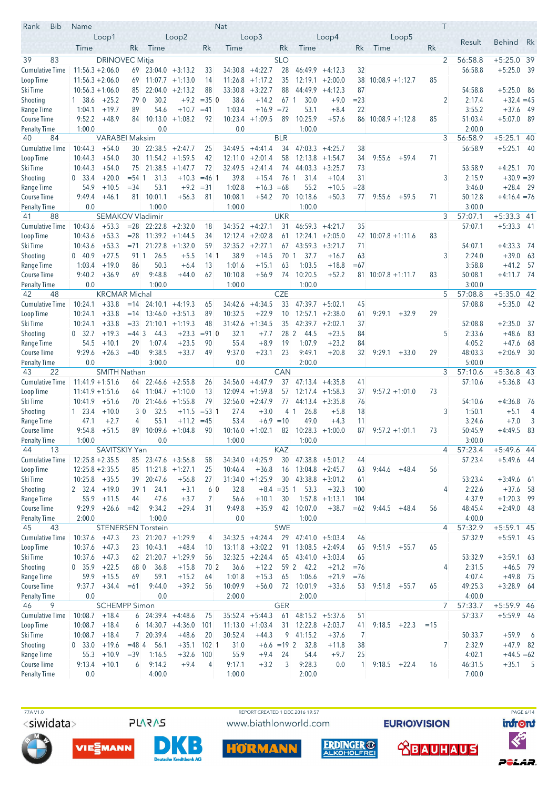| Loop5<br>Loop1<br>Loop2<br>Loop3<br>Loop4<br>Result<br><b>Behind</b><br>Rk<br>Time<br>Rk<br>Time<br>Rk<br>Time<br>Rk<br>Time<br>Rk<br>Time<br>Rk<br>83<br><b>DRINOVEC Mitja</b><br><b>SLO</b><br>$\overline{2}$<br>56:58.8<br>$+5:25.0$ 39<br>39<br><b>Cumulative Time</b><br>$11:56.3 + 2:06.0$<br>$+4:22.7$<br>28<br>46:49.9<br>56:58.8<br>$+5:25.0$<br>- 39<br>$69$ 23:04.0 +3:13.2<br>34:30.8<br>$+4:12.3$<br>32<br>33<br>$11:56.3 + 2:06.0$<br>$11:26.8 + 1:17.2$<br>35<br>$12:19.1 + 2:00.0$<br>38<br>$10:08.9 + 1:12.7$<br>85<br>69<br>$11:07.7 +1:13.0$<br>14<br>$+2:13.2$<br>33:30.8<br>$+3:22.7$<br>88<br>44:49.9<br>87<br>54:58.8<br>$+5:25.0$ 86<br>$10:56.3 + 1:06.0$<br>22:04.0<br>88<br>$+4:12.3$<br>85<br>30.2<br>$+9.2$<br>$= 35$ 0<br>38.6<br>$+14.2$<br>30.0<br>$+9.0$<br>$= 23$<br>2<br>2:17.4<br>$+32.4 = 45$<br>Shooting<br>1 38.6<br>$+25.2$<br>79 0<br>67 1<br>54.6<br>$+10.7$<br>1:03.4<br>$+16.9 = 72$<br>53.1<br>$+8.4$<br>22<br>3:55.2<br>$+37.6$<br>1:04.1<br>$+19.7$<br>89<br>$=41$<br>- 49<br>10:25.9<br>51:03.4<br>9:52.2<br>$+48.9$<br>10:13.0<br>$+1:08.2$<br>10:23.4<br>$+1:09.5$<br>89<br>$+57.6$<br>$+5:07.0$<br>-89<br>Course Time<br>84<br>92<br>$86$ 10:08.9 +1:12.8<br>85<br>1:00.0<br>0.0<br>0.0<br>1:00.0<br>2:00.0<br><b>Penalty Time</b><br>56:58.9<br>$+5:25.1$<br>40<br>84<br><b>VARABEI Maksim</b><br><b>BLR</b><br>3<br>-40<br>$+54.0$<br>$30$ 22:38.5 +2:47.7<br>47:03.3<br>56:58.9<br>$+5:25.1$ 40<br><b>Cumulative Time</b><br>10:44.3<br>34:49.5<br>$+4:41.4$<br>34<br>$+4:25.7$<br>38<br>25<br>$+54.0$<br>30 <sup>°</sup><br>$11:54.2 +1:59.5$<br>42<br>12:11.0<br>$+2:01.4$<br>58<br>$12:13.8 + 1:54.7$<br>71<br>Loop Time<br>10:44.3<br>34<br>9:55.6<br>$+59.4$<br>75 21:38.5<br>32:49.5<br>44:03.3<br>73<br>53:58.9<br>$+4:25.1$ 70<br>10:44.3<br>$+54.0$<br>$+1:47.7$<br>72<br>$+2:41.4$<br>74<br>$+3:25.7$<br>2:15.9<br>$+30.9 = 39$<br>$+20.0$<br>31.3<br>$+10.3$<br>39.8<br>$+15.4$<br>76 1<br>31<br>3<br>Shooting<br>0, 33.4<br>$= 54 \; 1$<br>$= 46$ 1<br>31.4<br>$+10.4$<br>$+10.5$<br>$= 34$<br>53.1<br>$+9.2$<br>$= 31$<br>1:02.8<br>$+16.3$<br>$=68$<br>55.2<br>$= 28$<br>3:46.0<br>$+28.4$<br>- 29<br>Range Time<br>54.9<br>$+10.5$<br>9:49.4<br>10:01.1<br>$+56.3$<br>81<br>10:08.1<br>$+54.2$<br>70<br>10:18.6<br>$+50.3$<br>50:12.8<br>$+4:16.4 = 76$<br>Course Time<br>$+46.1$<br>81<br>77<br>$9:55.6 + 59.5$<br>71<br>3:00.0<br><b>Penalty Time</b><br>0.0<br>1:00.0<br>1:00.0<br>1:00.0<br>SEMAKOV Vladimir<br><b>UKR</b><br>88<br>3<br>57:07.1<br>$+5:33.3$ 41<br>41<br><b>Cumulative Time</b><br>10:43.6<br>$+53.3$<br>$= 28$<br>$22:22.8$ +2:32.0<br>34:35.2<br>$+4:27.1$<br>46:59.3<br>35<br>57:07.1<br>$+5:33.3$ 41<br>18<br>31<br>$+4:21.7$<br>$+53.3$<br>$11:39.2 +1:44.5$<br>$+2:02.8$<br>12:24.1<br>83<br>Loop Time<br>10:43.6<br>$= 28$<br>34<br>12:12.4<br>$+2:05.0$<br>42<br>$10:07.8 + 1:11.6$<br>61<br>21:22.8<br>$+2:27.1$<br>43:59.3<br>$+4:33.3$<br>Ski Time<br>10:43.6<br>$+53.3$<br>$= 71$<br>$+1:32.0$<br>59<br>32:35.2<br>$+3:21.7$<br>71<br>54:07.1<br>67<br>- 74<br>0.40.9<br>$+27.5$<br>26.5<br>38.9<br>37.7<br>3<br>2:24.0<br>$+39.0$<br>63<br>91 1<br>$+5.5$<br>14 <sup>1</sup><br>$+14.5$<br>70 1<br>$+16.7$<br>63<br>1:03.4<br>$+19.0$<br>86<br>50.3<br>13<br>1:01.6<br>$+15.1$<br>1:03.5<br>$+18.8$<br>3:58.8<br>$+41.2$<br>-57<br>Range Time<br>$+6.4$<br>63<br>$=67$<br>9:40.2<br>69<br>9:48.8<br>62<br>10:10.8<br>$+56.9$<br>10:20.5<br>$+52.2$<br>83<br>50:08.1<br>$+4:11.7$ 74<br>Course Time<br>$+36.9$<br>$+44.0$<br>74<br>$81 \mid 10:07.8 + 1:11.7$<br>3:00.0<br>0.0<br>1:00.0<br>1:00.0<br>1:00.0<br><b>Penalty Time</b><br><b>KRCMAR Michal</b><br><b>CZE</b><br>$+5:35.0$ 42<br>42<br>48<br>5<br>57:08.8<br>10:24.1<br>$+33.8$<br>24:10.1<br>$+4:34.5$<br>33<br>47:39.7<br>57:08.8<br>$+5:35.0$ 42<br><b>Cumulative Time</b><br>$=14$<br>$+4:19.3$<br>34:42.6<br>$+5:02.1$<br>45<br>65<br>$+33.8$<br>10:32.5<br>$+22.9$<br>10<br>$12:57.1 + 2:38.0$<br>9:29.1<br>$+32.9$<br>29<br>Loop Time<br>10:24.1<br>$13:46.0 + 3:51.3$<br>89<br>61<br>$=14$<br>$+33.8$<br>$= 33$<br>$+1:19.3$<br>48<br>31:42.6<br>$+1:34.5$<br>35<br>42:39.7<br>$+2:02.1$<br>37<br>52:08.8<br>$+2:35.0$<br>10:24.1<br>21:10.1<br>-37<br>0, 32.7<br>$+19.3$<br>$= 44$ 3<br>44.3<br>$+23.3$<br>$= 91$ 0<br>32.1<br>$+7.7$<br>28 <sup>2</sup><br>44.5<br>$+23.5$<br>84<br>5<br>2:33.6<br>$+48.6$<br>83<br>54.5<br>$+10.1$<br>29<br>1:07.4<br>$+23.5$<br>90<br>55.4<br>$+8.9$<br>19<br>1:07.9<br>$+23.2$<br>84<br>4:05.2<br>$+47.6$<br>-68<br>9:29.6<br>$+26.3$<br>9:38.5<br>$+33.7$<br>49<br>9:37.0<br>$+23.1$<br>23<br>9:49.1<br>$+20.8$<br>32<br>9:29.1<br>29<br>48:03.3<br>$+2:06.9$<br>- 30<br>Course Time<br>$=40$<br>$+33.0$<br>5:00.0<br>0.0<br>3:00.0<br>0.0<br>2:00.0<br><b>Penalty Time</b><br>SMITH Nathan<br>CAN<br>3<br>$+5:36.8$ 43<br>22<br>57:10.6<br>43<br><b>Cumulative Time</b><br>37<br>$+5:36.8$ 43<br>$11:41.9 + 1:51.6$<br>$22:46.6$ +2:55.8<br>34:56.0<br>$+4:47.9$<br>$47:13.4 +4:35.8$<br>41<br>57:10.6<br>64<br>26<br>$+1:59.8$<br>Loop Time<br>$11:41.9 + 1:51.6$<br>$11:04.7 +1:10.0$<br>13<br>12:09.4<br>57<br>$12:17.4$ +1:58.3<br>37<br>$9:57.2 +1:01.0$<br>73<br>64<br>79<br>$32:56.0 +2:47.9$<br>$+4:36.8$<br>10:41.9<br>$+51.6$<br>$70$ 21:46.6 +1:55.8<br>77<br>$44:13.4 +3:35.8$<br>76<br>54:10.6<br>- 76<br>$+10.0$<br>$+3.0$<br>3<br>1:50.1<br>$+5.1$<br>$1 \quad 23.4$<br>30<br>32.5<br>$+11.5$<br>$= 53 \; 1$<br>27.4<br>4 1<br>26.8<br>$+5.8$<br>18<br>$\overline{4}$<br>47.1<br>55.1<br>53.4<br>49.0<br>3:24.6<br>$+7.0$<br>3<br>Range Time<br>$+2.7$<br>$+11.2$<br>$=45$<br>$+6.9 = 10$<br>$+4.3$<br>4<br>11<br>9:54.8<br>$+51.5$<br>$10:09.6 +1:04.8$<br>90<br>$10:16.0 + 1:02.1$<br>$82 \mid 10:28.3 +1:00.0$<br>87<br>50:45.9<br>$+4:49.5$<br>-83<br>Course Time<br>89<br>$9:57.2 +1:01.1$<br>73<br>1:00.0<br>1:00.0<br>3:00.0<br>0.0<br>1:00.0<br>44<br>KAZ<br>$\overline{4}$<br>57:23.4<br>13<br>SAVITSKIY Yan<br>+5:49.6 44<br>$12:25.8 + 2:35.5$<br>$34:34.0 +4:25.9$<br>30<br>$47:38.8 + 5:01.2$<br>57:23.4<br>$+5:49.6$ 44<br>Cumulative Time<br>$85$ 23:47.6 $+3:56.8$<br>58<br>44<br>$12:25.8 + 2:35.5$<br>$85$ 11:21.8 +1:27.1<br>$+36.8$<br>$13:04.8 + 2:45.7$<br>56<br>Loop Time<br>10:46.4<br>16<br>63<br>9:44.6<br>$+48.4$<br>25<br>Ski Time<br>39 20:47.6<br>$31:34.0 +1:25.9$<br>30 <sup>°</sup><br>$43:38.8 + 3:01.2$<br>53:23.4<br>$+3:49.6$ 61<br>$10:25.8$ +35.5<br>$+56.8$<br>27<br>61<br>Shooting<br>$+19.0$<br>39 1<br>24.1<br>$+3.1$<br>60<br>32.8<br>$+8.4 = 35$ 1<br>53.3<br>$+32.3$<br>2:22.6<br>$+37.6$ 58<br>2 32.4<br>100<br>4<br>Range Time<br>$+3.7$<br>56.6<br>4:37.9<br>55.9<br>$+11.5$<br>44<br>47.6<br>$\overline{7}$<br>$+10.1$<br>30<br>$1:57.8 + 1:13.1$<br>$+1:20.3$ 99<br>104<br>Course Time<br>9:29.9<br>$+26.6$<br>9:34.2<br>$+29.4$<br>9:49.8<br>$+35.9$<br>42<br>10:07.0<br>48:45.4<br>$+2:49.0$ 48<br>$=42$<br>31<br>$+38.7$<br>$=62$<br>9:44.5<br>$+48.4$<br>56<br>1:00.0<br>0.0<br>4:00.0<br><b>Penalty Time</b><br>2:00.0<br>1:00.0<br><b>SWE</b><br>57:32.9<br>$+5:59.1$ 45<br>45<br>43<br><b>STENERSEN Torstein</b><br>$\overline{4}$<br>$34:32.5 +4:24.4$<br>29<br>57:32.9<br>$+5:59.1$ 45<br>Cumulative Time<br>10:37.6<br>$+47.3$<br>$23$ 21:20.7 +1:29.9<br>$47:41.0 + 5:03.4$<br>4<br>46<br>Loop Time<br>$10:37.6 +47.3$<br>23 10:43.1<br>$+48.4$<br>$13:11.8 + 3:02.2$<br>$13:08.5 +2:49.4$<br>65<br>91<br>65<br>9:51.9<br>$+55.7$<br>10<br>$10:37.6 +47.3$<br>$62$ 21:20.7 +1:29.9<br>$32:32.5 +2:24.4$<br>$43:41.0 +3:03.4$<br>53:32.9<br>$+3:59.1$ 63<br>56<br>65<br>65<br>Shooting<br>0, 35.9<br>$+22.5$<br>36.8<br>$+15.8$<br>36.6<br>$+12.2$<br>59 2 42.2<br>2:31.5<br>$+46.5$ 79<br>68 0<br>70 2<br>$+21.2$<br>$=76$<br>4<br>Range Time<br>59.9<br>$+15.5$<br>59.1<br>$+15.2$<br>$+15.3$<br>1:06.6<br>$+21.9$<br>4:07.4<br>$+49.8$ 75<br>69<br>1:01.8<br>65<br>64<br>$= 76$<br>49:25.3<br>Course Time<br>9:37.7<br>$+34.4$<br>9:44.0<br>$+39.2$<br>10:09.9<br>$+56.0$<br>72<br>10:01.9<br>$+33.6$<br>65<br>$+3:28.9$ 64<br>$=61$<br>56<br>53<br>9:51.8<br>$+55.7$<br>0.0<br>0.0<br>2:00.0<br>2:00.0<br>4:00.0<br><b>Penalty Time</b><br>$\overline{7}$<br>$+5:59.9$ 46<br>46<br><b>SCHEMPP Simon</b><br><b>GER</b><br>57:33.7<br>9<br>$+18.4$<br>$35:52.4 +5:44.3$<br>$48:15.2 + 5:37.6$<br>57:33.7<br>$+5:59.9$ 46<br>Cumulative Time<br>10:08.7<br>$6$ 24:39.4 +4:48.6<br>61<br>51<br>75<br>10:08.7<br>$+18.4$<br>$14:30.7 +4:36.0$<br>$11:13.0 + 1:03.4$<br>31<br>$12:22.8 + 2:03.7$<br>$9:18.5 +22.3$<br>Loop Time<br>101<br>41<br>$=15$<br>6<br>9 41:15.2<br>$+59.9$<br>10:08.7<br>$+18.4$<br>20:39.4<br>$+48.6$<br>20<br>30:52.4<br>$+44.3$<br>$+37.6$<br>50:33.7<br>$6\overline{6}$<br>7 <sup>1</sup><br>7<br>7<br>2:32.9<br>Shooting<br>$+19.6$<br>56.1<br>$+35.1$<br>31.0<br>32.8<br>$+47.9$ 82<br>0, 33.0<br>$= 484$<br>$102 \mid 1$<br>$+6.6 = 19$ 2<br>$+11.8$<br>38<br>Range Time<br>55.3<br>$+10.9$<br>1:16.5<br>$+32.6$<br>55.9<br>$+9.4$<br>54.4<br>4:02.1<br>$+44.5 = 62$<br>$=39$<br>100<br>24<br>$+9.7$<br>25<br>3<br>Course Time<br>9:13.4<br>$+10.1$<br>6<br>9:14.2<br>$+9.4$<br>9:17.1<br>9:28.3<br>0.0<br>9:18.5<br>46:31.5<br>$+35.1$ 5<br>4<br>$+3.2$<br>$\mathbf{1}$<br>$+22.4$<br>16<br><b>Penalty Time</b><br>4:00.0<br>7:00.0<br>0.0<br>1:00.0<br>2:00.0 | <b>Bib</b><br>Rank | Name |  |  | Nat |  |  |  | T |  |  |
|-------------------------------------------------------------------------------------------------------------------------------------------------------------------------------------------------------------------------------------------------------------------------------------------------------------------------------------------------------------------------------------------------------------------------------------------------------------------------------------------------------------------------------------------------------------------------------------------------------------------------------------------------------------------------------------------------------------------------------------------------------------------------------------------------------------------------------------------------------------------------------------------------------------------------------------------------------------------------------------------------------------------------------------------------------------------------------------------------------------------------------------------------------------------------------------------------------------------------------------------------------------------------------------------------------------------------------------------------------------------------------------------------------------------------------------------------------------------------------------------------------------------------------------------------------------------------------------------------------------------------------------------------------------------------------------------------------------------------------------------------------------------------------------------------------------------------------------------------------------------------------------------------------------------------------------------------------------------------------------------------------------------------------------------------------------------------------------------------------------------------------------------------------------------------------------------------------------------------------------------------------------------------------------------------------------------------------------------------------------------------------------------------------------------------------------------------------------------------------------------------------------------------------------------------------------------------------------------------------------------------------------------------------------------------------------------------------------------------------------------------------------------------------------------------------------------------------------------------------------------------------------------------------------------------------------------------------------------------------------------------------------------------------------------------------------------------------------------------------------------------------------------------------------------------------------------------------------------------------------------------------------------------------------------------------------------------------------------------------------------------------------------------------------------------------------------------------------------------------------------------------------------------------------------------------------------------------------------------------------------------------------------------------------------------------------------------------------------------------------------------------------------------------------------------------------------------------------------------------------------------------------------------------------------------------------------------------------------------------------------------------------------------------------------------------------------------------------------------------------------------------------------------------------------------------------------------------------------------------------------------------------------------------------------------------------------------------------------------------------------------------------------------------------------------------------------------------------------------------------------------------------------------------------------------------------------------------------------------------------------------------------------------------------------------------------------------------------------------------------------------------------------------------------------------------------------------------------------------------------------------------------------------------------------------------------------------------------------------------------------------------------------------------------------------------------------------------------------------------------------------------------------------------------------------------------------------------------------------------------------------------------------------------------------------------------------------------------------------------------------------------------------------------------------------------------------------------------------------------------------------------------------------------------------------------------------------------------------------------------------------------------------------------------------------------------------------------------------------------------------------------------------------------------------------------------------------------------------------------------------------------------------------------------------------------------------------------------------------------------------------------------------------------------------------------------------------------------------------------------------------------------------------------------------------------------------------------------------------------------------------------------------------------------------------------------------------------------------------------------------------------------------------------------------------------------------------------------------------------------------------------------------------------------------------------------------------------------------------------------------------------------------------------------------------------------------------------------------------------------------------------------------------------------------------------------------------------------------------------------------------------------------------------------------------------------------------------------------------------------------------------------------------------------------------------------------------------------------------------------------------------------------------------------------------------------------------------------------------------------------------------------------------------------------------------------------------------------------------------------------------------------------------------------------------------------------------------------------------------------------------------------------------------------------------------------------------------------------------------------------------------------------------------------------------------------------------------------------------------------------------------------------------------------------------------------------------------------------------------------------------------------------------------------------------------------------------------------------------------------------------------------------------------------------------------------------------------------------------------------------------------------------------------------------------------------------------------------------------------------------------------------------------------------------------------------------------------------------------------------------------------------------------------------------------------------------------------------------------------------------------------------------------------------------------------------------------------------------------------------------------------------------------------------------------------------------------------------------------------------------------------------------------------------------------------------------------------------------------------------------------------------------------------------------------------------------------------------------------------------------------------------------------------------------------------------------------------------------------------------------------------------------------------------------------------------------------------------------------------------------------------------------------------------------|--------------------|------|--|--|-----|--|--|--|---|--|--|
| Loop Time<br>Ski Time<br>Range Time<br>Ski Time<br>Shooting<br>Ski Time<br>Shooting<br>Range Time<br>Ski Time<br>Shooting<br><b>Penalty Time</b><br>Ski Time<br>Ski Time                                                                                                                                                                                                                                                                                                                                                                                                                                                                                                                                                                                                                                                                                                                                                                                                                                                                                                                                                                                                                                                                                                                                                                                                                                                                                                                                                                                                                                                                                                                                                                                                                                                                                                                                                                                                                                                                                                                                                                                                                                                                                                                                                                                                                                                                                                                                                                                                                                                                                                                                                                                                                                                                                                                                                                                                                                                                                                                                                                                                                                                                                                                                                                                                                                                                                                                                                                                                                                                                                                                                                                                                                                                                                                                                                                                                                                                                                                                                                                                                                                                                                                                                                                                                                                                                                                                                                                                                                                                                                                                                                                                                                                                                                                                                                                                                                                                                                                                                                                                                                                                                                                                                                                                                                                                                                                                                                                                                                                                                                                                                                                                                                                                                                                                                                                                                                                                                                                                                                                                                                                                                                                                                                                                                                                                                                                                                                                                                                                                                                                                                                                                                                                                                                                                                                                                                                                                                                                                                                                                                                                                                                                                                                                                                                                                                                                                                                                                                                                                                                                                                                                                                                                                                                                                                                                                                                                                                                                                                                                                                                                                                                                                                                                                                                                                                                                                                                                                                                                                                                                                                                                                                                                                                                                                                                                                                                                                                                                                                                                                                                                                                                                                  |                    |      |  |  |     |  |  |  |   |  |  |
|                                                                                                                                                                                                                                                                                                                                                                                                                                                                                                                                                                                                                                                                                                                                                                                                                                                                                                                                                                                                                                                                                                                                                                                                                                                                                                                                                                                                                                                                                                                                                                                                                                                                                                                                                                                                                                                                                                                                                                                                                                                                                                                                                                                                                                                                                                                                                                                                                                                                                                                                                                                                                                                                                                                                                                                                                                                                                                                                                                                                                                                                                                                                                                                                                                                                                                                                                                                                                                                                                                                                                                                                                                                                                                                                                                                                                                                                                                                                                                                                                                                                                                                                                                                                                                                                                                                                                                                                                                                                                                                                                                                                                                                                                                                                                                                                                                                                                                                                                                                                                                                                                                                                                                                                                                                                                                                                                                                                                                                                                                                                                                                                                                                                                                                                                                                                                                                                                                                                                                                                                                                                                                                                                                                                                                                                                                                                                                                                                                                                                                                                                                                                                                                                                                                                                                                                                                                                                                                                                                                                                                                                                                                                                                                                                                                                                                                                                                                                                                                                                                                                                                                                                                                                                                                                                                                                                                                                                                                                                                                                                                                                                                                                                                                                                                                                                                                                                                                                                                                                                                                                                                                                                                                                                                                                                                                                                                                                                                                                                                                                                                                                                                                                                                                                                                                                                           |                    |      |  |  |     |  |  |  |   |  |  |
|                                                                                                                                                                                                                                                                                                                                                                                                                                                                                                                                                                                                                                                                                                                                                                                                                                                                                                                                                                                                                                                                                                                                                                                                                                                                                                                                                                                                                                                                                                                                                                                                                                                                                                                                                                                                                                                                                                                                                                                                                                                                                                                                                                                                                                                                                                                                                                                                                                                                                                                                                                                                                                                                                                                                                                                                                                                                                                                                                                                                                                                                                                                                                                                                                                                                                                                                                                                                                                                                                                                                                                                                                                                                                                                                                                                                                                                                                                                                                                                                                                                                                                                                                                                                                                                                                                                                                                                                                                                                                                                                                                                                                                                                                                                                                                                                                                                                                                                                                                                                                                                                                                                                                                                                                                                                                                                                                                                                                                                                                                                                                                                                                                                                                                                                                                                                                                                                                                                                                                                                                                                                                                                                                                                                                                                                                                                                                                                                                                                                                                                                                                                                                                                                                                                                                                                                                                                                                                                                                                                                                                                                                                                                                                                                                                                                                                                                                                                                                                                                                                                                                                                                                                                                                                                                                                                                                                                                                                                                                                                                                                                                                                                                                                                                                                                                                                                                                                                                                                                                                                                                                                                                                                                                                                                                                                                                                                                                                                                                                                                                                                                                                                                                                                                                                                                                                           |                    |      |  |  |     |  |  |  |   |  |  |
|                                                                                                                                                                                                                                                                                                                                                                                                                                                                                                                                                                                                                                                                                                                                                                                                                                                                                                                                                                                                                                                                                                                                                                                                                                                                                                                                                                                                                                                                                                                                                                                                                                                                                                                                                                                                                                                                                                                                                                                                                                                                                                                                                                                                                                                                                                                                                                                                                                                                                                                                                                                                                                                                                                                                                                                                                                                                                                                                                                                                                                                                                                                                                                                                                                                                                                                                                                                                                                                                                                                                                                                                                                                                                                                                                                                                                                                                                                                                                                                                                                                                                                                                                                                                                                                                                                                                                                                                                                                                                                                                                                                                                                                                                                                                                                                                                                                                                                                                                                                                                                                                                                                                                                                                                                                                                                                                                                                                                                                                                                                                                                                                                                                                                                                                                                                                                                                                                                                                                                                                                                                                                                                                                                                                                                                                                                                                                                                                                                                                                                                                                                                                                                                                                                                                                                                                                                                                                                                                                                                                                                                                                                                                                                                                                                                                                                                                                                                                                                                                                                                                                                                                                                                                                                                                                                                                                                                                                                                                                                                                                                                                                                                                                                                                                                                                                                                                                                                                                                                                                                                                                                                                                                                                                                                                                                                                                                                                                                                                                                                                                                                                                                                                                                                                                                                                                           |                    |      |  |  |     |  |  |  |   |  |  |
|                                                                                                                                                                                                                                                                                                                                                                                                                                                                                                                                                                                                                                                                                                                                                                                                                                                                                                                                                                                                                                                                                                                                                                                                                                                                                                                                                                                                                                                                                                                                                                                                                                                                                                                                                                                                                                                                                                                                                                                                                                                                                                                                                                                                                                                                                                                                                                                                                                                                                                                                                                                                                                                                                                                                                                                                                                                                                                                                                                                                                                                                                                                                                                                                                                                                                                                                                                                                                                                                                                                                                                                                                                                                                                                                                                                                                                                                                                                                                                                                                                                                                                                                                                                                                                                                                                                                                                                                                                                                                                                                                                                                                                                                                                                                                                                                                                                                                                                                                                                                                                                                                                                                                                                                                                                                                                                                                                                                                                                                                                                                                                                                                                                                                                                                                                                                                                                                                                                                                                                                                                                                                                                                                                                                                                                                                                                                                                                                                                                                                                                                                                                                                                                                                                                                                                                                                                                                                                                                                                                                                                                                                                                                                                                                                                                                                                                                                                                                                                                                                                                                                                                                                                                                                                                                                                                                                                                                                                                                                                                                                                                                                                                                                                                                                                                                                                                                                                                                                                                                                                                                                                                                                                                                                                                                                                                                                                                                                                                                                                                                                                                                                                                                                                                                                                                                                           |                    |      |  |  |     |  |  |  |   |  |  |
|                                                                                                                                                                                                                                                                                                                                                                                                                                                                                                                                                                                                                                                                                                                                                                                                                                                                                                                                                                                                                                                                                                                                                                                                                                                                                                                                                                                                                                                                                                                                                                                                                                                                                                                                                                                                                                                                                                                                                                                                                                                                                                                                                                                                                                                                                                                                                                                                                                                                                                                                                                                                                                                                                                                                                                                                                                                                                                                                                                                                                                                                                                                                                                                                                                                                                                                                                                                                                                                                                                                                                                                                                                                                                                                                                                                                                                                                                                                                                                                                                                                                                                                                                                                                                                                                                                                                                                                                                                                                                                                                                                                                                                                                                                                                                                                                                                                                                                                                                                                                                                                                                                                                                                                                                                                                                                                                                                                                                                                                                                                                                                                                                                                                                                                                                                                                                                                                                                                                                                                                                                                                                                                                                                                                                                                                                                                                                                                                                                                                                                                                                                                                                                                                                                                                                                                                                                                                                                                                                                                                                                                                                                                                                                                                                                                                                                                                                                                                                                                                                                                                                                                                                                                                                                                                                                                                                                                                                                                                                                                                                                                                                                                                                                                                                                                                                                                                                                                                                                                                                                                                                                                                                                                                                                                                                                                                                                                                                                                                                                                                                                                                                                                                                                                                                                                                                           |                    |      |  |  |     |  |  |  |   |  |  |
|                                                                                                                                                                                                                                                                                                                                                                                                                                                                                                                                                                                                                                                                                                                                                                                                                                                                                                                                                                                                                                                                                                                                                                                                                                                                                                                                                                                                                                                                                                                                                                                                                                                                                                                                                                                                                                                                                                                                                                                                                                                                                                                                                                                                                                                                                                                                                                                                                                                                                                                                                                                                                                                                                                                                                                                                                                                                                                                                                                                                                                                                                                                                                                                                                                                                                                                                                                                                                                                                                                                                                                                                                                                                                                                                                                                                                                                                                                                                                                                                                                                                                                                                                                                                                                                                                                                                                                                                                                                                                                                                                                                                                                                                                                                                                                                                                                                                                                                                                                                                                                                                                                                                                                                                                                                                                                                                                                                                                                                                                                                                                                                                                                                                                                                                                                                                                                                                                                                                                                                                                                                                                                                                                                                                                                                                                                                                                                                                                                                                                                                                                                                                                                                                                                                                                                                                                                                                                                                                                                                                                                                                                                                                                                                                                                                                                                                                                                                                                                                                                                                                                                                                                                                                                                                                                                                                                                                                                                                                                                                                                                                                                                                                                                                                                                                                                                                                                                                                                                                                                                                                                                                                                                                                                                                                                                                                                                                                                                                                                                                                                                                                                                                                                                                                                                                                                           |                    |      |  |  |     |  |  |  |   |  |  |
|                                                                                                                                                                                                                                                                                                                                                                                                                                                                                                                                                                                                                                                                                                                                                                                                                                                                                                                                                                                                                                                                                                                                                                                                                                                                                                                                                                                                                                                                                                                                                                                                                                                                                                                                                                                                                                                                                                                                                                                                                                                                                                                                                                                                                                                                                                                                                                                                                                                                                                                                                                                                                                                                                                                                                                                                                                                                                                                                                                                                                                                                                                                                                                                                                                                                                                                                                                                                                                                                                                                                                                                                                                                                                                                                                                                                                                                                                                                                                                                                                                                                                                                                                                                                                                                                                                                                                                                                                                                                                                                                                                                                                                                                                                                                                                                                                                                                                                                                                                                                                                                                                                                                                                                                                                                                                                                                                                                                                                                                                                                                                                                                                                                                                                                                                                                                                                                                                                                                                                                                                                                                                                                                                                                                                                                                                                                                                                                                                                                                                                                                                                                                                                                                                                                                                                                                                                                                                                                                                                                                                                                                                                                                                                                                                                                                                                                                                                                                                                                                                                                                                                                                                                                                                                                                                                                                                                                                                                                                                                                                                                                                                                                                                                                                                                                                                                                                                                                                                                                                                                                                                                                                                                                                                                                                                                                                                                                                                                                                                                                                                                                                                                                                                                                                                                                                                           |                    |      |  |  |     |  |  |  |   |  |  |
|                                                                                                                                                                                                                                                                                                                                                                                                                                                                                                                                                                                                                                                                                                                                                                                                                                                                                                                                                                                                                                                                                                                                                                                                                                                                                                                                                                                                                                                                                                                                                                                                                                                                                                                                                                                                                                                                                                                                                                                                                                                                                                                                                                                                                                                                                                                                                                                                                                                                                                                                                                                                                                                                                                                                                                                                                                                                                                                                                                                                                                                                                                                                                                                                                                                                                                                                                                                                                                                                                                                                                                                                                                                                                                                                                                                                                                                                                                                                                                                                                                                                                                                                                                                                                                                                                                                                                                                                                                                                                                                                                                                                                                                                                                                                                                                                                                                                                                                                                                                                                                                                                                                                                                                                                                                                                                                                                                                                                                                                                                                                                                                                                                                                                                                                                                                                                                                                                                                                                                                                                                                                                                                                                                                                                                                                                                                                                                                                                                                                                                                                                                                                                                                                                                                                                                                                                                                                                                                                                                                                                                                                                                                                                                                                                                                                                                                                                                                                                                                                                                                                                                                                                                                                                                                                                                                                                                                                                                                                                                                                                                                                                                                                                                                                                                                                                                                                                                                                                                                                                                                                                                                                                                                                                                                                                                                                                                                                                                                                                                                                                                                                                                                                                                                                                                                                                           |                    |      |  |  |     |  |  |  |   |  |  |
|                                                                                                                                                                                                                                                                                                                                                                                                                                                                                                                                                                                                                                                                                                                                                                                                                                                                                                                                                                                                                                                                                                                                                                                                                                                                                                                                                                                                                                                                                                                                                                                                                                                                                                                                                                                                                                                                                                                                                                                                                                                                                                                                                                                                                                                                                                                                                                                                                                                                                                                                                                                                                                                                                                                                                                                                                                                                                                                                                                                                                                                                                                                                                                                                                                                                                                                                                                                                                                                                                                                                                                                                                                                                                                                                                                                                                                                                                                                                                                                                                                                                                                                                                                                                                                                                                                                                                                                                                                                                                                                                                                                                                                                                                                                                                                                                                                                                                                                                                                                                                                                                                                                                                                                                                                                                                                                                                                                                                                                                                                                                                                                                                                                                                                                                                                                                                                                                                                                                                                                                                                                                                                                                                                                                                                                                                                                                                                                                                                                                                                                                                                                                                                                                                                                                                                                                                                                                                                                                                                                                                                                                                                                                                                                                                                                                                                                                                                                                                                                                                                                                                                                                                                                                                                                                                                                                                                                                                                                                                                                                                                                                                                                                                                                                                                                                                                                                                                                                                                                                                                                                                                                                                                                                                                                                                                                                                                                                                                                                                                                                                                                                                                                                                                                                                                                                                           |                    |      |  |  |     |  |  |  |   |  |  |
|                                                                                                                                                                                                                                                                                                                                                                                                                                                                                                                                                                                                                                                                                                                                                                                                                                                                                                                                                                                                                                                                                                                                                                                                                                                                                                                                                                                                                                                                                                                                                                                                                                                                                                                                                                                                                                                                                                                                                                                                                                                                                                                                                                                                                                                                                                                                                                                                                                                                                                                                                                                                                                                                                                                                                                                                                                                                                                                                                                                                                                                                                                                                                                                                                                                                                                                                                                                                                                                                                                                                                                                                                                                                                                                                                                                                                                                                                                                                                                                                                                                                                                                                                                                                                                                                                                                                                                                                                                                                                                                                                                                                                                                                                                                                                                                                                                                                                                                                                                                                                                                                                                                                                                                                                                                                                                                                                                                                                                                                                                                                                                                                                                                                                                                                                                                                                                                                                                                                                                                                                                                                                                                                                                                                                                                                                                                                                                                                                                                                                                                                                                                                                                                                                                                                                                                                                                                                                                                                                                                                                                                                                                                                                                                                                                                                                                                                                                                                                                                                                                                                                                                                                                                                                                                                                                                                                                                                                                                                                                                                                                                                                                                                                                                                                                                                                                                                                                                                                                                                                                                                                                                                                                                                                                                                                                                                                                                                                                                                                                                                                                                                                                                                                                                                                                                                                           |                    |      |  |  |     |  |  |  |   |  |  |
|                                                                                                                                                                                                                                                                                                                                                                                                                                                                                                                                                                                                                                                                                                                                                                                                                                                                                                                                                                                                                                                                                                                                                                                                                                                                                                                                                                                                                                                                                                                                                                                                                                                                                                                                                                                                                                                                                                                                                                                                                                                                                                                                                                                                                                                                                                                                                                                                                                                                                                                                                                                                                                                                                                                                                                                                                                                                                                                                                                                                                                                                                                                                                                                                                                                                                                                                                                                                                                                                                                                                                                                                                                                                                                                                                                                                                                                                                                                                                                                                                                                                                                                                                                                                                                                                                                                                                                                                                                                                                                                                                                                                                                                                                                                                                                                                                                                                                                                                                                                                                                                                                                                                                                                                                                                                                                                                                                                                                                                                                                                                                                                                                                                                                                                                                                                                                                                                                                                                                                                                                                                                                                                                                                                                                                                                                                                                                                                                                                                                                                                                                                                                                                                                                                                                                                                                                                                                                                                                                                                                                                                                                                                                                                                                                                                                                                                                                                                                                                                                                                                                                                                                                                                                                                                                                                                                                                                                                                                                                                                                                                                                                                                                                                                                                                                                                                                                                                                                                                                                                                                                                                                                                                                                                                                                                                                                                                                                                                                                                                                                                                                                                                                                                                                                                                                                                           |                    |      |  |  |     |  |  |  |   |  |  |
|                                                                                                                                                                                                                                                                                                                                                                                                                                                                                                                                                                                                                                                                                                                                                                                                                                                                                                                                                                                                                                                                                                                                                                                                                                                                                                                                                                                                                                                                                                                                                                                                                                                                                                                                                                                                                                                                                                                                                                                                                                                                                                                                                                                                                                                                                                                                                                                                                                                                                                                                                                                                                                                                                                                                                                                                                                                                                                                                                                                                                                                                                                                                                                                                                                                                                                                                                                                                                                                                                                                                                                                                                                                                                                                                                                                                                                                                                                                                                                                                                                                                                                                                                                                                                                                                                                                                                                                                                                                                                                                                                                                                                                                                                                                                                                                                                                                                                                                                                                                                                                                                                                                                                                                                                                                                                                                                                                                                                                                                                                                                                                                                                                                                                                                                                                                                                                                                                                                                                                                                                                                                                                                                                                                                                                                                                                                                                                                                                                                                                                                                                                                                                                                                                                                                                                                                                                                                                                                                                                                                                                                                                                                                                                                                                                                                                                                                                                                                                                                                                                                                                                                                                                                                                                                                                                                                                                                                                                                                                                                                                                                                                                                                                                                                                                                                                                                                                                                                                                                                                                                                                                                                                                                                                                                                                                                                                                                                                                                                                                                                                                                                                                                                                                                                                                                                                           |                    |      |  |  |     |  |  |  |   |  |  |
|                                                                                                                                                                                                                                                                                                                                                                                                                                                                                                                                                                                                                                                                                                                                                                                                                                                                                                                                                                                                                                                                                                                                                                                                                                                                                                                                                                                                                                                                                                                                                                                                                                                                                                                                                                                                                                                                                                                                                                                                                                                                                                                                                                                                                                                                                                                                                                                                                                                                                                                                                                                                                                                                                                                                                                                                                                                                                                                                                                                                                                                                                                                                                                                                                                                                                                                                                                                                                                                                                                                                                                                                                                                                                                                                                                                                                                                                                                                                                                                                                                                                                                                                                                                                                                                                                                                                                                                                                                                                                                                                                                                                                                                                                                                                                                                                                                                                                                                                                                                                                                                                                                                                                                                                                                                                                                                                                                                                                                                                                                                                                                                                                                                                                                                                                                                                                                                                                                                                                                                                                                                                                                                                                                                                                                                                                                                                                                                                                                                                                                                                                                                                                                                                                                                                                                                                                                                                                                                                                                                                                                                                                                                                                                                                                                                                                                                                                                                                                                                                                                                                                                                                                                                                                                                                                                                                                                                                                                                                                                                                                                                                                                                                                                                                                                                                                                                                                                                                                                                                                                                                                                                                                                                                                                                                                                                                                                                                                                                                                                                                                                                                                                                                                                                                                                                                                           |                    |      |  |  |     |  |  |  |   |  |  |
|                                                                                                                                                                                                                                                                                                                                                                                                                                                                                                                                                                                                                                                                                                                                                                                                                                                                                                                                                                                                                                                                                                                                                                                                                                                                                                                                                                                                                                                                                                                                                                                                                                                                                                                                                                                                                                                                                                                                                                                                                                                                                                                                                                                                                                                                                                                                                                                                                                                                                                                                                                                                                                                                                                                                                                                                                                                                                                                                                                                                                                                                                                                                                                                                                                                                                                                                                                                                                                                                                                                                                                                                                                                                                                                                                                                                                                                                                                                                                                                                                                                                                                                                                                                                                                                                                                                                                                                                                                                                                                                                                                                                                                                                                                                                                                                                                                                                                                                                                                                                                                                                                                                                                                                                                                                                                                                                                                                                                                                                                                                                                                                                                                                                                                                                                                                                                                                                                                                                                                                                                                                                                                                                                                                                                                                                                                                                                                                                                                                                                                                                                                                                                                                                                                                                                                                                                                                                                                                                                                                                                                                                                                                                                                                                                                                                                                                                                                                                                                                                                                                                                                                                                                                                                                                                                                                                                                                                                                                                                                                                                                                                                                                                                                                                                                                                                                                                                                                                                                                                                                                                                                                                                                                                                                                                                                                                                                                                                                                                                                                                                                                                                                                                                                                                                                                                                           |                    |      |  |  |     |  |  |  |   |  |  |
|                                                                                                                                                                                                                                                                                                                                                                                                                                                                                                                                                                                                                                                                                                                                                                                                                                                                                                                                                                                                                                                                                                                                                                                                                                                                                                                                                                                                                                                                                                                                                                                                                                                                                                                                                                                                                                                                                                                                                                                                                                                                                                                                                                                                                                                                                                                                                                                                                                                                                                                                                                                                                                                                                                                                                                                                                                                                                                                                                                                                                                                                                                                                                                                                                                                                                                                                                                                                                                                                                                                                                                                                                                                                                                                                                                                                                                                                                                                                                                                                                                                                                                                                                                                                                                                                                                                                                                                                                                                                                                                                                                                                                                                                                                                                                                                                                                                                                                                                                                                                                                                                                                                                                                                                                                                                                                                                                                                                                                                                                                                                                                                                                                                                                                                                                                                                                                                                                                                                                                                                                                                                                                                                                                                                                                                                                                                                                                                                                                                                                                                                                                                                                                                                                                                                                                                                                                                                                                                                                                                                                                                                                                                                                                                                                                                                                                                                                                                                                                                                                                                                                                                                                                                                                                                                                                                                                                                                                                                                                                                                                                                                                                                                                                                                                                                                                                                                                                                                                                                                                                                                                                                                                                                                                                                                                                                                                                                                                                                                                                                                                                                                                                                                                                                                                                                                                           |                    |      |  |  |     |  |  |  |   |  |  |
|                                                                                                                                                                                                                                                                                                                                                                                                                                                                                                                                                                                                                                                                                                                                                                                                                                                                                                                                                                                                                                                                                                                                                                                                                                                                                                                                                                                                                                                                                                                                                                                                                                                                                                                                                                                                                                                                                                                                                                                                                                                                                                                                                                                                                                                                                                                                                                                                                                                                                                                                                                                                                                                                                                                                                                                                                                                                                                                                                                                                                                                                                                                                                                                                                                                                                                                                                                                                                                                                                                                                                                                                                                                                                                                                                                                                                                                                                                                                                                                                                                                                                                                                                                                                                                                                                                                                                                                                                                                                                                                                                                                                                                                                                                                                                                                                                                                                                                                                                                                                                                                                                                                                                                                                                                                                                                                                                                                                                                                                                                                                                                                                                                                                                                                                                                                                                                                                                                                                                                                                                                                                                                                                                                                                                                                                                                                                                                                                                                                                                                                                                                                                                                                                                                                                                                                                                                                                                                                                                                                                                                                                                                                                                                                                                                                                                                                                                                                                                                                                                                                                                                                                                                                                                                                                                                                                                                                                                                                                                                                                                                                                                                                                                                                                                                                                                                                                                                                                                                                                                                                                                                                                                                                                                                                                                                                                                                                                                                                                                                                                                                                                                                                                                                                                                                                                                           |                    |      |  |  |     |  |  |  |   |  |  |
|                                                                                                                                                                                                                                                                                                                                                                                                                                                                                                                                                                                                                                                                                                                                                                                                                                                                                                                                                                                                                                                                                                                                                                                                                                                                                                                                                                                                                                                                                                                                                                                                                                                                                                                                                                                                                                                                                                                                                                                                                                                                                                                                                                                                                                                                                                                                                                                                                                                                                                                                                                                                                                                                                                                                                                                                                                                                                                                                                                                                                                                                                                                                                                                                                                                                                                                                                                                                                                                                                                                                                                                                                                                                                                                                                                                                                                                                                                                                                                                                                                                                                                                                                                                                                                                                                                                                                                                                                                                                                                                                                                                                                                                                                                                                                                                                                                                                                                                                                                                                                                                                                                                                                                                                                                                                                                                                                                                                                                                                                                                                                                                                                                                                                                                                                                                                                                                                                                                                                                                                                                                                                                                                                                                                                                                                                                                                                                                                                                                                                                                                                                                                                                                                                                                                                                                                                                                                                                                                                                                                                                                                                                                                                                                                                                                                                                                                                                                                                                                                                                                                                                                                                                                                                                                                                                                                                                                                                                                                                                                                                                                                                                                                                                                                                                                                                                                                                                                                                                                                                                                                                                                                                                                                                                                                                                                                                                                                                                                                                                                                                                                                                                                                                                                                                                                                                           |                    |      |  |  |     |  |  |  |   |  |  |
|                                                                                                                                                                                                                                                                                                                                                                                                                                                                                                                                                                                                                                                                                                                                                                                                                                                                                                                                                                                                                                                                                                                                                                                                                                                                                                                                                                                                                                                                                                                                                                                                                                                                                                                                                                                                                                                                                                                                                                                                                                                                                                                                                                                                                                                                                                                                                                                                                                                                                                                                                                                                                                                                                                                                                                                                                                                                                                                                                                                                                                                                                                                                                                                                                                                                                                                                                                                                                                                                                                                                                                                                                                                                                                                                                                                                                                                                                                                                                                                                                                                                                                                                                                                                                                                                                                                                                                                                                                                                                                                                                                                                                                                                                                                                                                                                                                                                                                                                                                                                                                                                                                                                                                                                                                                                                                                                                                                                                                                                                                                                                                                                                                                                                                                                                                                                                                                                                                                                                                                                                                                                                                                                                                                                                                                                                                                                                                                                                                                                                                                                                                                                                                                                                                                                                                                                                                                                                                                                                                                                                                                                                                                                                                                                                                                                                                                                                                                                                                                                                                                                                                                                                                                                                                                                                                                                                                                                                                                                                                                                                                                                                                                                                                                                                                                                                                                                                                                                                                                                                                                                                                                                                                                                                                                                                                                                                                                                                                                                                                                                                                                                                                                                                                                                                                                                                           |                    |      |  |  |     |  |  |  |   |  |  |
|                                                                                                                                                                                                                                                                                                                                                                                                                                                                                                                                                                                                                                                                                                                                                                                                                                                                                                                                                                                                                                                                                                                                                                                                                                                                                                                                                                                                                                                                                                                                                                                                                                                                                                                                                                                                                                                                                                                                                                                                                                                                                                                                                                                                                                                                                                                                                                                                                                                                                                                                                                                                                                                                                                                                                                                                                                                                                                                                                                                                                                                                                                                                                                                                                                                                                                                                                                                                                                                                                                                                                                                                                                                                                                                                                                                                                                                                                                                                                                                                                                                                                                                                                                                                                                                                                                                                                                                                                                                                                                                                                                                                                                                                                                                                                                                                                                                                                                                                                                                                                                                                                                                                                                                                                                                                                                                                                                                                                                                                                                                                                                                                                                                                                                                                                                                                                                                                                                                                                                                                                                                                                                                                                                                                                                                                                                                                                                                                                                                                                                                                                                                                                                                                                                                                                                                                                                                                                                                                                                                                                                                                                                                                                                                                                                                                                                                                                                                                                                                                                                                                                                                                                                                                                                                                                                                                                                                                                                                                                                                                                                                                                                                                                                                                                                                                                                                                                                                                                                                                                                                                                                                                                                                                                                                                                                                                                                                                                                                                                                                                                                                                                                                                                                                                                                                                                           |                    |      |  |  |     |  |  |  |   |  |  |
|                                                                                                                                                                                                                                                                                                                                                                                                                                                                                                                                                                                                                                                                                                                                                                                                                                                                                                                                                                                                                                                                                                                                                                                                                                                                                                                                                                                                                                                                                                                                                                                                                                                                                                                                                                                                                                                                                                                                                                                                                                                                                                                                                                                                                                                                                                                                                                                                                                                                                                                                                                                                                                                                                                                                                                                                                                                                                                                                                                                                                                                                                                                                                                                                                                                                                                                                                                                                                                                                                                                                                                                                                                                                                                                                                                                                                                                                                                                                                                                                                                                                                                                                                                                                                                                                                                                                                                                                                                                                                                                                                                                                                                                                                                                                                                                                                                                                                                                                                                                                                                                                                                                                                                                                                                                                                                                                                                                                                                                                                                                                                                                                                                                                                                                                                                                                                                                                                                                                                                                                                                                                                                                                                                                                                                                                                                                                                                                                                                                                                                                                                                                                                                                                                                                                                                                                                                                                                                                                                                                                                                                                                                                                                                                                                                                                                                                                                                                                                                                                                                                                                                                                                                                                                                                                                                                                                                                                                                                                                                                                                                                                                                                                                                                                                                                                                                                                                                                                                                                                                                                                                                                                                                                                                                                                                                                                                                                                                                                                                                                                                                                                                                                                                                                                                                                                                           |                    |      |  |  |     |  |  |  |   |  |  |
|                                                                                                                                                                                                                                                                                                                                                                                                                                                                                                                                                                                                                                                                                                                                                                                                                                                                                                                                                                                                                                                                                                                                                                                                                                                                                                                                                                                                                                                                                                                                                                                                                                                                                                                                                                                                                                                                                                                                                                                                                                                                                                                                                                                                                                                                                                                                                                                                                                                                                                                                                                                                                                                                                                                                                                                                                                                                                                                                                                                                                                                                                                                                                                                                                                                                                                                                                                                                                                                                                                                                                                                                                                                                                                                                                                                                                                                                                                                                                                                                                                                                                                                                                                                                                                                                                                                                                                                                                                                                                                                                                                                                                                                                                                                                                                                                                                                                                                                                                                                                                                                                                                                                                                                                                                                                                                                                                                                                                                                                                                                                                                                                                                                                                                                                                                                                                                                                                                                                                                                                                                                                                                                                                                                                                                                                                                                                                                                                                                                                                                                                                                                                                                                                                                                                                                                                                                                                                                                                                                                                                                                                                                                                                                                                                                                                                                                                                                                                                                                                                                                                                                                                                                                                                                                                                                                                                                                                                                                                                                                                                                                                                                                                                                                                                                                                                                                                                                                                                                                                                                                                                                                                                                                                                                                                                                                                                                                                                                                                                                                                                                                                                                                                                                                                                                                                                           |                    |      |  |  |     |  |  |  |   |  |  |
|                                                                                                                                                                                                                                                                                                                                                                                                                                                                                                                                                                                                                                                                                                                                                                                                                                                                                                                                                                                                                                                                                                                                                                                                                                                                                                                                                                                                                                                                                                                                                                                                                                                                                                                                                                                                                                                                                                                                                                                                                                                                                                                                                                                                                                                                                                                                                                                                                                                                                                                                                                                                                                                                                                                                                                                                                                                                                                                                                                                                                                                                                                                                                                                                                                                                                                                                                                                                                                                                                                                                                                                                                                                                                                                                                                                                                                                                                                                                                                                                                                                                                                                                                                                                                                                                                                                                                                                                                                                                                                                                                                                                                                                                                                                                                                                                                                                                                                                                                                                                                                                                                                                                                                                                                                                                                                                                                                                                                                                                                                                                                                                                                                                                                                                                                                                                                                                                                                                                                                                                                                                                                                                                                                                                                                                                                                                                                                                                                                                                                                                                                                                                                                                                                                                                                                                                                                                                                                                                                                                                                                                                                                                                                                                                                                                                                                                                                                                                                                                                                                                                                                                                                                                                                                                                                                                                                                                                                                                                                                                                                                                                                                                                                                                                                                                                                                                                                                                                                                                                                                                                                                                                                                                                                                                                                                                                                                                                                                                                                                                                                                                                                                                                                                                                                                                                                           |                    |      |  |  |     |  |  |  |   |  |  |
|                                                                                                                                                                                                                                                                                                                                                                                                                                                                                                                                                                                                                                                                                                                                                                                                                                                                                                                                                                                                                                                                                                                                                                                                                                                                                                                                                                                                                                                                                                                                                                                                                                                                                                                                                                                                                                                                                                                                                                                                                                                                                                                                                                                                                                                                                                                                                                                                                                                                                                                                                                                                                                                                                                                                                                                                                                                                                                                                                                                                                                                                                                                                                                                                                                                                                                                                                                                                                                                                                                                                                                                                                                                                                                                                                                                                                                                                                                                                                                                                                                                                                                                                                                                                                                                                                                                                                                                                                                                                                                                                                                                                                                                                                                                                                                                                                                                                                                                                                                                                                                                                                                                                                                                                                                                                                                                                                                                                                                                                                                                                                                                                                                                                                                                                                                                                                                                                                                                                                                                                                                                                                                                                                                                                                                                                                                                                                                                                                                                                                                                                                                                                                                                                                                                                                                                                                                                                                                                                                                                                                                                                                                                                                                                                                                                                                                                                                                                                                                                                                                                                                                                                                                                                                                                                                                                                                                                                                                                                                                                                                                                                                                                                                                                                                                                                                                                                                                                                                                                                                                                                                                                                                                                                                                                                                                                                                                                                                                                                                                                                                                                                                                                                                                                                                                                                                           |                    |      |  |  |     |  |  |  |   |  |  |
|                                                                                                                                                                                                                                                                                                                                                                                                                                                                                                                                                                                                                                                                                                                                                                                                                                                                                                                                                                                                                                                                                                                                                                                                                                                                                                                                                                                                                                                                                                                                                                                                                                                                                                                                                                                                                                                                                                                                                                                                                                                                                                                                                                                                                                                                                                                                                                                                                                                                                                                                                                                                                                                                                                                                                                                                                                                                                                                                                                                                                                                                                                                                                                                                                                                                                                                                                                                                                                                                                                                                                                                                                                                                                                                                                                                                                                                                                                                                                                                                                                                                                                                                                                                                                                                                                                                                                                                                                                                                                                                                                                                                                                                                                                                                                                                                                                                                                                                                                                                                                                                                                                                                                                                                                                                                                                                                                                                                                                                                                                                                                                                                                                                                                                                                                                                                                                                                                                                                                                                                                                                                                                                                                                                                                                                                                                                                                                                                                                                                                                                                                                                                                                                                                                                                                                                                                                                                                                                                                                                                                                                                                                                                                                                                                                                                                                                                                                                                                                                                                                                                                                                                                                                                                                                                                                                                                                                                                                                                                                                                                                                                                                                                                                                                                                                                                                                                                                                                                                                                                                                                                                                                                                                                                                                                                                                                                                                                                                                                                                                                                                                                                                                                                                                                                                                                                           |                    |      |  |  |     |  |  |  |   |  |  |
|                                                                                                                                                                                                                                                                                                                                                                                                                                                                                                                                                                                                                                                                                                                                                                                                                                                                                                                                                                                                                                                                                                                                                                                                                                                                                                                                                                                                                                                                                                                                                                                                                                                                                                                                                                                                                                                                                                                                                                                                                                                                                                                                                                                                                                                                                                                                                                                                                                                                                                                                                                                                                                                                                                                                                                                                                                                                                                                                                                                                                                                                                                                                                                                                                                                                                                                                                                                                                                                                                                                                                                                                                                                                                                                                                                                                                                                                                                                                                                                                                                                                                                                                                                                                                                                                                                                                                                                                                                                                                                                                                                                                                                                                                                                                                                                                                                                                                                                                                                                                                                                                                                                                                                                                                                                                                                                                                                                                                                                                                                                                                                                                                                                                                                                                                                                                                                                                                                                                                                                                                                                                                                                                                                                                                                                                                                                                                                                                                                                                                                                                                                                                                                                                                                                                                                                                                                                                                                                                                                                                                                                                                                                                                                                                                                                                                                                                                                                                                                                                                                                                                                                                                                                                                                                                                                                                                                                                                                                                                                                                                                                                                                                                                                                                                                                                                                                                                                                                                                                                                                                                                                                                                                                                                                                                                                                                                                                                                                                                                                                                                                                                                                                                                                                                                                                                                           |                    |      |  |  |     |  |  |  |   |  |  |
|                                                                                                                                                                                                                                                                                                                                                                                                                                                                                                                                                                                                                                                                                                                                                                                                                                                                                                                                                                                                                                                                                                                                                                                                                                                                                                                                                                                                                                                                                                                                                                                                                                                                                                                                                                                                                                                                                                                                                                                                                                                                                                                                                                                                                                                                                                                                                                                                                                                                                                                                                                                                                                                                                                                                                                                                                                                                                                                                                                                                                                                                                                                                                                                                                                                                                                                                                                                                                                                                                                                                                                                                                                                                                                                                                                                                                                                                                                                                                                                                                                                                                                                                                                                                                                                                                                                                                                                                                                                                                                                                                                                                                                                                                                                                                                                                                                                                                                                                                                                                                                                                                                                                                                                                                                                                                                                                                                                                                                                                                                                                                                                                                                                                                                                                                                                                                                                                                                                                                                                                                                                                                                                                                                                                                                                                                                                                                                                                                                                                                                                                                                                                                                                                                                                                                                                                                                                                                                                                                                                                                                                                                                                                                                                                                                                                                                                                                                                                                                                                                                                                                                                                                                                                                                                                                                                                                                                                                                                                                                                                                                                                                                                                                                                                                                                                                                                                                                                                                                                                                                                                                                                                                                                                                                                                                                                                                                                                                                                                                                                                                                                                                                                                                                                                                                                                                           |                    |      |  |  |     |  |  |  |   |  |  |
|                                                                                                                                                                                                                                                                                                                                                                                                                                                                                                                                                                                                                                                                                                                                                                                                                                                                                                                                                                                                                                                                                                                                                                                                                                                                                                                                                                                                                                                                                                                                                                                                                                                                                                                                                                                                                                                                                                                                                                                                                                                                                                                                                                                                                                                                                                                                                                                                                                                                                                                                                                                                                                                                                                                                                                                                                                                                                                                                                                                                                                                                                                                                                                                                                                                                                                                                                                                                                                                                                                                                                                                                                                                                                                                                                                                                                                                                                                                                                                                                                                                                                                                                                                                                                                                                                                                                                                                                                                                                                                                                                                                                                                                                                                                                                                                                                                                                                                                                                                                                                                                                                                                                                                                                                                                                                                                                                                                                                                                                                                                                                                                                                                                                                                                                                                                                                                                                                                                                                                                                                                                                                                                                                                                                                                                                                                                                                                                                                                                                                                                                                                                                                                                                                                                                                                                                                                                                                                                                                                                                                                                                                                                                                                                                                                                                                                                                                                                                                                                                                                                                                                                                                                                                                                                                                                                                                                                                                                                                                                                                                                                                                                                                                                                                                                                                                                                                                                                                                                                                                                                                                                                                                                                                                                                                                                                                                                                                                                                                                                                                                                                                                                                                                                                                                                                                                           |                    |      |  |  |     |  |  |  |   |  |  |
|                                                                                                                                                                                                                                                                                                                                                                                                                                                                                                                                                                                                                                                                                                                                                                                                                                                                                                                                                                                                                                                                                                                                                                                                                                                                                                                                                                                                                                                                                                                                                                                                                                                                                                                                                                                                                                                                                                                                                                                                                                                                                                                                                                                                                                                                                                                                                                                                                                                                                                                                                                                                                                                                                                                                                                                                                                                                                                                                                                                                                                                                                                                                                                                                                                                                                                                                                                                                                                                                                                                                                                                                                                                                                                                                                                                                                                                                                                                                                                                                                                                                                                                                                                                                                                                                                                                                                                                                                                                                                                                                                                                                                                                                                                                                                                                                                                                                                                                                                                                                                                                                                                                                                                                                                                                                                                                                                                                                                                                                                                                                                                                                                                                                                                                                                                                                                                                                                                                                                                                                                                                                                                                                                                                                                                                                                                                                                                                                                                                                                                                                                                                                                                                                                                                                                                                                                                                                                                                                                                                                                                                                                                                                                                                                                                                                                                                                                                                                                                                                                                                                                                                                                                                                                                                                                                                                                                                                                                                                                                                                                                                                                                                                                                                                                                                                                                                                                                                                                                                                                                                                                                                                                                                                                                                                                                                                                                                                                                                                                                                                                                                                                                                                                                                                                                                                                           |                    |      |  |  |     |  |  |  |   |  |  |
|                                                                                                                                                                                                                                                                                                                                                                                                                                                                                                                                                                                                                                                                                                                                                                                                                                                                                                                                                                                                                                                                                                                                                                                                                                                                                                                                                                                                                                                                                                                                                                                                                                                                                                                                                                                                                                                                                                                                                                                                                                                                                                                                                                                                                                                                                                                                                                                                                                                                                                                                                                                                                                                                                                                                                                                                                                                                                                                                                                                                                                                                                                                                                                                                                                                                                                                                                                                                                                                                                                                                                                                                                                                                                                                                                                                                                                                                                                                                                                                                                                                                                                                                                                                                                                                                                                                                                                                                                                                                                                                                                                                                                                                                                                                                                                                                                                                                                                                                                                                                                                                                                                                                                                                                                                                                                                                                                                                                                                                                                                                                                                                                                                                                                                                                                                                                                                                                                                                                                                                                                                                                                                                                                                                                                                                                                                                                                                                                                                                                                                                                                                                                                                                                                                                                                                                                                                                                                                                                                                                                                                                                                                                                                                                                                                                                                                                                                                                                                                                                                                                                                                                                                                                                                                                                                                                                                                                                                                                                                                                                                                                                                                                                                                                                                                                                                                                                                                                                                                                                                                                                                                                                                                                                                                                                                                                                                                                                                                                                                                                                                                                                                                                                                                                                                                                                                           |                    |      |  |  |     |  |  |  |   |  |  |
|                                                                                                                                                                                                                                                                                                                                                                                                                                                                                                                                                                                                                                                                                                                                                                                                                                                                                                                                                                                                                                                                                                                                                                                                                                                                                                                                                                                                                                                                                                                                                                                                                                                                                                                                                                                                                                                                                                                                                                                                                                                                                                                                                                                                                                                                                                                                                                                                                                                                                                                                                                                                                                                                                                                                                                                                                                                                                                                                                                                                                                                                                                                                                                                                                                                                                                                                                                                                                                                                                                                                                                                                                                                                                                                                                                                                                                                                                                                                                                                                                                                                                                                                                                                                                                                                                                                                                                                                                                                                                                                                                                                                                                                                                                                                                                                                                                                                                                                                                                                                                                                                                                                                                                                                                                                                                                                                                                                                                                                                                                                                                                                                                                                                                                                                                                                                                                                                                                                                                                                                                                                                                                                                                                                                                                                                                                                                                                                                                                                                                                                                                                                                                                                                                                                                                                                                                                                                                                                                                                                                                                                                                                                                                                                                                                                                                                                                                                                                                                                                                                                                                                                                                                                                                                                                                                                                                                                                                                                                                                                                                                                                                                                                                                                                                                                                                                                                                                                                                                                                                                                                                                                                                                                                                                                                                                                                                                                                                                                                                                                                                                                                                                                                                                                                                                                                                           |                    |      |  |  |     |  |  |  |   |  |  |
|                                                                                                                                                                                                                                                                                                                                                                                                                                                                                                                                                                                                                                                                                                                                                                                                                                                                                                                                                                                                                                                                                                                                                                                                                                                                                                                                                                                                                                                                                                                                                                                                                                                                                                                                                                                                                                                                                                                                                                                                                                                                                                                                                                                                                                                                                                                                                                                                                                                                                                                                                                                                                                                                                                                                                                                                                                                                                                                                                                                                                                                                                                                                                                                                                                                                                                                                                                                                                                                                                                                                                                                                                                                                                                                                                                                                                                                                                                                                                                                                                                                                                                                                                                                                                                                                                                                                                                                                                                                                                                                                                                                                                                                                                                                                                                                                                                                                                                                                                                                                                                                                                                                                                                                                                                                                                                                                                                                                                                                                                                                                                                                                                                                                                                                                                                                                                                                                                                                                                                                                                                                                                                                                                                                                                                                                                                                                                                                                                                                                                                                                                                                                                                                                                                                                                                                                                                                                                                                                                                                                                                                                                                                                                                                                                                                                                                                                                                                                                                                                                                                                                                                                                                                                                                                                                                                                                                                                                                                                                                                                                                                                                                                                                                                                                                                                                                                                                                                                                                                                                                                                                                                                                                                                                                                                                                                                                                                                                                                                                                                                                                                                                                                                                                                                                                                                                           |                    |      |  |  |     |  |  |  |   |  |  |
|                                                                                                                                                                                                                                                                                                                                                                                                                                                                                                                                                                                                                                                                                                                                                                                                                                                                                                                                                                                                                                                                                                                                                                                                                                                                                                                                                                                                                                                                                                                                                                                                                                                                                                                                                                                                                                                                                                                                                                                                                                                                                                                                                                                                                                                                                                                                                                                                                                                                                                                                                                                                                                                                                                                                                                                                                                                                                                                                                                                                                                                                                                                                                                                                                                                                                                                                                                                                                                                                                                                                                                                                                                                                                                                                                                                                                                                                                                                                                                                                                                                                                                                                                                                                                                                                                                                                                                                                                                                                                                                                                                                                                                                                                                                                                                                                                                                                                                                                                                                                                                                                                                                                                                                                                                                                                                                                                                                                                                                                                                                                                                                                                                                                                                                                                                                                                                                                                                                                                                                                                                                                                                                                                                                                                                                                                                                                                                                                                                                                                                                                                                                                                                                                                                                                                                                                                                                                                                                                                                                                                                                                                                                                                                                                                                                                                                                                                                                                                                                                                                                                                                                                                                                                                                                                                                                                                                                                                                                                                                                                                                                                                                                                                                                                                                                                                                                                                                                                                                                                                                                                                                                                                                                                                                                                                                                                                                                                                                                                                                                                                                                                                                                                                                                                                                                                                           |                    |      |  |  |     |  |  |  |   |  |  |
|                                                                                                                                                                                                                                                                                                                                                                                                                                                                                                                                                                                                                                                                                                                                                                                                                                                                                                                                                                                                                                                                                                                                                                                                                                                                                                                                                                                                                                                                                                                                                                                                                                                                                                                                                                                                                                                                                                                                                                                                                                                                                                                                                                                                                                                                                                                                                                                                                                                                                                                                                                                                                                                                                                                                                                                                                                                                                                                                                                                                                                                                                                                                                                                                                                                                                                                                                                                                                                                                                                                                                                                                                                                                                                                                                                                                                                                                                                                                                                                                                                                                                                                                                                                                                                                                                                                                                                                                                                                                                                                                                                                                                                                                                                                                                                                                                                                                                                                                                                                                                                                                                                                                                                                                                                                                                                                                                                                                                                                                                                                                                                                                                                                                                                                                                                                                                                                                                                                                                                                                                                                                                                                                                                                                                                                                                                                                                                                                                                                                                                                                                                                                                                                                                                                                                                                                                                                                                                                                                                                                                                                                                                                                                                                                                                                                                                                                                                                                                                                                                                                                                                                                                                                                                                                                                                                                                                                                                                                                                                                                                                                                                                                                                                                                                                                                                                                                                                                                                                                                                                                                                                                                                                                                                                                                                                                                                                                                                                                                                                                                                                                                                                                                                                                                                                                                                           |                    |      |  |  |     |  |  |  |   |  |  |
|                                                                                                                                                                                                                                                                                                                                                                                                                                                                                                                                                                                                                                                                                                                                                                                                                                                                                                                                                                                                                                                                                                                                                                                                                                                                                                                                                                                                                                                                                                                                                                                                                                                                                                                                                                                                                                                                                                                                                                                                                                                                                                                                                                                                                                                                                                                                                                                                                                                                                                                                                                                                                                                                                                                                                                                                                                                                                                                                                                                                                                                                                                                                                                                                                                                                                                                                                                                                                                                                                                                                                                                                                                                                                                                                                                                                                                                                                                                                                                                                                                                                                                                                                                                                                                                                                                                                                                                                                                                                                                                                                                                                                                                                                                                                                                                                                                                                                                                                                                                                                                                                                                                                                                                                                                                                                                                                                                                                                                                                                                                                                                                                                                                                                                                                                                                                                                                                                                                                                                                                                                                                                                                                                                                                                                                                                                                                                                                                                                                                                                                                                                                                                                                                                                                                                                                                                                                                                                                                                                                                                                                                                                                                                                                                                                                                                                                                                                                                                                                                                                                                                                                                                                                                                                                                                                                                                                                                                                                                                                                                                                                                                                                                                                                                                                                                                                                                                                                                                                                                                                                                                                                                                                                                                                                                                                                                                                                                                                                                                                                                                                                                                                                                                                                                                                                                                           |                    |      |  |  |     |  |  |  |   |  |  |
|                                                                                                                                                                                                                                                                                                                                                                                                                                                                                                                                                                                                                                                                                                                                                                                                                                                                                                                                                                                                                                                                                                                                                                                                                                                                                                                                                                                                                                                                                                                                                                                                                                                                                                                                                                                                                                                                                                                                                                                                                                                                                                                                                                                                                                                                                                                                                                                                                                                                                                                                                                                                                                                                                                                                                                                                                                                                                                                                                                                                                                                                                                                                                                                                                                                                                                                                                                                                                                                                                                                                                                                                                                                                                                                                                                                                                                                                                                                                                                                                                                                                                                                                                                                                                                                                                                                                                                                                                                                                                                                                                                                                                                                                                                                                                                                                                                                                                                                                                                                                                                                                                                                                                                                                                                                                                                                                                                                                                                                                                                                                                                                                                                                                                                                                                                                                                                                                                                                                                                                                                                                                                                                                                                                                                                                                                                                                                                                                                                                                                                                                                                                                                                                                                                                                                                                                                                                                                                                                                                                                                                                                                                                                                                                                                                                                                                                                                                                                                                                                                                                                                                                                                                                                                                                                                                                                                                                                                                                                                                                                                                                                                                                                                                                                                                                                                                                                                                                                                                                                                                                                                                                                                                                                                                                                                                                                                                                                                                                                                                                                                                                                                                                                                                                                                                                                                           |                    |      |  |  |     |  |  |  |   |  |  |
|                                                                                                                                                                                                                                                                                                                                                                                                                                                                                                                                                                                                                                                                                                                                                                                                                                                                                                                                                                                                                                                                                                                                                                                                                                                                                                                                                                                                                                                                                                                                                                                                                                                                                                                                                                                                                                                                                                                                                                                                                                                                                                                                                                                                                                                                                                                                                                                                                                                                                                                                                                                                                                                                                                                                                                                                                                                                                                                                                                                                                                                                                                                                                                                                                                                                                                                                                                                                                                                                                                                                                                                                                                                                                                                                                                                                                                                                                                                                                                                                                                                                                                                                                                                                                                                                                                                                                                                                                                                                                                                                                                                                                                                                                                                                                                                                                                                                                                                                                                                                                                                                                                                                                                                                                                                                                                                                                                                                                                                                                                                                                                                                                                                                                                                                                                                                                                                                                                                                                                                                                                                                                                                                                                                                                                                                                                                                                                                                                                                                                                                                                                                                                                                                                                                                                                                                                                                                                                                                                                                                                                                                                                                                                                                                                                                                                                                                                                                                                                                                                                                                                                                                                                                                                                                                                                                                                                                                                                                                                                                                                                                                                                                                                                                                                                                                                                                                                                                                                                                                                                                                                                                                                                                                                                                                                                                                                                                                                                                                                                                                                                                                                                                                                                                                                                                                                           |                    |      |  |  |     |  |  |  |   |  |  |
|                                                                                                                                                                                                                                                                                                                                                                                                                                                                                                                                                                                                                                                                                                                                                                                                                                                                                                                                                                                                                                                                                                                                                                                                                                                                                                                                                                                                                                                                                                                                                                                                                                                                                                                                                                                                                                                                                                                                                                                                                                                                                                                                                                                                                                                                                                                                                                                                                                                                                                                                                                                                                                                                                                                                                                                                                                                                                                                                                                                                                                                                                                                                                                                                                                                                                                                                                                                                                                                                                                                                                                                                                                                                                                                                                                                                                                                                                                                                                                                                                                                                                                                                                                                                                                                                                                                                                                                                                                                                                                                                                                                                                                                                                                                                                                                                                                                                                                                                                                                                                                                                                                                                                                                                                                                                                                                                                                                                                                                                                                                                                                                                                                                                                                                                                                                                                                                                                                                                                                                                                                                                                                                                                                                                                                                                                                                                                                                                                                                                                                                                                                                                                                                                                                                                                                                                                                                                                                                                                                                                                                                                                                                                                                                                                                                                                                                                                                                                                                                                                                                                                                                                                                                                                                                                                                                                                                                                                                                                                                                                                                                                                                                                                                                                                                                                                                                                                                                                                                                                                                                                                                                                                                                                                                                                                                                                                                                                                                                                                                                                                                                                                                                                                                                                                                                                                           |                    |      |  |  |     |  |  |  |   |  |  |
|                                                                                                                                                                                                                                                                                                                                                                                                                                                                                                                                                                                                                                                                                                                                                                                                                                                                                                                                                                                                                                                                                                                                                                                                                                                                                                                                                                                                                                                                                                                                                                                                                                                                                                                                                                                                                                                                                                                                                                                                                                                                                                                                                                                                                                                                                                                                                                                                                                                                                                                                                                                                                                                                                                                                                                                                                                                                                                                                                                                                                                                                                                                                                                                                                                                                                                                                                                                                                                                                                                                                                                                                                                                                                                                                                                                                                                                                                                                                                                                                                                                                                                                                                                                                                                                                                                                                                                                                                                                                                                                                                                                                                                                                                                                                                                                                                                                                                                                                                                                                                                                                                                                                                                                                                                                                                                                                                                                                                                                                                                                                                                                                                                                                                                                                                                                                                                                                                                                                                                                                                                                                                                                                                                                                                                                                                                                                                                                                                                                                                                                                                                                                                                                                                                                                                                                                                                                                                                                                                                                                                                                                                                                                                                                                                                                                                                                                                                                                                                                                                                                                                                                                                                                                                                                                                                                                                                                                                                                                                                                                                                                                                                                                                                                                                                                                                                                                                                                                                                                                                                                                                                                                                                                                                                                                                                                                                                                                                                                                                                                                                                                                                                                                                                                                                                                                                           |                    |      |  |  |     |  |  |  |   |  |  |
|                                                                                                                                                                                                                                                                                                                                                                                                                                                                                                                                                                                                                                                                                                                                                                                                                                                                                                                                                                                                                                                                                                                                                                                                                                                                                                                                                                                                                                                                                                                                                                                                                                                                                                                                                                                                                                                                                                                                                                                                                                                                                                                                                                                                                                                                                                                                                                                                                                                                                                                                                                                                                                                                                                                                                                                                                                                                                                                                                                                                                                                                                                                                                                                                                                                                                                                                                                                                                                                                                                                                                                                                                                                                                                                                                                                                                                                                                                                                                                                                                                                                                                                                                                                                                                                                                                                                                                                                                                                                                                                                                                                                                                                                                                                                                                                                                                                                                                                                                                                                                                                                                                                                                                                                                                                                                                                                                                                                                                                                                                                                                                                                                                                                                                                                                                                                                                                                                                                                                                                                                                                                                                                                                                                                                                                                                                                                                                                                                                                                                                                                                                                                                                                                                                                                                                                                                                                                                                                                                                                                                                                                                                                                                                                                                                                                                                                                                                                                                                                                                                                                                                                                                                                                                                                                                                                                                                                                                                                                                                                                                                                                                                                                                                                                                                                                                                                                                                                                                                                                                                                                                                                                                                                                                                                                                                                                                                                                                                                                                                                                                                                                                                                                                                                                                                                                                           |                    |      |  |  |     |  |  |  |   |  |  |
|                                                                                                                                                                                                                                                                                                                                                                                                                                                                                                                                                                                                                                                                                                                                                                                                                                                                                                                                                                                                                                                                                                                                                                                                                                                                                                                                                                                                                                                                                                                                                                                                                                                                                                                                                                                                                                                                                                                                                                                                                                                                                                                                                                                                                                                                                                                                                                                                                                                                                                                                                                                                                                                                                                                                                                                                                                                                                                                                                                                                                                                                                                                                                                                                                                                                                                                                                                                                                                                                                                                                                                                                                                                                                                                                                                                                                                                                                                                                                                                                                                                                                                                                                                                                                                                                                                                                                                                                                                                                                                                                                                                                                                                                                                                                                                                                                                                                                                                                                                                                                                                                                                                                                                                                                                                                                                                                                                                                                                                                                                                                                                                                                                                                                                                                                                                                                                                                                                                                                                                                                                                                                                                                                                                                                                                                                                                                                                                                                                                                                                                                                                                                                                                                                                                                                                                                                                                                                                                                                                                                                                                                                                                                                                                                                                                                                                                                                                                                                                                                                                                                                                                                                                                                                                                                                                                                                                                                                                                                                                                                                                                                                                                                                                                                                                                                                                                                                                                                                                                                                                                                                                                                                                                                                                                                                                                                                                                                                                                                                                                                                                                                                                                                                                                                                                                                                           |                    |      |  |  |     |  |  |  |   |  |  |
|                                                                                                                                                                                                                                                                                                                                                                                                                                                                                                                                                                                                                                                                                                                                                                                                                                                                                                                                                                                                                                                                                                                                                                                                                                                                                                                                                                                                                                                                                                                                                                                                                                                                                                                                                                                                                                                                                                                                                                                                                                                                                                                                                                                                                                                                                                                                                                                                                                                                                                                                                                                                                                                                                                                                                                                                                                                                                                                                                                                                                                                                                                                                                                                                                                                                                                                                                                                                                                                                                                                                                                                                                                                                                                                                                                                                                                                                                                                                                                                                                                                                                                                                                                                                                                                                                                                                                                                                                                                                                                                                                                                                                                                                                                                                                                                                                                                                                                                                                                                                                                                                                                                                                                                                                                                                                                                                                                                                                                                                                                                                                                                                                                                                                                                                                                                                                                                                                                                                                                                                                                                                                                                                                                                                                                                                                                                                                                                                                                                                                                                                                                                                                                                                                                                                                                                                                                                                                                                                                                                                                                                                                                                                                                                                                                                                                                                                                                                                                                                                                                                                                                                                                                                                                                                                                                                                                                                                                                                                                                                                                                                                                                                                                                                                                                                                                                                                                                                                                                                                                                                                                                                                                                                                                                                                                                                                                                                                                                                                                                                                                                                                                                                                                                                                                                                                                           |                    |      |  |  |     |  |  |  |   |  |  |
|                                                                                                                                                                                                                                                                                                                                                                                                                                                                                                                                                                                                                                                                                                                                                                                                                                                                                                                                                                                                                                                                                                                                                                                                                                                                                                                                                                                                                                                                                                                                                                                                                                                                                                                                                                                                                                                                                                                                                                                                                                                                                                                                                                                                                                                                                                                                                                                                                                                                                                                                                                                                                                                                                                                                                                                                                                                                                                                                                                                                                                                                                                                                                                                                                                                                                                                                                                                                                                                                                                                                                                                                                                                                                                                                                                                                                                                                                                                                                                                                                                                                                                                                                                                                                                                                                                                                                                                                                                                                                                                                                                                                                                                                                                                                                                                                                                                                                                                                                                                                                                                                                                                                                                                                                                                                                                                                                                                                                                                                                                                                                                                                                                                                                                                                                                                                                                                                                                                                                                                                                                                                                                                                                                                                                                                                                                                                                                                                                                                                                                                                                                                                                                                                                                                                                                                                                                                                                                                                                                                                                                                                                                                                                                                                                                                                                                                                                                                                                                                                                                                                                                                                                                                                                                                                                                                                                                                                                                                                                                                                                                                                                                                                                                                                                                                                                                                                                                                                                                                                                                                                                                                                                                                                                                                                                                                                                                                                                                                                                                                                                                                                                                                                                                                                                                                                                           |                    |      |  |  |     |  |  |  |   |  |  |
|                                                                                                                                                                                                                                                                                                                                                                                                                                                                                                                                                                                                                                                                                                                                                                                                                                                                                                                                                                                                                                                                                                                                                                                                                                                                                                                                                                                                                                                                                                                                                                                                                                                                                                                                                                                                                                                                                                                                                                                                                                                                                                                                                                                                                                                                                                                                                                                                                                                                                                                                                                                                                                                                                                                                                                                                                                                                                                                                                                                                                                                                                                                                                                                                                                                                                                                                                                                                                                                                                                                                                                                                                                                                                                                                                                                                                                                                                                                                                                                                                                                                                                                                                                                                                                                                                                                                                                                                                                                                                                                                                                                                                                                                                                                                                                                                                                                                                                                                                                                                                                                                                                                                                                                                                                                                                                                                                                                                                                                                                                                                                                                                                                                                                                                                                                                                                                                                                                                                                                                                                                                                                                                                                                                                                                                                                                                                                                                                                                                                                                                                                                                                                                                                                                                                                                                                                                                                                                                                                                                                                                                                                                                                                                                                                                                                                                                                                                                                                                                                                                                                                                                                                                                                                                                                                                                                                                                                                                                                                                                                                                                                                                                                                                                                                                                                                                                                                                                                                                                                                                                                                                                                                                                                                                                                                                                                                                                                                                                                                                                                                                                                                                                                                                                                                                                                                           |                    |      |  |  |     |  |  |  |   |  |  |
|                                                                                                                                                                                                                                                                                                                                                                                                                                                                                                                                                                                                                                                                                                                                                                                                                                                                                                                                                                                                                                                                                                                                                                                                                                                                                                                                                                                                                                                                                                                                                                                                                                                                                                                                                                                                                                                                                                                                                                                                                                                                                                                                                                                                                                                                                                                                                                                                                                                                                                                                                                                                                                                                                                                                                                                                                                                                                                                                                                                                                                                                                                                                                                                                                                                                                                                                                                                                                                                                                                                                                                                                                                                                                                                                                                                                                                                                                                                                                                                                                                                                                                                                                                                                                                                                                                                                                                                                                                                                                                                                                                                                                                                                                                                                                                                                                                                                                                                                                                                                                                                                                                                                                                                                                                                                                                                                                                                                                                                                                                                                                                                                                                                                                                                                                                                                                                                                                                                                                                                                                                                                                                                                                                                                                                                                                                                                                                                                                                                                                                                                                                                                                                                                                                                                                                                                                                                                                                                                                                                                                                                                                                                                                                                                                                                                                                                                                                                                                                                                                                                                                                                                                                                                                                                                                                                                                                                                                                                                                                                                                                                                                                                                                                                                                                                                                                                                                                                                                                                                                                                                                                                                                                                                                                                                                                                                                                                                                                                                                                                                                                                                                                                                                                                                                                                                                           |                    |      |  |  |     |  |  |  |   |  |  |
|                                                                                                                                                                                                                                                                                                                                                                                                                                                                                                                                                                                                                                                                                                                                                                                                                                                                                                                                                                                                                                                                                                                                                                                                                                                                                                                                                                                                                                                                                                                                                                                                                                                                                                                                                                                                                                                                                                                                                                                                                                                                                                                                                                                                                                                                                                                                                                                                                                                                                                                                                                                                                                                                                                                                                                                                                                                                                                                                                                                                                                                                                                                                                                                                                                                                                                                                                                                                                                                                                                                                                                                                                                                                                                                                                                                                                                                                                                                                                                                                                                                                                                                                                                                                                                                                                                                                                                                                                                                                                                                                                                                                                                                                                                                                                                                                                                                                                                                                                                                                                                                                                                                                                                                                                                                                                                                                                                                                                                                                                                                                                                                                                                                                                                                                                                                                                                                                                                                                                                                                                                                                                                                                                                                                                                                                                                                                                                                                                                                                                                                                                                                                                                                                                                                                                                                                                                                                                                                                                                                                                                                                                                                                                                                                                                                                                                                                                                                                                                                                                                                                                                                                                                                                                                                                                                                                                                                                                                                                                                                                                                                                                                                                                                                                                                                                                                                                                                                                                                                                                                                                                                                                                                                                                                                                                                                                                                                                                                                                                                                                                                                                                                                                                                                                                                                                                           |                    |      |  |  |     |  |  |  |   |  |  |
|                                                                                                                                                                                                                                                                                                                                                                                                                                                                                                                                                                                                                                                                                                                                                                                                                                                                                                                                                                                                                                                                                                                                                                                                                                                                                                                                                                                                                                                                                                                                                                                                                                                                                                                                                                                                                                                                                                                                                                                                                                                                                                                                                                                                                                                                                                                                                                                                                                                                                                                                                                                                                                                                                                                                                                                                                                                                                                                                                                                                                                                                                                                                                                                                                                                                                                                                                                                                                                                                                                                                                                                                                                                                                                                                                                                                                                                                                                                                                                                                                                                                                                                                                                                                                                                                                                                                                                                                                                                                                                                                                                                                                                                                                                                                                                                                                                                                                                                                                                                                                                                                                                                                                                                                                                                                                                                                                                                                                                                                                                                                                                                                                                                                                                                                                                                                                                                                                                                                                                                                                                                                                                                                                                                                                                                                                                                                                                                                                                                                                                                                                                                                                                                                                                                                                                                                                                                                                                                                                                                                                                                                                                                                                                                                                                                                                                                                                                                                                                                                                                                                                                                                                                                                                                                                                                                                                                                                                                                                                                                                                                                                                                                                                                                                                                                                                                                                                                                                                                                                                                                                                                                                                                                                                                                                                                                                                                                                                                                                                                                                                                                                                                                                                                                                                                                                                           |                    |      |  |  |     |  |  |  |   |  |  |
|                                                                                                                                                                                                                                                                                                                                                                                                                                                                                                                                                                                                                                                                                                                                                                                                                                                                                                                                                                                                                                                                                                                                                                                                                                                                                                                                                                                                                                                                                                                                                                                                                                                                                                                                                                                                                                                                                                                                                                                                                                                                                                                                                                                                                                                                                                                                                                                                                                                                                                                                                                                                                                                                                                                                                                                                                                                                                                                                                                                                                                                                                                                                                                                                                                                                                                                                                                                                                                                                                                                                                                                                                                                                                                                                                                                                                                                                                                                                                                                                                                                                                                                                                                                                                                                                                                                                                                                                                                                                                                                                                                                                                                                                                                                                                                                                                                                                                                                                                                                                                                                                                                                                                                                                                                                                                                                                                                                                                                                                                                                                                                                                                                                                                                                                                                                                                                                                                                                                                                                                                                                                                                                                                                                                                                                                                                                                                                                                                                                                                                                                                                                                                                                                                                                                                                                                                                                                                                                                                                                                                                                                                                                                                                                                                                                                                                                                                                                                                                                                                                                                                                                                                                                                                                                                                                                                                                                                                                                                                                                                                                                                                                                                                                                                                                                                                                                                                                                                                                                                                                                                                                                                                                                                                                                                                                                                                                                                                                                                                                                                                                                                                                                                                                                                                                                                                           |                    |      |  |  |     |  |  |  |   |  |  |
|                                                                                                                                                                                                                                                                                                                                                                                                                                                                                                                                                                                                                                                                                                                                                                                                                                                                                                                                                                                                                                                                                                                                                                                                                                                                                                                                                                                                                                                                                                                                                                                                                                                                                                                                                                                                                                                                                                                                                                                                                                                                                                                                                                                                                                                                                                                                                                                                                                                                                                                                                                                                                                                                                                                                                                                                                                                                                                                                                                                                                                                                                                                                                                                                                                                                                                                                                                                                                                                                                                                                                                                                                                                                                                                                                                                                                                                                                                                                                                                                                                                                                                                                                                                                                                                                                                                                                                                                                                                                                                                                                                                                                                                                                                                                                                                                                                                                                                                                                                                                                                                                                                                                                                                                                                                                                                                                                                                                                                                                                                                                                                                                                                                                                                                                                                                                                                                                                                                                                                                                                                                                                                                                                                                                                                                                                                                                                                                                                                                                                                                                                                                                                                                                                                                                                                                                                                                                                                                                                                                                                                                                                                                                                                                                                                                                                                                                                                                                                                                                                                                                                                                                                                                                                                                                                                                                                                                                                                                                                                                                                                                                                                                                                                                                                                                                                                                                                                                                                                                                                                                                                                                                                                                                                                                                                                                                                                                                                                                                                                                                                                                                                                                                                                                                                                                                                           |                    |      |  |  |     |  |  |  |   |  |  |
|                                                                                                                                                                                                                                                                                                                                                                                                                                                                                                                                                                                                                                                                                                                                                                                                                                                                                                                                                                                                                                                                                                                                                                                                                                                                                                                                                                                                                                                                                                                                                                                                                                                                                                                                                                                                                                                                                                                                                                                                                                                                                                                                                                                                                                                                                                                                                                                                                                                                                                                                                                                                                                                                                                                                                                                                                                                                                                                                                                                                                                                                                                                                                                                                                                                                                                                                                                                                                                                                                                                                                                                                                                                                                                                                                                                                                                                                                                                                                                                                                                                                                                                                                                                                                                                                                                                                                                                                                                                                                                                                                                                                                                                                                                                                                                                                                                                                                                                                                                                                                                                                                                                                                                                                                                                                                                                                                                                                                                                                                                                                                                                                                                                                                                                                                                                                                                                                                                                                                                                                                                                                                                                                                                                                                                                                                                                                                                                                                                                                                                                                                                                                                                                                                                                                                                                                                                                                                                                                                                                                                                                                                                                                                                                                                                                                                                                                                                                                                                                                                                                                                                                                                                                                                                                                                                                                                                                                                                                                                                                                                                                                                                                                                                                                                                                                                                                                                                                                                                                                                                                                                                                                                                                                                                                                                                                                                                                                                                                                                                                                                                                                                                                                                                                                                                                                                           |                    |      |  |  |     |  |  |  |   |  |  |
|                                                                                                                                                                                                                                                                                                                                                                                                                                                                                                                                                                                                                                                                                                                                                                                                                                                                                                                                                                                                                                                                                                                                                                                                                                                                                                                                                                                                                                                                                                                                                                                                                                                                                                                                                                                                                                                                                                                                                                                                                                                                                                                                                                                                                                                                                                                                                                                                                                                                                                                                                                                                                                                                                                                                                                                                                                                                                                                                                                                                                                                                                                                                                                                                                                                                                                                                                                                                                                                                                                                                                                                                                                                                                                                                                                                                                                                                                                                                                                                                                                                                                                                                                                                                                                                                                                                                                                                                                                                                                                                                                                                                                                                                                                                                                                                                                                                                                                                                                                                                                                                                                                                                                                                                                                                                                                                                                                                                                                                                                                                                                                                                                                                                                                                                                                                                                                                                                                                                                                                                                                                                                                                                                                                                                                                                                                                                                                                                                                                                                                                                                                                                                                                                                                                                                                                                                                                                                                                                                                                                                                                                                                                                                                                                                                                                                                                                                                                                                                                                                                                                                                                                                                                                                                                                                                                                                                                                                                                                                                                                                                                                                                                                                                                                                                                                                                                                                                                                                                                                                                                                                                                                                                                                                                                                                                                                                                                                                                                                                                                                                                                                                                                                                                                                                                                                                           |                    |      |  |  |     |  |  |  |   |  |  |
|                                                                                                                                                                                                                                                                                                                                                                                                                                                                                                                                                                                                                                                                                                                                                                                                                                                                                                                                                                                                                                                                                                                                                                                                                                                                                                                                                                                                                                                                                                                                                                                                                                                                                                                                                                                                                                                                                                                                                                                                                                                                                                                                                                                                                                                                                                                                                                                                                                                                                                                                                                                                                                                                                                                                                                                                                                                                                                                                                                                                                                                                                                                                                                                                                                                                                                                                                                                                                                                                                                                                                                                                                                                                                                                                                                                                                                                                                                                                                                                                                                                                                                                                                                                                                                                                                                                                                                                                                                                                                                                                                                                                                                                                                                                                                                                                                                                                                                                                                                                                                                                                                                                                                                                                                                                                                                                                                                                                                                                                                                                                                                                                                                                                                                                                                                                                                                                                                                                                                                                                                                                                                                                                                                                                                                                                                                                                                                                                                                                                                                                                                                                                                                                                                                                                                                                                                                                                                                                                                                                                                                                                                                                                                                                                                                                                                                                                                                                                                                                                                                                                                                                                                                                                                                                                                                                                                                                                                                                                                                                                                                                                                                                                                                                                                                                                                                                                                                                                                                                                                                                                                                                                                                                                                                                                                                                                                                                                                                                                                                                                                                                                                                                                                                                                                                                                                           |                    |      |  |  |     |  |  |  |   |  |  |
|                                                                                                                                                                                                                                                                                                                                                                                                                                                                                                                                                                                                                                                                                                                                                                                                                                                                                                                                                                                                                                                                                                                                                                                                                                                                                                                                                                                                                                                                                                                                                                                                                                                                                                                                                                                                                                                                                                                                                                                                                                                                                                                                                                                                                                                                                                                                                                                                                                                                                                                                                                                                                                                                                                                                                                                                                                                                                                                                                                                                                                                                                                                                                                                                                                                                                                                                                                                                                                                                                                                                                                                                                                                                                                                                                                                                                                                                                                                                                                                                                                                                                                                                                                                                                                                                                                                                                                                                                                                                                                                                                                                                                                                                                                                                                                                                                                                                                                                                                                                                                                                                                                                                                                                                                                                                                                                                                                                                                                                                                                                                                                                                                                                                                                                                                                                                                                                                                                                                                                                                                                                                                                                                                                                                                                                                                                                                                                                                                                                                                                                                                                                                                                                                                                                                                                                                                                                                                                                                                                                                                                                                                                                                                                                                                                                                                                                                                                                                                                                                                                                                                                                                                                                                                                                                                                                                                                                                                                                                                                                                                                                                                                                                                                                                                                                                                                                                                                                                                                                                                                                                                                                                                                                                                                                                                                                                                                                                                                                                                                                                                                                                                                                                                                                                                                                                                           |                    |      |  |  |     |  |  |  |   |  |  |
|                                                                                                                                                                                                                                                                                                                                                                                                                                                                                                                                                                                                                                                                                                                                                                                                                                                                                                                                                                                                                                                                                                                                                                                                                                                                                                                                                                                                                                                                                                                                                                                                                                                                                                                                                                                                                                                                                                                                                                                                                                                                                                                                                                                                                                                                                                                                                                                                                                                                                                                                                                                                                                                                                                                                                                                                                                                                                                                                                                                                                                                                                                                                                                                                                                                                                                                                                                                                                                                                                                                                                                                                                                                                                                                                                                                                                                                                                                                                                                                                                                                                                                                                                                                                                                                                                                                                                                                                                                                                                                                                                                                                                                                                                                                                                                                                                                                                                                                                                                                                                                                                                                                                                                                                                                                                                                                                                                                                                                                                                                                                                                                                                                                                                                                                                                                                                                                                                                                                                                                                                                                                                                                                                                                                                                                                                                                                                                                                                                                                                                                                                                                                                                                                                                                                                                                                                                                                                                                                                                                                                                                                                                                                                                                                                                                                                                                                                                                                                                                                                                                                                                                                                                                                                                                                                                                                                                                                                                                                                                                                                                                                                                                                                                                                                                                                                                                                                                                                                                                                                                                                                                                                                                                                                                                                                                                                                                                                                                                                                                                                                                                                                                                                                                                                                                                                                           |                    |      |  |  |     |  |  |  |   |  |  |
|                                                                                                                                                                                                                                                                                                                                                                                                                                                                                                                                                                                                                                                                                                                                                                                                                                                                                                                                                                                                                                                                                                                                                                                                                                                                                                                                                                                                                                                                                                                                                                                                                                                                                                                                                                                                                                                                                                                                                                                                                                                                                                                                                                                                                                                                                                                                                                                                                                                                                                                                                                                                                                                                                                                                                                                                                                                                                                                                                                                                                                                                                                                                                                                                                                                                                                                                                                                                                                                                                                                                                                                                                                                                                                                                                                                                                                                                                                                                                                                                                                                                                                                                                                                                                                                                                                                                                                                                                                                                                                                                                                                                                                                                                                                                                                                                                                                                                                                                                                                                                                                                                                                                                                                                                                                                                                                                                                                                                                                                                                                                                                                                                                                                                                                                                                                                                                                                                                                                                                                                                                                                                                                                                                                                                                                                                                                                                                                                                                                                                                                                                                                                                                                                                                                                                                                                                                                                                                                                                                                                                                                                                                                                                                                                                                                                                                                                                                                                                                                                                                                                                                                                                                                                                                                                                                                                                                                                                                                                                                                                                                                                                                                                                                                                                                                                                                                                                                                                                                                                                                                                                                                                                                                                                                                                                                                                                                                                                                                                                                                                                                                                                                                                                                                                                                                                                           |                    |      |  |  |     |  |  |  |   |  |  |
|                                                                                                                                                                                                                                                                                                                                                                                                                                                                                                                                                                                                                                                                                                                                                                                                                                                                                                                                                                                                                                                                                                                                                                                                                                                                                                                                                                                                                                                                                                                                                                                                                                                                                                                                                                                                                                                                                                                                                                                                                                                                                                                                                                                                                                                                                                                                                                                                                                                                                                                                                                                                                                                                                                                                                                                                                                                                                                                                                                                                                                                                                                                                                                                                                                                                                                                                                                                                                                                                                                                                                                                                                                                                                                                                                                                                                                                                                                                                                                                                                                                                                                                                                                                                                                                                                                                                                                                                                                                                                                                                                                                                                                                                                                                                                                                                                                                                                                                                                                                                                                                                                                                                                                                                                                                                                                                                                                                                                                                                                                                                                                                                                                                                                                                                                                                                                                                                                                                                                                                                                                                                                                                                                                                                                                                                                                                                                                                                                                                                                                                                                                                                                                                                                                                                                                                                                                                                                                                                                                                                                                                                                                                                                                                                                                                                                                                                                                                                                                                                                                                                                                                                                                                                                                                                                                                                                                                                                                                                                                                                                                                                                                                                                                                                                                                                                                                                                                                                                                                                                                                                                                                                                                                                                                                                                                                                                                                                                                                                                                                                                                                                                                                                                                                                                                                                                           |                    |      |  |  |     |  |  |  |   |  |  |
|                                                                                                                                                                                                                                                                                                                                                                                                                                                                                                                                                                                                                                                                                                                                                                                                                                                                                                                                                                                                                                                                                                                                                                                                                                                                                                                                                                                                                                                                                                                                                                                                                                                                                                                                                                                                                                                                                                                                                                                                                                                                                                                                                                                                                                                                                                                                                                                                                                                                                                                                                                                                                                                                                                                                                                                                                                                                                                                                                                                                                                                                                                                                                                                                                                                                                                                                                                                                                                                                                                                                                                                                                                                                                                                                                                                                                                                                                                                                                                                                                                                                                                                                                                                                                                                                                                                                                                                                                                                                                                                                                                                                                                                                                                                                                                                                                                                                                                                                                                                                                                                                                                                                                                                                                                                                                                                                                                                                                                                                                                                                                                                                                                                                                                                                                                                                                                                                                                                                                                                                                                                                                                                                                                                                                                                                                                                                                                                                                                                                                                                                                                                                                                                                                                                                                                                                                                                                                                                                                                                                                                                                                                                                                                                                                                                                                                                                                                                                                                                                                                                                                                                                                                                                                                                                                                                                                                                                                                                                                                                                                                                                                                                                                                                                                                                                                                                                                                                                                                                                                                                                                                                                                                                                                                                                                                                                                                                                                                                                                                                                                                                                                                                                                                                                                                                                                           |                    |      |  |  |     |  |  |  |   |  |  |
|                                                                                                                                                                                                                                                                                                                                                                                                                                                                                                                                                                                                                                                                                                                                                                                                                                                                                                                                                                                                                                                                                                                                                                                                                                                                                                                                                                                                                                                                                                                                                                                                                                                                                                                                                                                                                                                                                                                                                                                                                                                                                                                                                                                                                                                                                                                                                                                                                                                                                                                                                                                                                                                                                                                                                                                                                                                                                                                                                                                                                                                                                                                                                                                                                                                                                                                                                                                                                                                                                                                                                                                                                                                                                                                                                                                                                                                                                                                                                                                                                                                                                                                                                                                                                                                                                                                                                                                                                                                                                                                                                                                                                                                                                                                                                                                                                                                                                                                                                                                                                                                                                                                                                                                                                                                                                                                                                                                                                                                                                                                                                                                                                                                                                                                                                                                                                                                                                                                                                                                                                                                                                                                                                                                                                                                                                                                                                                                                                                                                                                                                                                                                                                                                                                                                                                                                                                                                                                                                                                                                                                                                                                                                                                                                                                                                                                                                                                                                                                                                                                                                                                                                                                                                                                                                                                                                                                                                                                                                                                                                                                                                                                                                                                                                                                                                                                                                                                                                                                                                                                                                                                                                                                                                                                                                                                                                                                                                                                                                                                                                                                                                                                                                                                                                                                                                                           |                    |      |  |  |     |  |  |  |   |  |  |
|                                                                                                                                                                                                                                                                                                                                                                                                                                                                                                                                                                                                                                                                                                                                                                                                                                                                                                                                                                                                                                                                                                                                                                                                                                                                                                                                                                                                                                                                                                                                                                                                                                                                                                                                                                                                                                                                                                                                                                                                                                                                                                                                                                                                                                                                                                                                                                                                                                                                                                                                                                                                                                                                                                                                                                                                                                                                                                                                                                                                                                                                                                                                                                                                                                                                                                                                                                                                                                                                                                                                                                                                                                                                                                                                                                                                                                                                                                                                                                                                                                                                                                                                                                                                                                                                                                                                                                                                                                                                                                                                                                                                                                                                                                                                                                                                                                                                                                                                                                                                                                                                                                                                                                                                                                                                                                                                                                                                                                                                                                                                                                                                                                                                                                                                                                                                                                                                                                                                                                                                                                                                                                                                                                                                                                                                                                                                                                                                                                                                                                                                                                                                                                                                                                                                                                                                                                                                                                                                                                                                                                                                                                                                                                                                                                                                                                                                                                                                                                                                                                                                                                                                                                                                                                                                                                                                                                                                                                                                                                                                                                                                                                                                                                                                                                                                                                                                                                                                                                                                                                                                                                                                                                                                                                                                                                                                                                                                                                                                                                                                                                                                                                                                                                                                                                                                                           |                    |      |  |  |     |  |  |  |   |  |  |

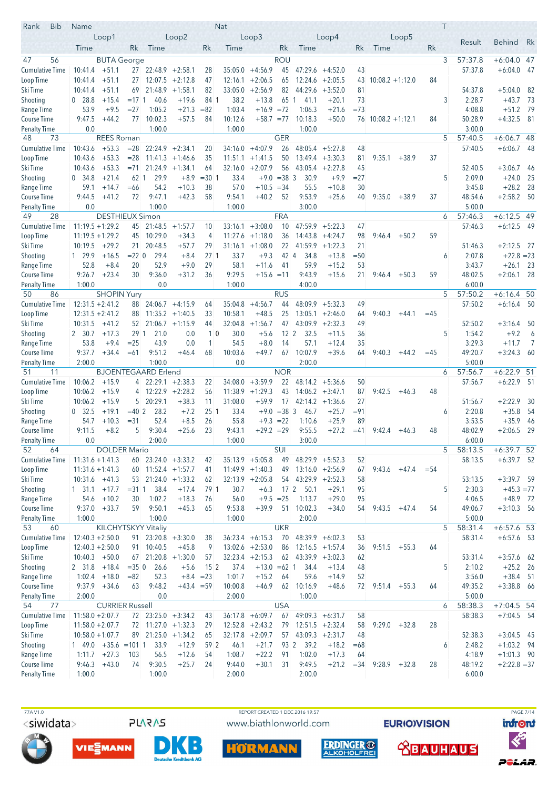| Bib<br>Rank                      | Name                  |                                          |                  |                                          |                    |                 | Nat              |                                        |                         |                         |                                          |              |                      |                 |        | T |                   |                                |             |
|----------------------------------|-----------------------|------------------------------------------|------------------|------------------------------------------|--------------------|-----------------|------------------|----------------------------------------|-------------------------|-------------------------|------------------------------------------|--------------|----------------------|-----------------|--------|---|-------------------|--------------------------------|-------------|
|                                  |                       | Loop1                                    |                  |                                          | Loop2              |                 |                  | Loop3                                  |                         |                         | Loop <sub>4</sub>                        |              |                      | Loop5           |        |   | Result            | <b>Behind</b>                  | Rk          |
|                                  | Time                  |                                          | Rk               | Time                                     |                    | Rk              | Time             |                                        | Rk                      | Time                    |                                          | Rk           | Time                 |                 | Rk     |   |                   |                                |             |
| 56<br>47                         |                       | <b>BUTA</b> George                       |                  |                                          |                    |                 |                  |                                        | <b>ROU</b>              |                         |                                          |              |                      |                 |        | 3 | 57:37.8           | $+6:04.0$ 47                   |             |
| <b>Cumulative Time</b>           | 10:41.4               | $+51.1$                                  |                  | 27 22:48.9                               | $+2:58.1$          | 28              | 35:05.0          | $+4:56.9$                              | 45                      | 47:29.6                 | $+4:52.0$                                | 43           |                      |                 |        |   | 57:37.8           | $+6:04.0$                      | -47         |
| Loop Time                        | 10:41.4               | $+51.1$                                  | 27               | 12:07.5                                  | $+2:12.8$          | 47              | 12:16.1          | $+2:06.5$                              | 65                      |                         | $12:24.6$ +2:05.5                        | 43           | $10:08.2 + 1:12.0$   |                 | 84     |   |                   |                                |             |
| Ski Time                         | 10:41.4               | $+51.1$                                  | 69               | 21:48.9                                  | $+1:58.1$          | 82              | 33:05.0<br>38.2  | $+2:56.9$<br>$+13.8$                   | 82                      | 44:29.6<br>65 1<br>41.1 | $+3:52.0$                                | 81<br>73     |                      |                 |        | 3 | 54:37.8<br>2:28.7 | $+5:04.0$<br>$+43.7$           | -82<br>- 73 |
| Shooting<br>Range Time           | $0\quad 28.8$<br>53.9 | $+15.4$<br>$+9.5$                        | $=17.1$<br>$=27$ | 40.6<br>1:05.2                           | $+19.6$<br>$+21.3$ | 84 1<br>$= 82$  | 1:03.4           | $+16.9 = 72$                           |                         | 1:06.3                  | $+20.1$<br>$+21.6$                       | $=73$        |                      |                 |        |   | 4:08.8            | $+51.2$                        | - 79        |
| Course Time                      | 9:47.5                | $+44.2$                                  | 77               | 10:02.3                                  | $+57.5$            | 84              | 10:12.6          | $+58.7 = 77$                           |                         | 10:18.3                 | $+50.0$                                  |              | $76$ 10:08.2 +1:12.1 |                 | 84     |   | 50:28.9           | $+4:32.5$                      | - 81        |
| <b>Penalty Time</b>              | 0.0                   |                                          |                  | 1:00.0                                   |                    |                 | 1:00.0           |                                        |                         | 1:00.0                  |                                          |              |                      |                 |        |   | 3:00.0            |                                |             |
| 73<br>48                         |                       | <b>REES Roman</b>                        |                  |                                          |                    |                 |                  |                                        | <b>GER</b>              |                         |                                          |              |                      |                 |        | 5 | 57:40.5           | $+6:06.7$ 48                   |             |
| <b>Cumulative Time</b>           | 10:43.6               | $+53.3$                                  | $= 28$           | $22:24.9 +2:34.1$                        |                    | 20              | 34:16.0          | $+4:07.9$                              | 26                      | 48:05.4                 | $+5:27.8$                                | 48           |                      |                 |        |   | 57:40.5           | $+6:06.7$                      | - 48        |
| Loop Time                        | 10:43.6               | $+53.3$                                  | $= 28$           |                                          | $11:41.3 +1:46.6$  | 35              | 11:51.1          | $+1:41.5$                              | 50                      |                         | $13:49.4 + 3:30.3$                       | 81           | 9:35.1               | $+38.9$         | 37     |   |                   |                                |             |
| Ski Time                         | 10:43.6               | $+53.3$                                  |                  | $= 71$ 21:24.9                           | $+1:34.1$          | 64              |                  | $32:16.0 + 2:07.9$                     | 56                      |                         | $43:05.4 +2:27.8$                        | 45           |                      |                 |        |   | 52:40.5           | $+3:06.7$                      | -46         |
| Shooting                         | 0, 34.8               | $+21.4$                                  | 62 1             | 29.9                                     | $+8.9$             | $= 30 1$        | 33.4             | $+9.0$                                 | $=383$                  | 30.9                    | $+9.9$                                   | $= 27$       |                      |                 |        | 5 | 2:09.0            | $+24.0$                        | 25          |
| Range Time                       | 59.1                  | $+14.7$                                  | $=66$            | 54.2                                     | $+10.3$            | 38              | 57.0             | $+10.5$                                | $=34$                   | 55.5                    | $+10.8$                                  | 30           |                      |                 |        |   | 3:45.8            | $+28.2$                        | 28          |
| Course Time                      | 9:44.5                | $+41.2$                                  | 72               | 9:47.1                                   | $+42.3$            | 58              | 9:54.1           | $+40.2$                                | 52                      | 9:53.9                  | $+25.6$                                  | 40           | 9:35.0               | $+38.9$         | 37     |   | 48:54.6           | $+2:58.2$ 50                   |             |
| <b>Penalty Time</b><br>49<br>28  | 0.0                   | <b>DESTHIEUX Simon</b>                   |                  | 1:00.0                                   |                    |                 | 1:00.0           |                                        | <b>FRA</b>              | 3:00.0                  |                                          |              |                      |                 |        | 6 | 5:00.0<br>57:46.3 | $+6:12.5$ 49                   |             |
| <b>Cumulative Time</b>           |                       | $11:19.5 + 1:29.2$                       | 45               | 21:48.5                                  | $+1:57.7$          | 10              | 33:16.1          | $+3:08.0$                              | 10                      | 47:59.9                 | $+5:22.3$                                | 47           |                      |                 |        |   | 57:46.3           | $+6:12.5$ 49                   |             |
| Loop Time                        |                       | $11:19.5 + 1:29.2$                       | 45               | 10:29.0                                  | $+34.3$            | 4               |                  | $11:27.6 +1:18.0$                      | 36                      |                         | $14:43.8 + 4:24.7$                       | 98           | 9:46.4               | $+50.2$         | 59     |   |                   |                                |             |
| Ski Time                         | 10:19.5               | $+29.2$                                  | 21               | 20:48.5                                  | $+57.7$            | 29              |                  | $31:16.1 + 1:08.0$                     | 22                      |                         | $41:59.9 + 1:22.3$                       | 21           |                      |                 |        |   | 51:46.3           | $+2:12.5$                      | - 27        |
| Shooting                         | 1 29.9                | $+16.5$                                  | $= 22 \ 0$       | 29.4                                     | $+8.4$             | 27 <sub>1</sub> | 33.7             | $+9.3$                                 | $42 \mid 4$             | 34.8                    | $+13.8$                                  | $= 50$       |                      |                 |        | 6 | 2:07.8            | $+22.8 = 23$                   |             |
| Range Time                       | 52.8                  | $+8.4$                                   | 20               | 52.9                                     | $+9.0$             | 29              | 58.1             | $+11.6$                                | 41                      | 59.9                    | $+15.2$                                  | 53           |                      |                 |        |   | 3:43.7            | $+26.1$                        | - 23        |
| Course Time                      | 9:26.7                | $+23.4$                                  | 30               | 9:36.0                                   | $+31.2$            | 36              | 9:29.5           | $+15.6 = 11$                           |                         | 9:43.9                  | $+15.6$                                  | 21           | $9:46.4$ +50.3       |                 | 59     |   | 48:02.5           | $+2:06.1$ 28                   |             |
| Penalty Time                     | 1:00.0                |                                          |                  | 0.0                                      |                    |                 | 1:00.0           |                                        |                         | 4:00.0                  |                                          |              |                      |                 |        |   | 6:00.0            |                                |             |
| 86<br>50                         |                       | <b>SHOPIN Yury</b>                       |                  |                                          |                    |                 |                  |                                        | <b>RUS</b>              |                         |                                          |              |                      |                 |        | 5 | 57:50.2           | $+6:16.4$ 50                   |             |
| <b>Cumulative Time</b>           |                       | $12:31.5 + 2:41.2$                       | 88               |                                          | $24:06.7 + 4:15.9$ | 64              | 35:04.8          | $+4:56.7$                              | 44                      | 48:09.9                 | $+5:32.3$                                | 49           |                      |                 |        |   | 57:50.2           | $+6:16.4$ 50                   |             |
| Loop Time                        |                       | $12:31.5 + 2:41.2$                       | 88               |                                          | $11:35.2 +1:40.5$  | 33              | 10:58.1          | $+48.5$                                | 25                      |                         | $13:05.1 + 2:46.0$                       | 64           | 9:40.3               | $+44.1$         | $=45$  |   |                   |                                |             |
| Ski Time                         | 10:31.5               | $+41.2$                                  | 52<br>29 1       | 21.0                                     | $21:06.7 +1:15.9$  | 44<br>10        | 32:04.8<br>30.0  | $+1:56.7$                              | 47<br>$12 \overline{2}$ | 43:09.9<br>32.5         | $+2:32.3$                                | 49<br>36     |                      |                 |        | 5 | 52:50.2<br>1:54.2 | $+3:16.4$<br>$+9.2$            | 50<br>6     |
| Shooting<br>Range Time           | 2 30.7<br>53.8        | $+17.3$<br>$+9.4$                        | $= 25$           | 43.9                                     | 0.0<br>0.0         | 1               | 54.5             | $+5.6$<br>$+8.0$                       | 14                      | 57.1                    | $+11.5$<br>$+12.4$                       | 35           |                      |                 |        |   | 3:29.3            | $+11.7$                        | 7           |
| <b>Course Time</b>               | 9:37.7                | $+34.4$                                  | $=61$            | 9:51.2                                   | $+46.4$            | 68              | 10:03.6          | $+49.7$                                | 67                      | 10:07.9                 | $+39.6$                                  | 64           | 9:40.3               | $+44.2$         | $=45$  |   | 49:20.7           | $+3:24.3$                      | - 60        |
| <b>Penalty Time</b>              | 2:00.0                |                                          |                  | 1:00.0                                   |                    |                 | 0.0              |                                        |                         | 2:00.0                  |                                          |              |                      |                 |        |   | 5:00.0            |                                |             |
| 51<br>11                         |                       |                                          |                  | <b>BJOENTEGAARD Erlend</b>               |                    |                 |                  |                                        | <b>NOR</b>              |                         |                                          |              |                      |                 |        | 6 | 57:56.7           | $+6:22.9$ 51                   |             |
| <b>Cumulative Time</b>           | 10:06.2               | $+15.9$                                  |                  | $4$ 22:29.1 +2:38.3                      |                    | 22              | 34:08.0          | $+3:59.9$                              | 22                      |                         | $48:14.2 +5:36.6$                        | 50           |                      |                 |        |   | 57:56.7           | $+6:22.9$ 51                   |             |
| Loop Time                        | 10:06.2               | $+15.9$                                  | 4                |                                          | $12:22.9$ +2:28.2  | 56              |                  | $11:38.9 +1:29.3$                      | 43                      |                         | $14:06.2 + 3:47.1$                       | 87           | 9:42.5               | $+46.3$         | 48     |   |                   |                                |             |
| Ski Time                         | 10:06.2               | $+15.9$                                  | 5                | 20:29.1                                  | $+38.3$            | 11              | 31:08.0          | $+59.9$                                | 17                      |                         | $42:14.2 +1:36.6$                        | 27           |                      |                 |        |   | 51:56.7           | $+2:22.9$                      | -30         |
| Shooting                         | 0, 32.5               | $+19.1$                                  | $=40.2$          | 28.2                                     | $+7.2$             | 25 <sup>1</sup> | 33.4             | $+9.0$                                 | $=38$ 3                 | 46.7                    | $+25.7$                                  | $= 91$       |                      |                 |        | 6 | 2:20.8            | $+35.8$                        | -54         |
| Range Time                       | 54.7                  | $+10.3$                                  | $= 31$           | 52.4                                     | $+8.5$             | 26              | 55.8             | $+9.3$                                 | $=22$                   | 1:10.6                  | $+25.9$                                  | 89           |                      |                 |        |   | 3:53.5            | $+35.9$                        | 46          |
| <b>Course Time</b>               | 9:11.5<br>0.0         | $+8.2$                                   | 5                | 9:30.4<br>2:00.0                         | $+25.6$            | 23              | 9:43.1<br>1:00.0 | $+29.2 = 29$                           |                         | 9:55.5<br>3:00.0        | $+27.2$                                  | $=41$        | 9:42.4               | $+46.3$         | 48     |   | 48:02.9<br>6:00.0 | $+2:06.5$                      | -29         |
| <b>Penalty Time</b><br>52<br>64  |                       | <b>DOLDER Mario</b>                      |                  |                                          |                    |                 |                  |                                        | SUI                     |                         |                                          |              |                      |                 |        | 5 | 58:13.5           | $+6:39.7$ 52                   |             |
| Cumulative Time                  |                       | $11:31.6 + 1:41.3$                       |                  | $60$ 23:24.0 $+3:33.2$                   |                    | 42              |                  | $35:13.9 + 5:05.8$                     | 49                      |                         | $48:29.9$ +5:52.3                        | 52           |                      |                 |        |   | 58:13.5           | $+6:39.7$ 52                   |             |
| Loop Time                        |                       | $11:31.6 + 1:41.3$                       |                  | $60$ 11:52.4 +1:57.7                     |                    | 41              |                  | $11:49.9 + 1:40.3$                     | 49                      |                         | $13:16.0 + 2:56.9$                       | 67           | 9:43.6               | $+47.4$         | $= 54$ |   |                   |                                |             |
| Ski Time                         |                       | $10:31.6 +41.3$                          | 53               |                                          | $21:24.0 +1:33.2$  | 62              |                  | $32:13.9 +2:05.8$                      |                         | $54$ 43:29.9 +2:52.3    |                                          | 58           |                      |                 |        |   | 53:13.5           | $+3:39.7$ 59                   |             |
| Shooting                         | 1 31.1                | $+17.7$                                  | $= 3111$         | 38.4                                     | $+17.4$            | 79 1            | 30.7             | $+6.3$                                 | 17 <sup>2</sup>         | 50.1                    | $+29.1$                                  | 95           |                      |                 |        | 5 | 2:30.3            | $+45.3 = 77$                   |             |
| Range Time                       | 54.6                  | $+10.2$                                  | 30               | 1:02.2                                   | $+18.3$            | 76              | 56.0             | $+9.5 = 25$                            |                         | 1:13.7                  | $+29.0$                                  | 95           |                      |                 |        |   | 4:06.5            | $+48.9$ 72                     |             |
| Course Time                      |                       | $9:37.0 + 33.7$                          | 59               | 9:50.1                                   | $+45.3$            | 65              | 9:53.8           | $+39.9$                                | 51                      | 10:02.3                 | $+34.0$                                  | 54           | $9:43.5 +47.4$       |                 | 54     |   | 49:06.7           | $+3:10.3$ 56                   |             |
| <b>Penalty Time</b>              | 1:00.0                |                                          |                  | 1:00.0                                   |                    |                 | 1:00.0           |                                        |                         | 2:00.0                  |                                          |              |                      |                 |        |   | 5:00.0            |                                |             |
| 53<br>60                         |                       | KILCHYTSKYY Vitaliy                      |                  |                                          |                    |                 |                  |                                        | <b>UKR</b>              |                         |                                          |              |                      |                 |        | 5 | 58:31.4           | $+6:57.6$ 53                   |             |
| Cumulative Time<br>Loop Time     |                       | $12:40.3 + 2:50.0$<br>$12:40.3 + 2:50.0$ |                  | $91 \mid 23:20.8 + 3:30.0$<br>91 10:40.5 |                    | 38              |                  | $36:23.4 +6:15.3$<br>$13:02.6 +2:53.0$ | 70<br>86                |                         | $48:39.9 + 6:02.3$<br>$12:16.5 + 1:57.4$ | 53           |                      | $9:51.5 + 55.3$ |        |   | 58:31.4           | $+6:57.6$ 53                   |             |
| Ski Time                         |                       | $10:40.3 + 50.0$                         |                  | $67$ 21:20.8 +1:30.0                     | $+45.8$            | -9<br>57        |                  | $32:23.4 +2:15.3$                      | 62                      |                         | $43:39.9 + 3:02.3$                       | 36<br>62     |                      |                 | 64     |   | 53:31.4           | $+3:57.6$ 62                   |             |
| Shooting                         |                       | $2$ 31.8 $+18.4$                         | $=350$           | 26.6                                     | $+5.6$             | 15 <sup>2</sup> | 37.4             | $+13.0 = 62$ 1                         |                         | 34.4                    | $+13.4$                                  | 48           |                      |                 |        | 5 | 2:10.2            | $+25.2$ 26                     |             |
| Range Time                       |                       | $1:02.4$ +18.0                           | $= 82$           | 52.3                                     | $+8.4 = 23$        |                 | 1:01.7           | $+15.2$                                | 64                      | 59.6                    | $+14.9$                                  | 52           |                      |                 |        |   | 3:56.0            | $+38.4$ 51                     |             |
| Course Time                      | 9:37.9                | $+34.6$                                  | 63               | 9:48.2                                   | $+43.4 = 59$       |                 | 10:00.8          | $+46.9$                                | 62                      | 10:16.9                 | $+48.6$                                  | 72           | $9:51.4$ +55.3       |                 | 64     |   | 49:35.2           | $+3:38.8$ 66                   |             |
| <b>Penalty Time</b>              | 2:00.0                |                                          |                  | 0.0                                      |                    |                 | 2:00.0           |                                        |                         | 1:00.0                  |                                          |              |                      |                 |        |   | 5:00.0            |                                |             |
| 77<br>54                         |                       | <b>CURRIER Russell</b>                   |                  |                                          |                    |                 |                  |                                        | <b>USA</b>              |                         |                                          |              |                      |                 |        | 6 | 58:38.3           | $+7:04.5$ 54                   |             |
| <b>Cumulative Time</b>           |                       | $11:58.0 + 2:07.7$                       |                  | 72 23:25.0 +3:34.2                       |                    | 43              |                  | $36:17.8 + 6:09.7$                     | 67                      |                         | $49:09.3 + 6:31.7$                       | 58           |                      |                 |        |   | 58:38.3           | $+7:04.5$ 54                   |             |
| Loop Time                        |                       | $11:58.0 + 2:07.7$                       |                  | 72 11:27.0 +1:32.3                       |                    | 29              |                  | $12:52.8 + 2:43.2$                     | 79                      |                         | $12:51.5 + 2:32.4$                       | 58           |                      | $9:29.0 + 32.8$ | 28     |   |                   |                                |             |
| Ski Time                         |                       | $10:58.0 + 1:07.7$                       |                  | 89 21:25.0 +1:34.2                       |                    | 65              |                  | $32:17.8$ +2:09.7                      | 57                      | $43:09.3 +2:31.7$       |                                          | 48           |                      |                 |        |   | 52:38.3           | $+3:04.5$ 45                   |             |
| Shooting                         |                       | $1$ 49.0 +35.6 = 101 1                   |                  | 33.9                                     | $+12.9$            | 59 2            | 46.1             | $+21.7$                                |                         | 93 2 39.2               | $+18.2$                                  | $=68$        |                      |                 |        | 6 | 2:48.2            | $+1:03.2$ 94                   |             |
| Range Time<br><b>Course Time</b> | 9:46.3                | $1:11.7 +27.3$<br>$+43.0$                | 103<br>74        | 56.5<br>9:30.5                           | $+12.6$<br>$+25.7$ | 54<br>24        | 1:08.7<br>9:44.0 | $+22.2$<br>$+30.1$                     | 91<br>31                | 1:02.0<br>9:49.5        | $+17.3$<br>$+21.2$                       | 64<br>$= 34$ | 9:28.9               | $+32.8$         | 28     |   | 4:18.9<br>48:19.2 | $+1:01.3$ 90<br>$+2:22.8 = 37$ |             |
| <b>Penalty Time</b>              | 1:00.0                |                                          |                  | 1:00.0                                   |                    |                 | 2:00.0           |                                        |                         | 2:00.0                  |                                          |              |                      |                 |        |   | 6:00.0            |                                |             |
|                                  |                       |                                          |                  |                                          |                    |                 |                  |                                        |                         |                         |                                          |              |                      |                 |        |   |                   |                                |             |

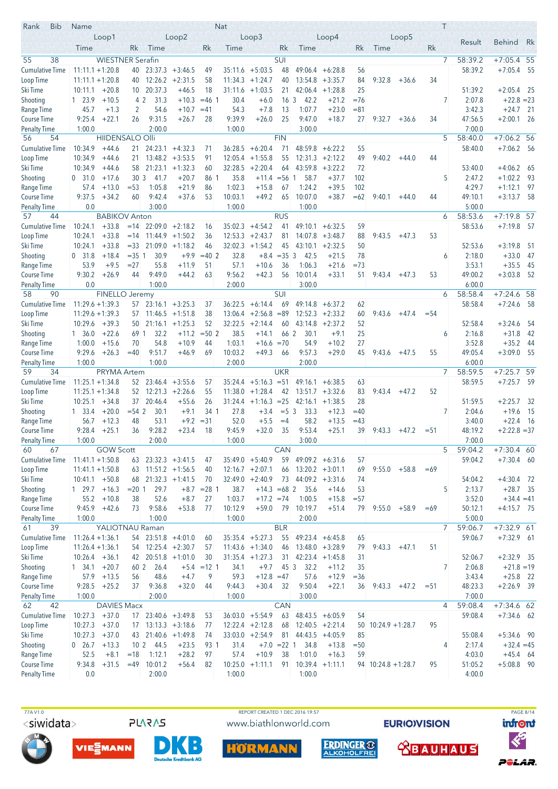| <b>Bib</b><br>Rank                  | Name                                     |                         |                 |                                                |                                          |               | Nat                |                                 |                          |                                         |                                          |          |                      |                   |        | T              |                    |                            |      |
|-------------------------------------|------------------------------------------|-------------------------|-----------------|------------------------------------------------|------------------------------------------|---------------|--------------------|---------------------------------|--------------------------|-----------------------------------------|------------------------------------------|----------|----------------------|-------------------|--------|----------------|--------------------|----------------------------|------|
|                                     |                                          | Loop1                   |                 |                                                | Loop2                                    |               |                    | Loop3                           |                          |                                         | Loop4                                    |          |                      | Loop <sub>5</sub> |        |                | Result             | <b>Behind</b>              | Rk   |
|                                     | Time                                     |                         | Rk              | Time                                           |                                          | Rk            | Time               |                                 | Rk                       | Time                                    |                                          | Rk       | Time                 |                   | Rk     |                |                    |                            |      |
| 38<br>55<br><b>Cumulative Time</b>  |                                          | <b>WIESTNER Serafin</b> |                 |                                                |                                          |               |                    |                                 | SUI                      |                                         |                                          |          |                      |                   |        | $\overline{7}$ | 58:39.2            | $+7:05.4$ 55               |      |
| Loop Time                           | $11:11.1 + 1:20.8$<br>$11:11.1 + 1:20.8$ |                         | 40<br>40        | 12:26.2                                        | $23:37.3 + 3:46.5$<br>$+2:31.5$          | 49<br>58      | 35:11.6<br>11:34.3 | $+5:03.5$<br>$+1:24.7$          | 48<br>40                 |                                         | $49:06.4 + 6:28.8$<br>$13:54.8 + 3:35.7$ | 56<br>84 | 9:32.8               | $+36.6$           | 34     |                | 58:39.2            | $+7:05.4$ 55               |      |
| Ski Time                            | 10:11.1                                  | $+20.8$                 | 10              | 20:37.3                                        | $+46.5$                                  | 18            |                    | $31:11.6 +1:03.5$               | 21                       |                                         | $42:06.4 +1:28.8$                        | 25       |                      |                   |        |                | 51:39.2            | $+2:05.4$ 25               |      |
| Shooting                            | 1 23.9                                   | $+10.5$                 | 4 <sup>2</sup>  | 31.3                                           | $+10.3$                                  | $= 461$       | 30.4               | $+6.0$                          | 16 <sub>3</sub>          | 42.2                                    | $+21.2$                                  | $=76$    |                      |                   |        | 7              | 2:07.8             | $+22.8 = 23$               |      |
| Range Time                          | 45.7                                     | $+1.3$                  | 2               | 54.6                                           | $+10.7$                                  | $=41$         | 54.3               | $+7.8$                          | 13                       | 1:07.7                                  | $+23.0$                                  | $= 81$   |                      |                   |        |                | 3:42.3             | $+24.7$ 21                 |      |
| Course Time                         | 9:25.4                                   | $+22.1$                 | 26              | 9:31.5                                         | $+26.7$                                  | 28            | 9:39.9             | $+26.0$                         | 25                       | 9:47.0                                  | $+18.7$                                  | 27       | 9:32.7               | $+36.6$           | 34     |                | 47:56.5            | $+2:00.1$ 26               |      |
| <b>Penalty Time</b>                 | 1:00.0                                   |                         |                 | 2:00.0                                         |                                          |               | 1:00.0             |                                 |                          | 3:00.0                                  |                                          |          |                      |                   |        |                | 7:00.0             |                            |      |
| 56<br>54                            |                                          | <b>HIIDENSALO Olli</b>  |                 |                                                |                                          |               |                    |                                 | <b>FIN</b>               |                                         |                                          |          |                      |                   |        | 5              | 58:40.0            | $+7:06.2$ 56               |      |
| <b>Cumulative Time</b><br>Loop Time | 10:34.9<br>10:34.9                       | $+44.6$<br>$+44.6$      | 21<br>21        |                                                | $24:23.1 +4:32.3$<br>$13:48.2 + 3:53.5$  | 71<br>91      | 36:28.5<br>12:05.4 | $+6:20.4$<br>$+1:55.8$          | 71<br>55                 | 48:59.8<br>12:31.3                      | $+6:22.2$<br>$+2:12.2$                   | 55<br>49 | 9:40.2               | $+44.0$           | 44     |                | 58:40.0            | $+7:06.2$ 56               |      |
| Ski Time                            | 10:34.9                                  | $+44.6$                 | 58              |                                                | $21:23.1 + 1:32.3$                       | 60            |                    | $32:28.5 +2:20.4$               | 64                       | 43:59.8                                 | $+3:22.2$                                | 72       |                      |                   |        |                | 53:40.0            | $+4:06.2$                  | - 65 |
| Shooting                            | 0, 31.0                                  | $+17.6$                 | 30 <sub>3</sub> | 41.7                                           | $+20.7$                                  | 86 1          | 35.8               | $+11.4 = 561$                   |                          | 58.7                                    | $+37.7$                                  | 102      |                      |                   |        | 5              | 2:47.2             | $+1:02.2$                  | -93  |
| Range Time                          | 57.4                                     | $+13.0$                 | $= 53$          | 1:05.8                                         | $+21.9$                                  | 86            | 1:02.3             | $+15.8$                         | 67                       | 1:24.2                                  | $+39.5$                                  | 102      |                      |                   |        |                | 4:29.7             | $+1:12.1$                  | - 97 |
| Course Time                         | 9:37.5                                   | $+34.2$                 | 60              | 9:42.4                                         | $+37.6$                                  | 53            | 10:03.1            | $+49.2$                         | 65                       | 10:07.0                                 | $+38.7$                                  | $=62$    | 9:40.1               | $+44.0$           | 44     |                | 49:10.1            | $+3:13.7$ 58               |      |
| <b>Penalty Time</b>                 | 0.0                                      |                         |                 | 3:00.0                                         |                                          |               | 1:00.0             |                                 |                          | 1:00.0                                  |                                          |          |                      |                   |        |                | 5:00.0             |                            |      |
| 57<br>44                            |                                          | <b>BABIKOV Anton</b>    |                 |                                                |                                          |               | 35:02.3            |                                 | <b>RUS</b>               |                                         |                                          |          |                      |                   |        | 6              | 58:53.6            | $+7:19.8$ 57               |      |
| <b>Cumulative Time</b><br>Loop Time | 10:24.1<br>10:24.1                       | $+33.8$<br>$+33.8$      | $=14$<br>$=14$  |                                                | $22:09.0 + 2:18.2$<br>$11:44.9 + 1:50.2$ | 16<br>36      |                    | $+4:54.2$<br>$12:53.3 + 2:43.7$ | 41<br>81                 | 49:10.1                                 | $+6:32.5$<br>$14:07.8$ +3:48.7           | 59<br>88 | 9:43.5               | $+47.3$           | 53     |                | 58:53.6            | $+7:19.8$ 57               |      |
| Ski Time                            | 10:24.1                                  | $+33.8$                 | $= 33$          | 21:09.0                                        | $+1:18.2$                                | 46            | 32:02.3            | $+1:54.2$                       | 45                       | 43:10.1                                 | $+2:32.5$                                | 50       |                      |                   |        |                | 52:53.6            | $+3:19.8$                  | - 51 |
| Shooting                            | 0, 31.8                                  | $+18.4$                 | $= 35 \, 1$     | 30.9                                           | $+9.9$                                   | $=40$ 2       | 32.8               | $+8.4$                          | $=353$                   | 42.5                                    | $+21.5$                                  | 78       |                      |                   |        | 6              | 2:18.0             | $+33.0$                    | -47  |
| Range Time                          | 53.9                                     | $+9.5$                  | $= 27$          | 55.8                                           | $+11.9$                                  | 51            | 57.1               | $+10.6$                         | 36                       | 1:06.3                                  | $+21.6$                                  | $= 73$   |                      |                   |        |                | 3:53.1             | $+35.5$                    | 45   |
| <b>Course Time</b>                  | 9:30.2                                   | $+26.9$                 | 44              | 9:49.0                                         | $+44.2$                                  | 63            | 9:56.2             | $+42.3$                         | 56                       | 10:01.4                                 | $+33.1$                                  | 51       | $9:43.4 +47.3$       |                   | 53     |                | 49:00.2            | $+3:03.8$                  | - 52 |
| Penalty Time                        | 0.0                                      |                         |                 | 1:00.0                                         |                                          |               | 2:00.0             |                                 |                          | 3:00.0                                  |                                          |          |                      |                   |        |                | 6:00.0             |                            |      |
| 58<br>90<br><b>Cumulative Time</b>  | $11:29.6 + 1:39.3$                       | FINELLO Jeremy          |                 |                                                |                                          |               |                    |                                 | <b>SUI</b><br>69         | 49:14.8                                 |                                          |          |                      |                   |        | 6              | 58:58.4<br>58:58.4 | +7:24.6<br>$+7:24.6$ 58    | -58  |
| Loop Time                           | $11:29.6 + 1:39.3$                       |                         |                 | $57$ 23:16.1 $+3:25.3$<br>$57$ 11:46.5 +1:51.8 |                                          | 37<br>38      | 36:22.5            | $+6:14.4$<br>$13:06.4 +2:56.8$  | $=89$                    |                                         | $+6:37.2$<br>$12:52.3 + 2:33.2$          | 62<br>60 | 9:43.6               | $+47.4$           | $= 54$ |                |                    |                            |      |
| Ski Time                            | 10:29.6                                  | $+39.3$                 | 50              |                                                | $21:16.1 + 1:25.3$                       | 52            | 32:22.5            | $+2:14.4$                       | 60                       |                                         | $43:14.8 + 2:37.2$                       | 52       |                      |                   |        |                | 52:58.4            | $+3:24.6$                  | -54  |
| Shooting                            | 1, 36.0                                  | $+22.6$                 | 69 1            | 32.2                                           | $+11.2$                                  | $= 502$       | 38.5               | $+14.1$                         | 66 2                     | 30.1                                    | $+9.1$                                   | 25       |                      |                   |        | 6              | 2:16.8             | $+31.8$                    | 42   |
| Range Time                          | 1:00.0                                   | $+15.6$                 | 70              | 54.8                                           | $+10.9$                                  | 44            | 1:03.1             | $+16.6 = 70$                    |                          | 54.9                                    | $+10.2$                                  | 27       |                      |                   |        |                | 3:52.8             | $+35.2$                    | - 44 |
| <b>Course Time</b>                  | 9:29.6                                   | $+26.3$                 | $=40$           | 9:51.7                                         | $+46.9$                                  | 69            | 10:03.2            | $+49.3$                         | 66                       | 9:57.3                                  | $+29.0$                                  | 45       | 9:43.6               | $+47.5$           | 55     |                | 49:05.4            | $+3:09.0$ 55               |      |
| <b>Penalty Time</b><br>59<br>34     | 1:00.0                                   | <b>PRYMA Artem</b>      |                 | 1:00.0                                         |                                          |               | 2:00.0             |                                 | <b>UKR</b>               | 2:00.0                                  |                                          |          |                      |                   |        | $\overline{7}$ | 6:00.0<br>58:59.5  | $+7:25.7$ 59               |      |
| Cumulative Time                     | $11:25.1 + 1:34.8$                       |                         |                 | $52 \quad 23:46.4 \quad +3:55.6$               |                                          | 57            | 35:24.4            | $+5:16.3 = 51$                  |                          | 49:16.1                                 | $+6:38.5$                                | 63       |                      |                   |        |                | 58:59.5            | $+7:25.7$ 59               |      |
| Loop Time                           | $11:25.1 + 1:34.8$                       |                         |                 | $52 \mid 12:21.3 +2:26.6$                      |                                          | 55            | 11:38.0            | $+1:28.4$                       | 42                       |                                         | $13:51.7 + 3:32.6$                       | 83       | 9:43.4               | $+47.2$           | 52     |                |                    |                            |      |
| Ski Time                            | 10:25.1                                  | $+34.8$                 | 37              | 20:46.4                                        | $+55.6$                                  | 26            |                    | $31:24.4 +1:16.3 = 25$          |                          | 42:16.1                                 | $+1:38.5$                                | 28       |                      |                   |        |                | 51:59.5            | $+2:25.7$                  | - 32 |
| Shooting                            | $1 \quad 33.4$                           | $+20.0$                 | $= 542$         | 30.1                                           | $+9.1$                                   | 34 1          | 27.8               | $+3.4$                          | $= 5 \, 3$               | 33.3                                    | $+12.3$                                  | $=40$    |                      |                   |        | 7              | 2:04.6             | $+19.6$                    | - 15 |
| Range Time                          | 56.7                                     | $+12.3$                 | 48              | 53.1                                           | $+9.2$                                   | $= 31$        | 52.0               | $+5.5$                          | $=4$                     | 58.2                                    | $+13.5$                                  | $=43$    |                      |                   |        |                | 3:40.0             | $+22.4$ 16                 |      |
| <b>Course Time</b>                  | 9:28.4                                   | $+25.1$                 | 36              | 9:28.2                                         | $+23.4$                                  | 18            | 9:45.9             | $+32.0$                         | 35                       | 9:53.4                                  | $+25.1$                                  | 39       | 9:43.3               | $+47.2$           | $= 51$ |                | 48:19.2            | $+2:22.8 = 37$             |      |
| <b>Penalty Time</b><br>60<br>67     | 1:00.0                                   | <b>GOW Scott</b>        |                 | 2:00.0                                         |                                          |               | 1:00.0             |                                 | CAN                      | 3:00.0                                  |                                          |          |                      |                   |        | 5              | 7:00.0<br>59:04.2  | $+7:30.4$ 60               |      |
| <b>Cumulative Time</b>              | $11:41.1 + 1:50.8$                       |                         |                 | $63$ $23:32.3$ $+3:41.5$                       |                                          | 47            |                    | $35:49.0 + 5:40.9$              | 59                       | $49:09.2 + 6:31.6$                      |                                          | 57       |                      |                   |        |                | 59:04.2            | $+7:30.4$ 60               |      |
| Loop Time                           | $11:41.1 + 1:50.8$                       |                         |                 | 63 11:51.2 +1:56.5                             |                                          | 40            |                    | $12:16.7 + 2:07.1$              | 66                       | $13:20.2 + 3:01.1$                      |                                          | 69       | 9:55.0               | $+58.8$           | $=69$  |                |                    |                            |      |
| Ski Time                            | $10:41.1 + 50.8$                         |                         | 68              |                                                | $21:32.3 +1:41.5$                        | 70            |                    | $32:49.0 + 2:40.9$              |                          | $73$ 44:09.2 +3:31.6                    |                                          | 74       |                      |                   |        |                | 54:04.2            | $+4:30.4$ 72               |      |
| Shooting                            | 129.7                                    | $+16.3$                 | $= 201$         | 29.7                                           |                                          | $+8.7 = 28$ 1 | 38.7               | $+14.3 = 68$ 2                  |                          | 35.6                                    | $+14.6$                                  | 53       |                      |                   |        | 5              | 2:13.7             | $+28.7$ 35                 |      |
| Range Time                          | 55.2                                     | $+10.8$                 | 38              | 52.6                                           | $+8.7$                                   | 27            | 1:03.7             | $+17.2 = 74$                    |                          | 1:00.5                                  | $+15.8$                                  | $= 57$   |                      |                   |        |                | 3:52.0             | $+34.4 = 41$               |      |
| Course Time<br><b>Penalty Time</b>  | 9:45.9<br>1:00.0                         | $+42.6$                 | 73              | 9:58.6<br>1:00.0                               | $+53.8$                                  | 77            | 10:12.9<br>1:00.0  | $+59.0$                         | - 79                     | 10:19.7<br>2:00.0                       | $+51.4$                                  | 79       | 9:55.0               | $+58.9$           | $=69$  |                | 50:12.1<br>5:00.0  | $+4:15.7$ 75               |      |
| 61<br>39                            |                                          | YALIOTNAU Raman         |                 |                                                |                                          |               |                    |                                 | <b>BLR</b>               |                                         |                                          |          |                      |                   |        | $\overline{7}$ | 59:06.7            | $+7:32.9$ 61               |      |
| <b>Cumulative Time</b>              | $11:26.4 + 1:36.1$                       |                         |                 | $54$ 23:51.8 +4:01.0                           |                                          | 60            |                    | $35:35.4 + 5:27.3$              | 55                       |                                         | $49:23.4 + 6:45.8$                       | 65       |                      |                   |        |                | 59:06.7            | $+7:32.9$ 61               |      |
| Loop Time                           | $11:26.4 + 1:36.1$                       |                         |                 | $54$ 12:25.4 +2:30.7                           |                                          | 57            |                    | $11:43.6 + 1:34.0$              | 46                       |                                         | $13:48.0 + 3:28.9$                       | 79       | 9:43.3               | $+47.1$           | 51     |                |                    |                            |      |
| Ski Time                            | $10:26.4$ +36.1                          |                         |                 | 42 20:51.8 +1:01.0                             |                                          | 30            |                    | $31:35.4 +1:27.3$               | 31                       |                                         | $42:23.4 +1:45.8$                        | 31       |                      |                   |        |                | 52:06.7            | $+2:32.9$ 35               |      |
| Shooting                            | $1 \quad 34.1$                           | $+20.7$                 | $60\,2$         | 26.4                                           |                                          | $+5.4$ = 12 1 | 34.1               | $+9.7$                          | $45\overline{\smash{3}}$ | 32.2                                    | $+11.2$                                  | 35       |                      |                   |        | 7              | 2:06.8             | $+21.8 = 19$               |      |
| Range Time<br><b>Course Time</b>    | 57.9<br>9:28.5                           | $+13.5$<br>$+25.2$      | 56              | 48.6<br>9:36.8                                 | $+4.7$<br>$+32.0$                        | 9             | 59.3<br>9:44.3     | $+12.8 = 47$<br>$+30.4$         | 32                       | 57.6<br>9:50.4                          | $+12.9$<br>$+22.1$                       | $= 36$   |                      |                   |        |                | 3:43.4<br>48:23.3  | $+25.8$ 22                 |      |
| <b>Penalty Time</b>                 | 1:00.0                                   |                         | 37              | 2:00.0                                         |                                          | 44            | 1:00.0             |                                 |                          | 3:00.0                                  |                                          | 36       | $9:43.3 +47.2$       |                   | $= 51$ |                | 7:00.0             | $+2:26.9$ 39               |      |
| 42<br>62                            |                                          | <b>DAVIES Macx</b>      |                 |                                                |                                          |               |                    |                                 | <b>CAN</b>               |                                         |                                          |          |                      |                   |        | 4              | 59:08.4            | $+7:34.6$ 62               |      |
| <b>Cumulative Time</b>              | 10:27.3                                  | $+37.0$                 |                 | $17 \quad 23:40.6 \quad +3:49.8$               |                                          | 53            |                    | $36:03.0 + 5:54.9$              | 63                       |                                         | $48:43.5 + 6:05.9$                       | 54       |                      |                   |        |                | 59:08.4            | $+7:34.6$ 62               |      |
| Loop Time                           | 10:27.3                                  | $+37.0$                 |                 | $17$ 13:13.3 +3:18.6                           |                                          | 77            |                    | $12:22.4 +2:12.8$               | 68                       |                                         | $12:40.5 + 2:21.4$                       | 50       | $10:24.9 + 1:28.7$   |                   | 95     |                |                    |                            |      |
| Ski Time                            | 10:27.3                                  | $+37.0$                 |                 | 43 21:40.6 +1:49.8                             |                                          | 74            |                    | $33:03.0 + 2:54.9$              | 81                       |                                         | $44:43.5 +4:05.9$                        | 85       |                      |                   |        |                | 55:08.4            | $+5:34.6$ 90               |      |
| Shooting                            | $0\quad 26.7$                            | $+13.3$                 |                 | 10 2 44.5                                      | $+23.5$<br>$+28.2$                       | 93 1          | 31.4<br>57.4       |                                 |                          | $+7.0 = 22 \mid 1 \quad 34.8$<br>1:01.0 | $+13.8$                                  | $=50$    |                      |                   |        | 4              | 2:17.4<br>4:03.0   | $+32.4 = 45$               |      |
| Range Time<br><b>Course Time</b>    | 52.5<br>9:34.8                           | $+8.1$<br>$+31.5$       | $=18$<br>$=49$  | 1:12.1<br>10:01.2                              | $+56.4$                                  | 97<br>82      |                    | $+10.9$<br>$10:25.0 +1:11.1$    | 38<br>91                 |                                         | $+16.3$<br>$10:39.4 +1:11.1$             | 59       | $94$ 10:24.8 +1:28.7 |                   | 95     |                | 51:05.2            | $+45.4$ 64<br>$+5:08.8$ 90 |      |
| <b>Penalty Time</b>                 | 0.0                                      |                         |                 | 2:00.0                                         |                                          |               | 1:00.0             |                                 |                          | 1:00.0                                  |                                          |          |                      |                   |        |                | 4:00.0             |                            |      |

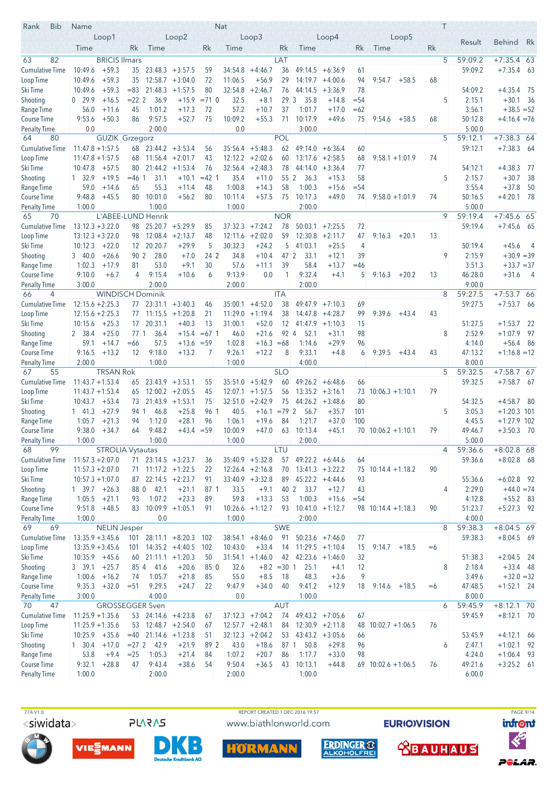| <b>Bib</b><br>Rank                  | Name                                     |                         |                 |                         |                              |            | <b>Nat</b>         |                        |               |                    |                                 |              |                      |      | T              |                   |                                |      |
|-------------------------------------|------------------------------------------|-------------------------|-----------------|-------------------------|------------------------------|------------|--------------------|------------------------|---------------|--------------------|---------------------------------|--------------|----------------------|------|----------------|-------------------|--------------------------------|------|
|                                     |                                          | Loop1                   |                 |                         | Loop2                        |            |                    | Loop3                  |               |                    | Loop <sub>4</sub>               |              | Loop5                |      |                | Result            | <b>Behind</b>                  | Rk   |
|                                     | Time                                     |                         | Rk              | Time                    |                              | Rk         | Time               |                        | Rk            | Time               |                                 | Rk           | Time                 | Rk   |                |                   |                                |      |
| 63<br>82                            |                                          | <b>BRICIS Ilmars</b>    |                 |                         |                              |            |                    |                        | LAT           |                    |                                 |              |                      |      | 5              | 59:09.2           | $+7:35.4$ 63                   |      |
| <b>Cumulative Time</b>              | 10:49.6                                  | $+59.3$                 | 35              | $23:48.3 + 3:57.5$      |                              | 59         | 34:54.8            | $+4:46.7$              | 36            |                    | $49:14.5 + 6:36.9$              | 61           |                      |      |                | 59:09.2           | $+7:35.4$                      | - 63 |
| Loop Time                           | 10:49.6                                  | $+59.3$                 | 35              |                         | $12:58.7 + 3:04.0$           | 72         | 11:06.5            | $+56.9$                | 29            |                    | $14:19.7 + 4:00.6$              | 94           | 9:54.7<br>$+58.5$    | 68   |                |                   |                                |      |
| Ski Time                            | 10:49.6                                  | $+59.3$                 | $= 83$          | 21:48.3                 | $+1:57.5$                    | 80         | 32:54.8            | $+2:46.7$              | 76            | 44:14.5            | $+3:36.9$                       | 78           |                      |      |                | 54:09.2           | $+4:35.4$                      | - 75 |
| Shooting                            | 0, 29.9                                  | $+16.5$                 | $= 222$         | 36.9                    | $+15.9$                      | $= 71$ 0   | 32.5               | $+8.1$                 | 293           | 35.8               | $+14.8$                         | $= 54$       |                      |      | 5              | 2:15.1            | $+30.1$ 36                     |      |
| Range Time<br>Course Time           | 56.0<br>9:53.6                           | $+11.6$<br>$+50.3$      | 45<br>86        | 1:01.2<br>9:57.5        | $+17.3$<br>$+52.7$           | 72<br>75   | 57.2<br>10:09.2    | $+10.7$<br>$+55.3$     | 37<br>71      | 1:01.7<br>10:17.9  | $+17.0$<br>$+49.6$              | $=62$<br>75  | 9:54.6<br>$+58.5$    | 68   |                | 3:56.1<br>50:12.8 | $+38.5 = 52$<br>$+4:16.4 = 76$ |      |
| <b>Penalty Time</b>                 | 0.0                                      |                         |                 | 2:00.0                  |                              |            | 0.0                |                        |               | 3:00.0             |                                 |              |                      |      |                | 5:00.0            |                                |      |
| 80<br>64                            |                                          | <b>GUZIK Grzegorz</b>   |                 |                         |                              |            |                    |                        | <b>POL</b>    |                    |                                 |              |                      |      | 5              | 59:12.1           | $+7:38.3$ 64                   |      |
| <b>Cumulative Time</b>              | $11:47.8 + 1:57.5$                       |                         |                 | $68$ 23:44.2 $+3:53.4$  |                              | 56         |                    | $35:56.4 + 5:48.3$     | 62            | 49:14.0            | $+6:36.4$                       | 60           |                      |      |                | 59:12.1           | $+7:38.3$                      | - 64 |
| Loop Time                           | $11:47.8 + 1:57.5$                       |                         | 68              | $11:56.4 +2:01.7$       |                              | 43         | 12:12.2            | $+2:02.6$              | 60            |                    | $13:17.6$ +2:58.5               | 68           | $9:58.1 + 1:01.9$    | 74   |                |                   |                                |      |
| Ski Time                            | $10:47.8$ +57.5                          |                         | 80              | $21:44.2 +1:53.4$       |                              | 76         | 32:56.4            | $+2:48.3$              | 78            |                    | $44:14.0 +3:36.4$               | 77           |                      |      |                | 54:12.1           | $+4:38.3$                      | - 77 |
| Shooting                            | 1, 32.9                                  | $+19.5$                 | $= 46.1$        | 31.1                    | $+10.1$                      | $=42$ 1    | 35.4               | $+11.0$                | 55 2          | 36.3               | $+15.3$                         | 58           |                      |      | 5              | 2:15.7            | $+30.7$                        | 38   |
| Range Time                          | 59.0                                     | $+14.6$                 | 65              | 55.3                    | $+11.4$                      | 48         | 1:00.8             | $+14.3$                | 58            | 1:00.3             | $+15.6$                         | $= 54$       |                      |      |                | 3:55.4            | $+37.8$                        | 50   |
| Course Time                         | 9:48.8                                   | $+45.5$                 | 80              | 10:01.0                 | $+56.2$                      | 80         | 10:11.4            | $+57.5$                | 75            | 10:17.3            | $+49.0$                         | 74           | $9:58.0 + 1:01.9$    | 74   |                | 50:16.5           | $+4:20.1$                      | - 78 |
| <b>Penalty Time</b><br>70<br>65     | 1:00.0                                   | L'ABEE-LUND Henrik      |                 | 1:00.0                  |                              |            | 1:00.0             |                        | <b>NOR</b>    | 2:00.0             |                                 |              |                      |      | 9              | 5:00.0<br>59:19.4 | $+7:45.6$ 65                   |      |
| <b>Cumulative Time</b>              | $13:12.3 + 3:22.0$                       |                         | 98              |                         | $25:20.7 + 5:29.9$           | 85         | 37:32.3            | $+7:24.2$              | 78            | 50:03.1            | $+7:25.5$                       | 72           |                      |      |                | 59:19.4           | $+7:45.6$ 65                   |      |
| Loop Time                           | $13:12.3 + 3:22.0$                       |                         | 98              | 12:08.4                 | $+2:13.7$                    | 48         | 12:11.6            | $+2:02.0$              | 59            | 12:30.8            | $+2:11.7$                       | 47           | 9:16.3<br>$+20.1$    | 13   |                |                   |                                |      |
| Ski Time                            | 10:12.3                                  | $+22.0$                 |                 | 12 20:20.7              | $+29.9$                      | 5          | 30:32.3            | $+24.2$                | 5             | 41:03.1            | $+25.5$                         | 4            |                      |      |                | 50:19.4           | $+45.6$                        | - 4  |
| Shooting                            | 340.0                                    | $+26.6$                 | 90 2            | 28.0                    | $+7.0$                       | 24 2       | 34.8               | $+10.4$                | 47 2          | 33.1               | $+12.1$                         | 39           |                      |      | 9              | 2:15.9            | $+30.9 = 39$                   |      |
| Range Time                          | 1:02.3                                   | $+17.9$                 | 81              | 53.0                    | $+9.1$                       | 30         | 57.6               | $+11.1$                | 39            | 58.4               | $+13.7$                         | $=46$        |                      |      |                | 3:51.3            | $+33.7 = 37$                   |      |
| Course Time                         | 9:10.0                                   | $+6.7$                  | 4               | 9:15.4                  | $+10.6$                      | 6          | 9:13.9             | 0.0                    | $\mathbf{1}$  | 9:32.4             | $+4.1$                          | 5            | 9:16.3<br>$+20.2$    | 13   |                | 46:28.0           | $+31.6$                        | - 4  |
| <b>Penalty Time</b>                 | 3:00.0                                   |                         |                 | 2:00.0                  |                              |            | 2:00.0             |                        |               | 2:00.0             |                                 |              |                      |      |                | 9:00.0            |                                |      |
| 66<br>4                             |                                          | <b>WINDISCH Dominik</b> |                 |                         |                              |            |                    |                        | <b>ITA</b>    |                    |                                 |              |                      |      | 8              | 59:27.5           | $+7:53.766$                    |      |
| <b>Cumulative Time</b><br>Loop Time | $12:15.6 + 2:25.3$<br>$12:15.6 + 2:25.3$ |                         | 77              | 23:31.1<br>77 11:15.5   | $+3:40.3$<br>$+1:20.8$       | 46<br>21   | 35:00.1<br>11:29.0 | $+4:52.0$<br>$+1:19.4$ | 38<br>38      | 49:47.9            | $+7:10.3$<br>$14:47.8 + 4:28.7$ | 69<br>99     | 9:39.6<br>$+43.4$    | 43   |                | 59:27.5           | $+7:53.7$ 66                   |      |
| Ski Time                            | 10:15.6                                  | $+25.3$                 | 17 <sup>1</sup> | 20:31.1                 | $+40.3$                      | 13         | 31:00.1            | $+52.0$                | 12            |                    | $41:47.9 +1:10.3$               | 15           |                      |      |                | 51:27.5           | $+1:53.7$                      | -22  |
| Shooting                            | 2 38.4                                   | $+25.0$                 | 77 <sub>1</sub> | 36.4                    | $+15.4$                      | $=67$ 1    | 46.0               | $+21.6$                | 92 4          | 52.1               | $+31.1$                         | 98           |                      |      | 8              | 2:52.9            | $+1:07.9$                      | 97   |
| Range Time                          | 59.1                                     | $+14.7$                 | $=66$           | 57.5                    | $+13.6$                      | $= 59$     | 1:02.8             | $+16.3$                | $=68$         | 1:14.6             | $+29.9$                         | 96           |                      |      |                | 4:14.0            | $+56.4$                        | - 86 |
| <b>Course Time</b>                  | 9:16.5                                   | $+13.2$                 | 12              | 9:18.0                  | $+13.2$                      | 7          | 9:26.1             | $+12.2$                | 8             | 9:33.1             | $+4.8$                          | 6            | 9:39.5<br>$+43.4$    | 43   |                | 47:13.2           | $+1:16.8 = 12$                 |      |
| <b>Penalty Time</b>                 | 2:00.0                                   |                         |                 | 1:00.0                  |                              |            | 1:00.0             |                        |               | 4:00.0             |                                 |              |                      |      |                | 8:00.0            |                                |      |
| 67<br>55                            |                                          | <b>TRSAN Rok</b>        |                 |                         |                              |            |                    |                        | <b>SLO</b>    |                    |                                 |              |                      |      | 5              | 59:32.5           | $+7:58.7$ 67                   |      |
| <b>Cumulative Time</b>              | $11:43.7 + 1:53.4$                       |                         | 65              | $23:43.9 + 3:53.1$      |                              | 55         | 35:51.0            | $+5:42.9$              | 60            |                    | $49:26.2 + 6:48.6$              | 66           |                      |      |                | 59:32.5           | $+7:58.7$ 67                   |      |
| Loop Time                           | $11:43.7 + 1:53.4$                       |                         | 65              |                         | $12:00.2 + 2:05.5$           | 45         | 12:07.1            | $+1:57.5$              | 56            |                    | $13:35.2 +3:16.1$               | 73           | $10:06.3 +1:10.1$    | 79   |                |                   |                                |      |
| Ski Time<br>Shooting                | 10:43.7<br>$1 \quad 41.3$                | $+53.4$<br>$+27.9$      | 73<br>94 1      | 46.8                    | $21:43.9 +1:53.1$<br>$+25.8$ | 75<br>96 1 | 32:51.0<br>40.5    | $+2:42.9$<br>$+16.1$   | 75<br>$=79$ 2 | 56.7               | $44:26.2 +3:48.6$<br>$+35.7$    | 80<br>101    |                      |      | 5              | 54:32.5<br>3:05.3 | $+4:58.7$<br>$+1:20.3$ 101     | - 80 |
| Range Time                          | 1:05.7                                   | $+21.3$                 | 94              | 1:12.0                  | $+28.1$                      | 96         | 1:06.1             | $+19.6$                | 84            | 1:21.7             | $+37.0$                         | 100          |                      |      |                | 4:45.5            | $+1:27.9$ 102                  |      |
| <b>Course Time</b>                  | 9:38.0                                   | $+34.7$                 | 64              | 9:48.2                  | $+43.4 = 59$                 |            | 10:00.9            | $+47.0$                | 63            | 10:13.4            | $+45.1$                         |              | $70$ 10:06.2 +1:10.1 | 79   |                | 49:46.7           | $+3:50.3$ 70                   |      |
| <b>Penalty Time</b>                 | 1:00.0                                   |                         |                 | 1:00.0                  |                              |            | 1:00.0             |                        |               | 2:00.0             |                                 |              |                      |      |                | 5:00.0            |                                |      |
| 68<br>99                            |                                          | STROLIA Vytautas        |                 |                         |                              |            |                    |                        | LTU           |                    |                                 |              |                      |      | $\overline{4}$ | 59:36.6           | $+8:02.8$ 68                   |      |
| <b>Cumulative Time</b>              | $11:57.3 + 2:07.0$                       |                         |                 | 71 23:14.5 +3:23.7      |                              | 36         |                    | $35:40.9 + 5:32.8$     | 57            | $49:22.2 + 6:44.6$ |                                 | 64           |                      |      |                | 59:36.6           | $+8:02.8$ 68                   |      |
| Loop Time                           | $11:57.3 + 2:07.0$                       |                         |                 | $71$ 11:17.2 +1:22.5    |                              | 22         |                    | $12:26.4 +2:16.8$      | 70            | $13:41.3 + 3:22.2$ |                                 |              | 75 10:14.4 +1:18.2   | 90   |                |                   |                                |      |
| Ski Time                            | $10:57.3 + 1:07.0$                       |                         | 87              | $22:14.5 +2:23.7$       |                              | 91         |                    | $33:40.9 + 3:32.8$     | 89            | $45:22.2 +4:44.6$  |                                 | 93           |                      |      |                | 55:36.6           | $+6:02.8$ 92                   |      |
| Shooting<br>Range Time              | 1 39.7<br>1:05.5                         | $+26.3$<br>$+21.1$      | 88 0<br>93      | 42.1<br>1:07.2          | $+21.1$<br>$+23.3$           | 87 1<br>89 | 33.5<br>59.8       | $+9.1$<br>$+13.3$      | 40 2<br>53    | 33.7<br>1:00.3     | $+12.7$<br>$+15.6$              | 43<br>$= 54$ |                      |      | 4              | 2:29.0<br>4:12.8  | $+44.0 = 74$<br>$+55.2$ 83     |      |
| Course Time                         | 9:51.8                                   | $+48.5$                 | 83              | $10:09.9 + 1:05.1$      |                              | 91         |                    | $10:26.6 +1:12.7$      | 93            | $10:41.0 +1:12.7$  |                                 |              | $98$ 10:14.4 +1:18.3 | 90   |                | 51:23.7           | $+5:27.3$ 92                   |      |
| <b>Penalty Time</b>                 | 1:00.0                                   |                         |                 | 0.0                     |                              |            | 1:00.0             |                        |               | 2:00.0             |                                 |              |                      |      |                | 4:00.0            |                                |      |
| 69<br>69                            |                                          | <b>NELIN</b> Jesper     |                 |                         |                              |            |                    |                        | <b>SWE</b>    |                    |                                 |              |                      |      | 8              | 59:38.3           | $+8:04.5$ 69                   |      |
| <b>Cumulative Time</b>              | $13:35.9 + 3:45.6$                       |                         | 101             |                         | $28:11.1 + 8:20.3$           | 102        |                    | $38:54.1 + 8:46.0$     | 91            |                    | $50:23.6$ +7:46.0               | 77           |                      |      |                | 59:38.3           | $+8:04.5$ 69                   |      |
| Loop Time                           | $13:35.9 + 3:45.6$                       |                         | 101             |                         | $14:35.2 +4:40.5$            | 102        | 10:43.0            | $+33.4$                | 14            |                    | $11:29.5 +1:10.4$               | 15           | 9:14.7<br>$+18.5$    | $=6$ |                |                   |                                |      |
| Ski Time                            | $10:35.9$ +45.6                          |                         | 60              |                         | $21:11.1 + 1:20.3$           | 50         |                    | $31:54.1 + 1:46.0$     | 42            | $42:23.6 +1:46.0$  |                                 | 32           |                      |      |                | 51:38.3           | $+2:04.5$ 24                   |      |
| Shooting                            | 3, 39.1                                  | $+25.7$                 |                 | 85 4 41.6               | $+20.6$                      | 85 0       | 32.6               | $+8.2 = 30$ 1          |               | 25.1               | $+4.1$                          | 12           |                      |      | 8              | 2:18.4            | $+33.4$ 48                     |      |
| Range Time                          | 1:00.6                                   | $+16.2$                 | 74              | 1:05.7                  | $+21.8$                      | 85         | 55.0               | $+8.5$                 | 18            | 48.3               | $+3.6$                          | 9            |                      |      |                | 3:49.6            | $+32.0 = 32$                   |      |
| Course Time                         | 9:35.3                                   | $+32.0$                 | $= 51$          | 9:29.5<br>4:00.0        | $+24.7$                      | 22         | 9:47.9<br>0.0      | $+34.0$                | 40            | 9:41.2<br>1:00.0   | $+12.9$                         | 18           | $9:14.6$ +18.5       | $=6$ |                | 47:48.5<br>8:00.0 | $+1:52.1$ 24                   |      |
| <b>Penalty Time</b><br>70<br>47     | 3:00.0                                   | <b>GROSSEGGER Sven</b>  |                 |                         |                              |            |                    |                        | <b>AUT</b>    |                    |                                 |              |                      |      | 6              | 59:45.9           | $+8:12.1$ 70                   |      |
| Cumulative Time                     | $11:25.9 + 1:35.6$                       |                         |                 | 53 24:14.6 +4:23.8      |                              | 67         |                    | $37:12.3 +7:04.2$      | 74            |                    | $49:43.2 +7:05.6$               | 67           |                      |      |                | 59:45.9           | $+8:12.1$ 70                   |      |
| Loop Time                           | $11:25.9 + 1:35.6$                       |                         | 53              | $12:48.7 + 2:54.0$      |                              | 67         |                    | $12:57.7 + 2:48.1$     | 84            |                    | $12:30.9 + 2:11.8$              | 48           | $10:02.7 + 1:06.5$   | 76   |                |                   |                                |      |
| Ski Time                            | $10:25.9$ +35.6                          |                         |                 | $=40$ 21:14.6 $+1:23.8$ |                              | 51         |                    | $32:12.3 +2:04.2$      | 53            |                    | $43:43.2 +3:05.6$               | 66           |                      |      |                | 53:45.9           | $+4:12.1$ 66                   |      |
| Shooting                            | $1 \quad 30.4$                           | $+17.0$                 | $= 272$         | 42.9                    | $+21.9$                      | 89 2       | 43.0               | $+18.6$                |               | 87 1 50.8          | $+29.8$                         | 96           |                      |      | 6              | 2:47.1            | $+1:02.1$ 92                   |      |
| Range Time                          | 53.8                                     | $+9.4$                  | $=25$           | 1:05.3                  | $+21.4$                      | 84         | 1:07.2             | $+20.7$                | 86            | 1:17.7             | $+33.0$                         | 98           |                      |      |                | 4:24.0            | $+1:06.4$ 93                   |      |
| <b>Course Time</b>                  | 9:32.1                                   | $+28.8$                 | 47              | 9:43.4                  | $+38.6$                      | 54         | 9:50.4             | $+36.5$                | 43            | 10:13.1            | $+44.8$                         |              | $69$ 10:02.6 +1:06.5 | 76   |                | 49:21.6           | $+3:25.2$ 61                   |      |
| <b>Penalty Time</b>                 | 1:00.0                                   |                         |                 | 2:00.0                  |                              |            | 2:00.0             |                        |               | 1:00.0             |                                 |              |                      |      |                | 6:00.0            |                                |      |

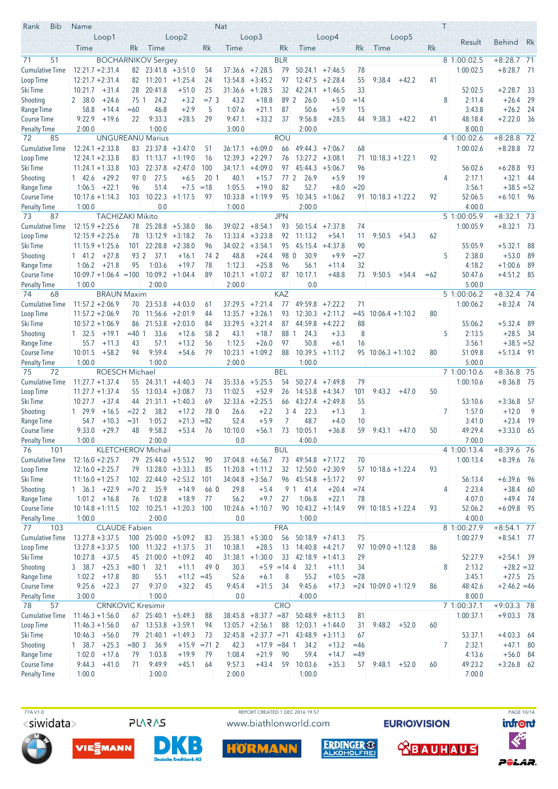| <b>Bib</b><br>Rank                        | Name                                          |                         |                            |                                          |                      | Nat                |                           |                  |                                  |                                         |                |                        |         |       | T |                          |                              |            |
|-------------------------------------------|-----------------------------------------------|-------------------------|----------------------------|------------------------------------------|----------------------|--------------------|---------------------------|------------------|----------------------------------|-----------------------------------------|----------------|------------------------|---------|-------|---|--------------------------|------------------------------|------------|
|                                           | Loop1                                         |                         |                            | Loop2                                    |                      |                    | Loop <sub>3</sub>         |                  |                                  | Loop <sub>4</sub>                       |                |                        | Loop5   |       |   | Result                   | <b>Behind</b>                | Rk         |
|                                           | Time                                          | Rk                      | Time                       |                                          | Rk                   | Time               |                           | Rk               | Time                             |                                         | Rk             | Time                   |         | Rk    |   |                          |                              |            |
| 71<br>51                                  |                                               |                         | <b>BOCHARNIKOV Sergey</b>  |                                          |                      |                    |                           | <b>BLR</b>       |                                  |                                         |                |                        |         |       |   | 8 1:00:02.5              | $+8:28.7$ 71                 |            |
| <b>Cumulative Time</b>                    | $12:21.7 + 2:31.4$                            |                         | $82 \mid 23:41.8 + 3:51.0$ |                                          | 54                   | 37:36.6            | $+7:28.5$                 | 79               | 50:24.1                          | $+7:46.5$                               | 78             |                        |         |       |   | 1:00:02.5                | $+8:28.7$ 71                 |            |
| Loop Time                                 | $12:21.7 + 2:31.4$                            | 82                      |                            | $11:20.1 + 1:25.4$                       | 24                   | 13:54.8            | $+3:45.2$                 | 97               |                                  | $12:47.5 + 2:28.4$                      | 55             | 9:38.4                 | $+42.2$ | 41    |   |                          |                              |            |
| Ski Time                                  | $+31.4$<br>10:21.7                            | 28                      | 20:41.8                    | $+51.0$                                  | 25                   | 31:36.6            | $+1:28.5$                 | 32               | 42:24.1                          | $+1:46.5$                               | 33             |                        |         |       |   | 52:02.5                  | $+2:28.7$                    | -33        |
| Shooting                                  | 2 38.0<br>$+24.6$                             | 75 1<br>$=60$           | 24.2<br>46.8               | $+3.2$<br>$+2.9$                         | $=7.3$<br>5          | 43.2<br>1:07.6     | $+18.8$<br>$+21.1$        | 89 2<br>87       | 26.0<br>50.6                     | $+5.0$<br>$+5.9$                        | $=14$<br>15    |                        |         |       | 8 | 2:11.4<br>3:43.8         | $+26.4$<br>$+26.2$           | 29<br>- 24 |
| Range Time<br><b>Course Time</b>          | 58.8<br>$+14.4$<br>9:22.9<br>$+19.6$          | 22                      | 9:33.3                     | $+28.5$                                  | 29                   | 9:47.1             | $+33.2$                   | 37               | 9:56.8                           | $+28.5$                                 | 44             | 9:38.3                 | $+42.2$ | 41    |   | 48:18.4                  | $+2:22.0$                    | - 36       |
| <b>Penalty Time</b>                       | 2:00.0                                        |                         | 1:00.0                     |                                          |                      | 3:00.0             |                           |                  | 2:00.0                           |                                         |                |                        |         |       |   | 8:00.0                   |                              |            |
| 72<br>85                                  |                                               |                         | <b>UNGUREANU Marius</b>    |                                          |                      |                    |                           | <b>ROU</b>       |                                  |                                         |                |                        |         |       |   | 4 1:00:02.6              | $+8:28.8$ 72                 |            |
| <b>Cumulative Time</b>                    | $12:24.1 + 2:33.8$                            | 83                      |                            | $23:37.8 + 3:47.0$                       | 51                   | 36:17.1            | $+6:09.0$                 | 66               | 49:44.3                          | $+7:06.7$                               | 68             |                        |         |       |   | 1:00:02.6                | $+8:28.8$                    | - 72       |
| Loop Time                                 | $12:24.1 + 2:33.8$                            | 83                      |                            | $11:13.7 +1:19.0$                        | 16                   | 12:39.3            | $+2:29.7$                 | 76               |                                  | $13:27.2 + 3:08.1$                      | 71             | $10:18.3 + 1:22.1$     |         | 92    |   |                          |                              |            |
| Ski Time                                  | $11:24.1 + 1:33.8$                            |                         | $103$ $22:37.8$ $+2:47.0$  |                                          | 100                  | 34:17.1            | $+4:09.0$                 | 97               | 45:44.3                          | $+5:06.7$                               | 96             |                        |         |       |   | 56:02.6                  | $+6:28.8$                    | - 93       |
| Shooting                                  | $+29.2$<br>142.6                              | 970                     | 27.5                       | $+6.5$                                   | 20 <sub>1</sub>      | 40.1               | $+15.7$                   | 772              | 26.9                             | $+5.9$                                  | 19             |                        |         |       | 4 | 2:17.1                   | $+32.1$                      | - 44       |
| Range Time                                | $+22.1$<br>1:06.5                             | 96                      | 51.4                       | $+7.5$                                   | $=18$                | 1:05.5             | $+19.0$                   | 82               | 52.7                             | $+8.0$                                  | $= 20$         |                        |         |       |   | 3:56.1                   | $+38.5 = 52$                 |            |
| Course Time                               | $10:17.6 + 1:14.3$                            | 103                     | 10:22.3                    | $+1:17.5$                                | 97                   | 10:33.8            | $+1:19.9$                 | 95               | 10:34.5                          | $+1:06.2$                               |                | $91$ 10:18.3 +1:22.2   |         | 92    |   | 52:06.5                  | $+6:10.1$ 96                 |            |
| <b>Penalty Time</b>                       | 1:00.0                                        |                         | 0.0                        |                                          |                      | 1:00.0             |                           |                  | 2:00.0                           |                                         |                |                        |         |       |   | 4:00.0                   |                              |            |
| 87<br>73<br><b>Cumulative Time</b>        | <b>TACHIZAKI Mikito</b><br>$12:15.9 + 2:25.6$ | 78                      |                            | $25:28.8$ +5:38.0                        | 86                   | 39:02.2            | $+8:54.1$                 | <b>JPN</b><br>93 | 50:15.4                          | $+7:37.8$                               | 74             |                        |         |       |   | 5 1:00:05.9<br>1:00:05.9 | $+8:32.1$ 73<br>$+8:32.1$ 73 |            |
| Loop Time                                 | $12:15.9 + 2:25.6$                            | 78                      |                            | $13:12.9 + 3:18.2$                       | 76                   |                    | $13:33.4 + 3:23.8$        | 92               | 11:13.2                          | $+54.1$                                 | 11             | 9:50.5                 | $+54.3$ | 62    |   |                          |                              |            |
| Ski Time                                  | $11:15.9 + 1:25.6$                            | 101                     |                            | $22:28.8 + 2:38.0$                       | 96                   | 34:02.2            | $+3:54.1$                 | 95               | 45:15.4                          | $+4:37.8$                               | 90             |                        |         |       |   | 55:05.9                  | $+5:32.1$                    | -88        |
| Shooting                                  | $+27.8$<br>$1 \quad 41.2$                     | 93 2                    | 37.1                       | $+16.1$                                  | 74 2                 | 48.8               | $+24.4$                   | 98 0             | 30.9                             | $+9.9$                                  | $=27$          |                        |         |       | 5 | 2:38.0                   | $+53.0$                      | 89         |
| Range Time                                | 1:06.2<br>$+21.8$                             | 95                      | 1:03.6                     | $+19.7$                                  | 78                   | 1:12.3             | $+25.8$                   | 96               | 56.1                             | $+11.4$                                 | 32             |                        |         |       |   | 4:18.2                   | $+1:00.6$                    | 89         |
| Course Time                               | $10:09.7 + 1:06.4 = 100$                      |                         |                            | $10:09.2 +1:04.4$                        | 89                   | 10:21.1            | $+1:07.2$                 | 87               | 10:17.1                          | $+48.8$                                 | 73             | 9:50.5                 | $+54.4$ | $=62$ |   | 50:47.6                  | $+4:51.2$ 85                 |            |
| <b>Penalty Time</b>                       | 1:00.0                                        |                         | 2:00.0                     |                                          |                      | 2:00.0             |                           |                  | 0.0                              |                                         |                |                        |         |       |   | 5:00.0                   |                              |            |
| 74<br>68                                  | <b>BRAUN Maxim</b>                            |                         |                            |                                          |                      |                    |                           | <b>KAZ</b>       |                                  |                                         |                |                        |         |       |   | 5 1:00:06.2              | $+8:32.4$ 74                 |            |
| <b>Cumulative Time</b>                    | $11:57.2 + 2:06.9$                            |                         | $70$ $23:53.8$ $+4:03.0$   |                                          | 61                   | 37:29.5            | $+7:21.4$                 | 77               | 49:59.8                          | $+7:22.2$                               | 71             |                        |         |       |   | 1:00:06.2                | $+8:32.4$ 74                 |            |
| Loop Time                                 | $11:57.2 + 2:06.9$                            | 70                      |                            | $11:56.6 + 2:01.9$                       | 44                   | 13:35.7            | $+3:26.1$                 | 93               |                                  | $12:30.3 + 2:11.2$                      | $=45$          | $10:06.4 + 1:10.2$     |         | 80    |   |                          |                              |            |
| Ski Time                                  | $10:57.2 + 1:06.9$<br>$+19.1$                 | 86<br>$= 401$           | 21:53.8<br>33.6            | $+2:03.0$<br>$+12.6$                     | 84<br>58 2           | 33:29.5<br>43.1    | $+3:21.4$<br>$+18.7$      | 87<br>88 1       | 44:59.8<br>24.3                  | $+4:22.2$<br>$+3.3$                     | 88<br>8        |                        |         |       | 5 | 55:06.2<br>2:13.5        | $+5:32.4$<br>$+28.5$         | -89        |
| Shooting<br>Range Time                    | $1 \quad 32.5$<br>55.7<br>$+11.3$             | 43                      | 57.1                       | $+13.2$                                  | 56                   | 1:12.5             | $+26.0$                   | 97               | 50.8                             | $+6.1$                                  | 16             |                        |         |       |   | 3:56.1                   | $+38.5 = 52$                 | - 34       |
| <b>Course Time</b>                        | 10:01.5<br>$+58.2$                            | 94                      | 9:59.4                     | $+54.6$                                  | 79                   | 10:23.1            | $+1:09.2$                 | 88               | 10:39.5                          | $+1:11.2$                               |                | $95$ 10:06.3 +1:10.2   |         | 80    |   | 51:09.8                  | $+5:13.4$ 91                 |            |
| <b>Penalty Time</b>                       | 1:00.0                                        |                         | 1:00.0                     |                                          |                      | 2:00.0             |                           |                  | 1:00.0                           |                                         |                |                        |         |       |   | 5:00.0                   |                              |            |
| 75<br>72                                  | ROESCH Michael                                |                         |                            |                                          |                      |                    |                           | <b>BEL</b>       |                                  |                                         |                |                        |         |       |   | 71:00:10.6               | $+8:36.8$ 75                 |            |
| <b>Cumulative Time</b>                    | $11:27.7 + 1:37.4$                            |                         | $55$ 24:31.1 +4:40.3       |                                          | 74                   | 35:33.6            | $+5:25.5$                 | 54               |                                  | $50:27.4$ +7:49.8                       | 79             |                        |         |       |   | 1:00:10.6                | $+8:36.8$ 75                 |            |
| Loop Time                                 | $11:27.7 + 1:37.4$                            | 55                      |                            | $13:03.4$ $+3:08.7$                      | 73                   | 11:02.5            | $+52.9$                   | 26               |                                  | $14:53.8 +4:34.7$                       | 101            | 9:43.2                 | $+47.0$ | 50    |   |                          |                              |            |
| Ski Time                                  | 10:27.7<br>$+37.4$                            | 44                      |                            | $21:31.1 +1:40.3$                        | 69                   | 32:33.6            | $+2:25.5$                 | 66               |                                  | $43:27.4 +2:49.8$                       | 55             |                        |         |       |   | 53:10.6                  | $+3:36.8$                    | - 57       |
| Shooting                                  | $+16.5$<br>1 29.9                             | $= 222$                 | 38.2                       | $+17.2$                                  | 78 0                 | 26.6               | $+2.2$                    |                  | 3 <sup>4</sup><br>22.3           | $+1.3$                                  | 3              |                        |         |       | 7 | 1:57.0                   | $+12.0$                      | 9          |
| Range Time                                | $+10.3$<br>54.7                               | $= 31$                  | 1:05.2                     | $+21.3$                                  | $= 82$               | 52.4               | $+5.9$                    | 7                | 48.7                             | $+4.0$                                  | 10             |                        |         |       |   | 3:41.0                   | $+23.4$                      | - 19       |
| <b>Course Time</b><br><b>Penalty Time</b> | $+29.7$<br>9:33.0<br>1:00.0                   | 48                      | 9:58.2<br>2:00.0           | $+53.4$                                  | 76                   | 10:10.0<br>0.0     | $+56.1$                   | 73               | 10:05.1<br>4:00.0                | $+36.8$                                 | 59             | 9:43.1                 | $+47.0$ | 50    |   | 49:29.4<br>7:00.0        | $+3:33.0$                    | - 65       |
| 76<br>101                                 |                                               |                         | KLETCHEROV Michail         |                                          |                      |                    |                           | <b>BUL</b>       |                                  |                                         |                |                        |         |       |   | 4 1:00:13.4              | +8:39.6 76                   |            |
| <b>Cumulative Time</b>                    | $12:16.0 + 2:25.7$                            |                         | $79$ 25:44.0 $+5:53.2$     |                                          | 90                   |                    | $37:04.8 + 6:56.7$        | 73               |                                  | $49:54.8$ +7:17.2                       | 70             |                        |         |       |   | 1:00:13.4                | $+8:39.6$ 76                 |            |
| Loop Time                                 | $12:16.0 + 2:25.7$                            |                         | 79 13:28.0 +3:33.3         |                                          | 85                   |                    | $11:20.8 +1:11.2$         | 32               |                                  | $12:50.0 + 2:30.9$                      |                | $57$ 10:18.6 +1:22.4   |         | 93    |   |                          |                              |            |
| Ski Time                                  | $11:16.0 + 1:25.7$                            |                         |                            | $102$ 22:44.0 +2:53.2                    | 101                  |                    | $34:04.8$ +3:56.7         |                  | $96$ 45:54.8 +5:17.2             |                                         | 97             |                        |         |       |   | 56:13.4                  | $+6:39.6$ 96                 |            |
| Shooting                                  | $1 \t36.3 +22.9$                              | $= 702$                 | 35.9                       | $+14.9$                                  | 66 0                 | 29.8               | $+5.4$                    |                  | 41.4<br>9 1                      | $+20.4$                                 | $=74$          |                        |         |       | 4 | 2:23.4                   | $+38.4$ 60                   |            |
| Range Time                                | $1:01.2 + 16.8$                               | 76                      | 1:02.8                     | $+18.9$                                  | 77                   | 56.2               | $+9.7$                    | 27               | 1:06.8                           | $+22.1$                                 | 78             |                        |         |       |   | 4:07.0                   | $+49.4$ 74                   |            |
| Course Time                               | $10:14.8 + 1:11.5$                            |                         |                            | 102 10:25.1 +1:20.3 100                  |                      |                    | $10:24.6$ +1:10.7         | 90               |                                  | $10:43.2 +1:14.9$                       |                | 99 10:18.5 +1:22.4     |         | 93    |   | 52:06.2                  | $+6:09.8$ 95                 |            |
| <b>Penalty Time</b>                       | 1:00.0                                        |                         | 2:00.0                     |                                          |                      | 0.0                |                           |                  | 1:00.0                           |                                         |                |                        |         |       |   | 4:00.0                   |                              |            |
| 77<br>103                                 | <b>CLAUDE Fabien</b>                          |                         |                            |                                          |                      |                    |                           | <b>FRA</b>       |                                  |                                         |                |                        |         |       |   | 8 1:00:27.9              | $+8:54.1$ 77                 |            |
| <b>Cumulative Time</b><br>Loop Time       | $13:27.8 + 3:37.5$<br>$13:27.8 + 3:37.5$      | 100<br>100 <sub>1</sub> |                            | $25:00.0 + 5:09.2$<br>$11:32.2 + 1:37.5$ | 83<br>31             | 35:38.1<br>10:38.1 | $+5:30.0$<br>$+28.5$      | 56<br>13         |                                  | $50:18.9 +7:41.3$<br>$14:40.8 + 4:21.7$ | 75<br>97       | $10:09.0 + 1:12.8$     |         | 86    |   | 1:00:27.9                | $+8:54.1$ 77                 |            |
| Ski Time                                  | $10:27.8$ +37.5                               | 45                      |                            | $21:00.0 + 1:09.2$                       | 40                   |                    | $31:38.1 + 1:30.0$        |                  | $33 \quad 42:18.9 \quad +1:41.3$ |                                         | 29             |                        |         |       |   | 52:27.9                  | $+2:54.1$ 39                 |            |
| Shooting                                  | $+25.3$<br>3 38.7                             | $= 80$ 1                | 32.1                       | $+11.1$                                  | 49 0                 | 30.3               |                           | $+5.9$ = 14 4    | 32.1                             | $+11.1$                                 | 34             |                        |         |       | 8 | 2:13.2                   | $+28.2 = 32$                 |            |
| Range Time                                | 1:02.2<br>$+17.8$                             | 80                      | 55.1                       | $+11.2 = 45$                             |                      | 52.6               | $+6.1$                    | 8                | 55.2                             | $+10.5$                                 | $= 28$         |                        |         |       |   | 3:45.1                   | $+27.5$ 25                   |            |
| Course Time                               | 9:25.6<br>$+22.3$                             | 27                      | 9:37.0                     | $+32.2$                                  | 45                   | 9:45.4             | $+31.5$                   | 34               | 9:45.6                           | $+17.3$                                 |                | $= 24$ 10:09.0 +1:12.9 |         | 86    |   | 48:42.6                  | $+2:46.2 = 46$               |            |
| <b>Penalty Time</b>                       | 3:00.0                                        |                         | 1:00.0                     |                                          |                      | 0.0                |                           |                  | 4:00.0                           |                                         |                |                        |         |       |   | 8:00.0                   |                              |            |
| 57<br>78                                  | <b>CRNKOVIC Kresimir</b>                      |                         |                            |                                          |                      |                    |                           | <b>CRO</b>       |                                  |                                         |                |                        |         |       |   | 7 1:00:37.1              | $+9:03.3$ 78                 |            |
| Cumulative Time                           | $11:46.3 + 1:56.0$                            |                         | $67$ 25:40.1 +5:49.3       |                                          | 88                   |                    | $38:45.8 + 8:37.7 = 87$   |                  |                                  | $50:48.9 + 8:11.3$                      | 81             |                        |         |       |   | 1:00:37.1                | $+9:03.3$ 78                 |            |
| Loop Time                                 | $11:46.3 + 1:56.0$                            | 67                      |                            | $13:53.8 + 3:59.1$                       | 94                   |                    | $13:05.7 +2:56.1$         | 88               |                                  | $12:03.1 + 1:44.0$                      | 31             | 9:48.2                 | $+52.0$ | 60    |   |                          |                              |            |
| Ski Time                                  | $10:46.3 + 56.0$                              |                         | 79 21:40.1 +1:49.3         |                                          | 73                   |                    | $32:45.8 +2:37.7 = 71$    |                  |                                  | $43:48.9 + 3:11.3$                      | 67             |                        |         |       |   | 53:37.1                  | $+4:03.3$ 64                 |            |
| Shooting<br>Range Time                    | $+25.3$<br>1 38.7<br>1:02.0<br>$+17.6$        | $= 803$<br>79           | 36.9<br>1:03.8             | $+19.9$                                  | $+15.9$ = 71 2<br>79 | 42.3<br>1:08.4     | $+17.9 = 84$ 1<br>$+21.9$ | 90               | 34.2<br>59.4                     | $+13.2$<br>$+14.7$                      | $=46$<br>$=49$ |                        |         |       | 7 | 2:32.1<br>4:13.6         | $+47.1$ 80<br>$+56.0$ 84     |            |
| <b>Course Time</b>                        | 9:44.3<br>$+41.0$                             | 71                      | 9:49.9                     | $+45.1$                                  | 64                   | 9:57.3             | $+43.4$                   | 59               | 10:03.6                          | $+35.3$                                 | 57             | 9:48.1                 | $+52.0$ | 60    |   | 49:23.2                  | $+3:26.8$ 62                 |            |
| <b>Penalty Time</b>                       | 1:00.0                                        |                         | 3:00.0                     |                                          |                      | 2:00.0             |                           |                  | 1:00.0                           |                                         |                |                        |         |       |   | 7:00.0                   |                              |            |
|                                           |                                               |                         |                            |                                          |                      |                    |                           |                  |                                  |                                         |                |                        |         |       |   |                          |                              |            |

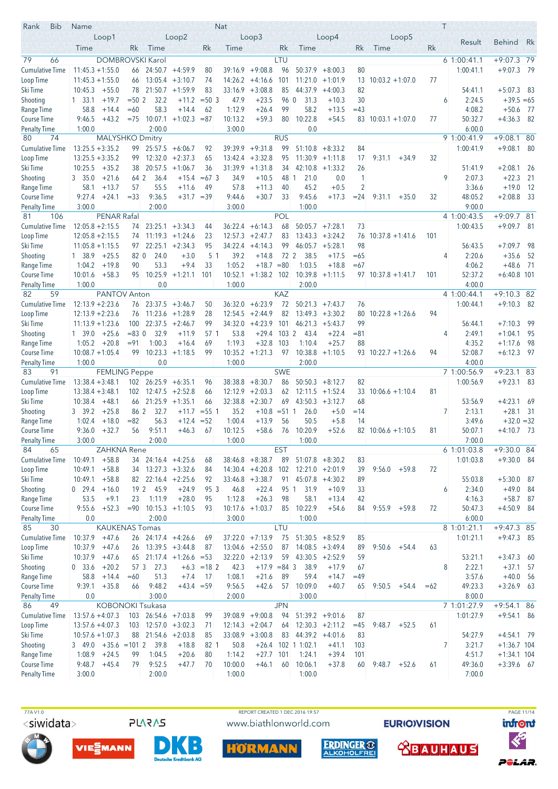| <b>Bib</b><br>Rank                 | Name                                                    |                        |                 |                                                          |                                  |                     | Nat                |                                         |            |                                  |                                          |                          |                            |       | T |                          |                               |              |
|------------------------------------|---------------------------------------------------------|------------------------|-----------------|----------------------------------------------------------|----------------------------------|---------------------|--------------------|-----------------------------------------|------------|----------------------------------|------------------------------------------|--------------------------|----------------------------|-------|---|--------------------------|-------------------------------|--------------|
|                                    |                                                         | Loop1                  |                 |                                                          | Loop2                            |                     |                    | Loop3                                   |            |                                  | Loop4                                    |                          | Loop5                      |       |   | Result                   | <b>Behind</b>                 | Rk           |
|                                    | Time                                                    |                        | Rk              | Time                                                     |                                  | Rk                  | Time               |                                         | Rk         | Time                             |                                          | Rk                       | Time                       | Rk    |   |                          |                               |              |
| 79<br>66                           |                                                         |                        |                 | DOMBROVSKI Karol                                         |                                  |                     |                    |                                         | LTU        |                                  |                                          |                          |                            |       |   | 61:00:41.1               | $+9:07.3$ 79                  |              |
| <b>Cumulative Time</b>             | $11:45.3 + 1:55.0$                                      |                        | 66              |                                                          | $24:50.7 + 4:59.9$               | 80                  | 39:16.9            | $+9:08.8$                               | 96         | 50:37.9                          | $+8:00.3$                                | 80                       |                            |       |   | 1:00:41.1                | $+9:07.3$                     | - 79         |
| Loop Time                          | $11:45.3 + 1:55.0$                                      |                        | 66              | $13:05.4 + 3:10.7$                                       |                                  | 74                  | 14:26.2            | $+4:16.6$                               | 101        |                                  | $11:21.0 +1:01.9$                        | 13                       | $10:03.2 + 1:07.0$         | 77    |   |                          |                               |              |
| Ski Time<br>Shooting               | 10:45.3<br>$1 \quad 33.1$                               | $+55.0$<br>$+19.7$     | $= 502$         | 78 21:50.7 +1:59.9<br>32.2                               |                                  | 83<br>$+11.2 = 503$ | 33:16.9<br>47.9    | $+3:08.8$<br>$+23.5$                    | 85<br>96 0 | 44:37.9<br>31.3                  | $+4:00.3$<br>$+10.3$                     | 82<br>30                 |                            |       | 6 | 54:41.1<br>2:24.5        | $+5:07.3$ 83<br>$+39.5 = 65$  |              |
| Range Time                         | 58.8                                                    | $+14.4$                | $=60$           | 58.3                                                     | $+14.4$                          | 62                  | 1:12.9             | $+26.4$                                 | 99         | 58.2                             | $+13.5$                                  | $=43$                    |                            |       |   | 4:08.2                   | $+50.6$ 77                    |              |
| Course Time                        | 9:46.5                                                  | $+43.2$                | $= 75$          | 10:07.1                                                  | $+1:02.3 = 87$                   |                     | 10:13.2            | $+59.3$                                 | 80         | 10:22.8                          | $+54.5$                                  |                          | $83$ 10:03.1 +1:07.0       | 77    |   | 50:32.7                  | $+4:36.3$ 82                  |              |
| <b>Penalty Time</b>                | 1:00.0                                                  |                        |                 | 2:00.0                                                   |                                  |                     | 3:00.0             |                                         |            | 0.0                              |                                          |                          |                            |       |   | 6:00.0                   |                               |              |
| 80<br>74                           |                                                         | <b>MALYSHKO Dmitry</b> |                 |                                                          |                                  |                     |                    |                                         | <b>RUS</b> |                                  |                                          |                          |                            |       |   | 9 1:00:41.9              | $+9:08.1$ 80                  |              |
| <b>Cumulative Time</b>             | $13:25.5 + 3:35.2$                                      |                        | 99.             | $25:57.5 + 6:06.7$                                       |                                  | 92                  | 39:39.9            | $+9:31.8$                               | 99         | 51:10.8                          | $+8:33.2$                                | 84                       |                            |       |   | 1:00:41.9                | $+9:08.1$ 80                  |              |
| Loop Time                          | $13:25.5 + 3:35.2$                                      |                        | 99              | 12:32.0                                                  | $+2:37.3$                        | 65                  | 13:42.4            | $+3:32.8$                               | 95         |                                  | $11:30.9 +1:11.8$                        | 17                       | 9:31.1<br>$+34.9$          | 32    |   |                          |                               |              |
| Ski Time                           | $10:25.5 + 35.2$                                        |                        | 38              | 20:57.5                                                  | $+1:06.7$                        | 36                  |                    | $31:39.9 +1:31.8$                       | 34         | 42:10.8                          | $+1:33.2$                                | 26                       |                            |       |   | 51:41.9                  | $+2:08.1$                     | - 26         |
| Shooting                           | 3 35.0                                                  | $+21.6$                | 64 2            | 36.4                                                     | $+15.4$                          | $=673$              | 34.9               | $+10.5$                                 | 48 1       | 21.0                             | 0.0                                      | 1                        |                            |       | 9 | 2:07.3                   | $+22.3$                       | -21          |
| Range Time<br>Course Time          | 58.1<br>9:27.4                                          | $+13.7$<br>$+24.1$     | 57<br>$=33$     | 55.5<br>9:36.5                                           | $+11.6$<br>$+31.7 = 39$          | 49                  | 57.8<br>9:44.6     | $+11.3$<br>$+30.7$                      | 40<br>33   | 45.2<br>9:45.6                   | $+0.5$<br>$+17.3$                        | $\overline{2}$<br>$= 24$ | 9:31.1<br>$+35.0$          | 32    |   | 3:36.6<br>48:05.2        | $+19.0$<br>$+2:08.8$          | - 12<br>- 33 |
| <b>Penalty Time</b>                | 3:00.0                                                  |                        |                 | 2:00.0                                                   |                                  |                     | 3:00.0             |                                         |            | 1:00.0                           |                                          |                          |                            |       |   | 9:00.0                   |                               |              |
| 106<br>81                          |                                                         | PENAR Rafal            |                 |                                                          |                                  |                     |                    |                                         | <b>POL</b> |                                  |                                          |                          |                            |       |   | 4 1:00:43.5              | +9:09.7 81                    |              |
| <b>Cumulative Time</b>             | $12:05.8 + 2:15.5$                                      |                        | 74              | $23:25.1 + 3:34.3$                                       |                                  | 44                  |                    | $36:22.4 + 6:14.3$                      | 68         |                                  | $50:05.7$ +7:28.1                        | 73                       |                            |       |   | 1:00:43.5                | $+9:09.7$ 81                  |              |
| Loop Time                          | $12:05.8 + 2:15.5$                                      |                        | 74              | $11:19.3 +1:24.6$                                        |                                  | 23                  |                    | $12:57.3 + 2:47.7$                      | 83         |                                  | $13:43.3 + 3:24.2$                       | 76                       | $10:37.8 + 1:41.6$         | 101   |   |                          |                               |              |
| Ski Time                           | $11:05.8 + 1:15.5$                                      |                        | 97              |                                                          | $22:25.1 + 2:34.3$               | 95                  |                    | $34:22.4 +4:14.3$                       | 99         |                                  | $46:05.7 + 5:28.1$                       | 98                       |                            |       |   | 56:43.5                  | $+7:09.7$                     | - 98         |
| Shooting                           | 1 38.9                                                  | $+25.5$                | 82 0            | 24.0                                                     | $+3.0$                           | 5 <sup>1</sup>      | 39.2               | $+14.8$                                 | 72 2       | 38.5                             | $+17.5$                                  | $=65$                    |                            |       | 4 | 2:20.6                   | $+35.6$                       | - 52         |
| Range Time                         | 1:04.2                                                  | $+19.8$                | 90              | 53.3                                                     | $+9.4$                           | 33                  | 1:05.2             | $+18.7 = 80$                            |            | 1:03.5                           | $+18.8$                                  | $=67$                    |                            |       |   | 4:06.2                   | $+48.6$ 71                    |              |
| Course Time                        | 10:01.6                                                 | $+58.3$                |                 |                                                          | $95 \quad 10:25.9 \quad +1:21.1$ | 101                 | 10:52.1            | $+1:38.2$ 102                           |            |                                  | $10:39.8 + 1:11.5$                       |                          | $97$ 10:37.8 +1:41.7       | 101   |   | 52:37.2                  | $+6:40.8$ 101                 |              |
| Penalty Time<br>82<br>59           | 1:00.0                                                  | PANTOV Anton           |                 | 0.0                                                      |                                  |                     | 1:00.0             |                                         | KAZ        | 2:00.0                           |                                          |                          |                            |       |   | 4:00.0<br>4 1:00:44.1    | $+9:10.3$ 82                  |              |
| <b>Cumulative Time</b>             | $12:13.9 + 2:23.6$                                      |                        |                 | $76$ 23:37.5 $+3:46.7$                                   |                                  | 50                  | 36:32.0            | $+6:23.9$                               | 72         | 50:21.3                          | $+7:43.7$                                | 76                       |                            |       |   | 1:00:44.1                | $+9:10.3$ 82                  |              |
| Loop Time                          | $12:13.9 + 2:23.6$                                      |                        | 76              | $11:23.6 +1:28.9$                                        |                                  | 28                  |                    | $12:54.5 + 2:44.9$                      | 82         |                                  | $13:49.3 + 3:30.2$                       | 80                       | $10:22.8 + 1:26.6$         | 94    |   |                          |                               |              |
| Ski Time                           | $11:13.9 + 1:23.6$                                      |                        | 100             |                                                          | $22:37.5 +2:46.7$                | 99                  | 34:32.0            | $+4:23.9$                               | 101        |                                  | $46:21.3 +5:43.7$                        | 99                       |                            |       |   | 56:44.1                  | $+7:10.3$                     | - 99         |
| Shooting                           | 1 39.0                                                  | $+25.6$                | $= 830$         | 32.9                                                     | $+11.9$                          | 57 <sub>1</sub>     | 53.8               | $+29.4$                                 | $103 \, 2$ | 43.4                             | $+22.4$                                  | $= 81$                   |                            |       | 4 | 2:49.1                   | $+1:04.1$                     | - 95         |
| Range Time                         | 1:05.2                                                  | $+20.8$                | $= 91$          | 1:00.3                                                   | $+16.4$                          | 69                  | 1:19.3             | $+32.8$                                 | 103        | 1:10.4                           | $+25.7$                                  | 88                       |                            |       |   | 4:35.2                   | $+1:17.6$                     | - 98         |
| <b>Course Time</b>                 | $10:08.7 + 1:05.4$                                      |                        | 99              | $10:23.3 +1:18.5$                                        |                                  | 99                  |                    | $10:35.2 +1:21.3$                       |            | $97$ 10:38.8 +1:10.5             |                                          |                          | $93$ 10:22.7 +1:26.6       | 94    |   | 52:08.7                  | $+6:12.3$ 97                  |              |
| <b>Penalty Time</b>                | 1:00.0                                                  |                        |                 | 0.0                                                      |                                  |                     | 1:00.0             |                                         |            | 2:00.0                           |                                          |                          |                            |       |   | 4:00.0                   |                               |              |
| 83<br>91<br><b>Cumulative Time</b> | $13:38.4 + 3:48.1$                                      | <b>FEMLING Peppe</b>   |                 | $102 \quad 26:25.9 \quad +6:35.1$                        |                                  |                     |                    |                                         | <b>SWE</b> |                                  |                                          |                          |                            |       |   | 7 1:00:56.9<br>1:00:56.9 | $+9:23.1$ 83<br>$+9:23.1$ 83  |              |
| Loop Time                          | $13:38.4 + 3:48.1$                                      |                        | 102             | $12:47.5 + 2:52.8$                                       |                                  | 96<br>66            | 38:38.8<br>12:12.9 | $+8:30.7$<br>$+2:03.3$                  | 86<br>62   |                                  | $50:50.3 + 8:12.7$<br>$12:11.5 + 1:52.4$ | 82<br>33                 | $10:06.6 + 1:10.4$         | 81    |   |                          |                               |              |
| Ski Time                           | $10:38.4 +48.1$                                         |                        |                 | $66$ 21:25.9 +1:35.1                                     |                                  | 66                  | 32:38.8            | $+2:30.7$                               | 69         |                                  | $43:50.3 +3:12.7$                        | 68                       |                            |       |   | 53:56.9                  | $+4:23.1$                     | - 69         |
| Shooting                           | 3 39.2                                                  | $+25.8$                | 86 2            | 32.7                                                     | $+11.7$                          | $= 551$             | 35.2               | $+10.8 = 51$ 1                          |            | 26.0                             | $+5.0$                                   | $=14$                    |                            |       | 7 | 2:13.1                   | $+28.1$ 31                    |              |
| Range Time                         | 1:02.4                                                  | $+18.0$                | $= 82$          | 56.3                                                     | $+12.4$                          | $= 52$              | 1:00.4             | $+13.9$                                 | 56         | 50.5                             | $+5.8$                                   | 14                       |                            |       |   | 3:49.6                   | $+32.0 = 32$                  |              |
| <b>Course Time</b>                 | 9:36.0                                                  | $+32.7$                | 56              | 9:51.1                                                   | $+46.3$                          | 67                  | 10:12.5            | $+58.6$                                 | 76         | 10:20.9                          | $+52.6$                                  |                          | $82 \mid 10:06.6 + 1:10.5$ | 81    |   | 50:07.1                  | $+4:10.7$ 73                  |              |
| <b>Penalty Time</b>                | 3:00.0                                                  |                        |                 | 2:00.0                                                   |                                  |                     | 1:00.0             |                                         |            | 1:00.0                           |                                          |                          |                            |       |   | 7:00.0                   |                               |              |
| 84<br>65                           |                                                         | ZAHKNA Rene            |                 |                                                          |                                  |                     |                    |                                         | <b>EST</b> |                                  |                                          |                          |                            |       |   | 6 1:01:03.8              | +9:30.0 84                    |              |
| <b>Cumulative Time</b>             | 10:49.1                                                 | $+58.8$                |                 | $34$ 24:16.4 +4:25.6                                     |                                  | 68                  |                    | $38:46.8 + 8:38.7$                      | 89         |                                  | $51:07.8$ +8:30.2                        | 83                       |                            |       |   | 1:01:03.8                | $+9:30.0$ 84                  |              |
| Loop Time<br>Ski Time              | 10:49.1<br>10:49.1                                      | $+58.8$<br>$+58.8$     |                 | $34$ 13:27.3 +3:32.6<br>$82 \quad 22:16.4 \quad +2:25.6$ |                                  | 84<br>92            |                    | $14:30.4 +4:20.8$<br>$33:46.8 + 3:38.7$ | 102        | $91 \quad 45:07.8 \quad +4:30.2$ | $12:21.0 + 2:01.9$                       | 39<br>89                 | $+59.8$<br>9:56.0          | 72    |   | 55:03.8                  | $+5:30.0$ 87                  |              |
| Shooting                           | $0$ 29.4                                                | $+16.0$                | 19 <sup>2</sup> | 45.9                                                     | $+24.9$                          | 95 3                | 46.8               | $+22.4$                                 | 95 1       | 31.9                             | $+10.9$                                  | 33                       |                            |       | 6 | 2:34.0                   | $+49.0$ 84                    |              |
| Range Time                         | 53.5                                                    | $+9.1$                 | 23              | 1:11.9                                                   | $+28.0$                          | 95                  | 1:12.8             | $+26.3$                                 | 98         | 58.1                             | $+13.4$                                  | 42                       |                            |       |   | 4:16.3                   | $+58.7$ 87                    |              |
| Course Time                        | 9:55.6                                                  | $+52.3$                |                 | $= 90$ 10:15.3 +1:10.5                                   |                                  | 93                  |                    | $10:17.6 + 1:03.7$                      | 85         | 10:22.9                          | $+54.6$                                  | 84                       | $9:55.9$ +59.8             | 72    |   | 50:47.3                  | $+4:50.9$ 84                  |              |
| <b>Penalty Time</b>                | 0.0                                                     |                        |                 | 2:00.0                                                   |                                  |                     | 3:00.0             |                                         |            | 1:00.0                           |                                          |                          |                            |       |   | 6:00.0                   |                               |              |
| 85<br>30                           |                                                         | <b>KAUKENAS Tomas</b>  |                 |                                                          |                                  |                     |                    |                                         | LTU        |                                  |                                          |                          |                            |       |   | 8 1:01:21.1              | $+9:47.3$ 85                  |              |
| <b>Cumulative Time</b>             | 10:37.9                                                 | $+47.6$                |                 | 26 24:17.4 +4:26.6                                       |                                  | 69                  |                    | $37:22.0 +7:13.9$                       | 75         |                                  | $51:30.5 + 8:52.9$                       | 85                       |                            |       |   | 1:01:21.1                | $+9:47.3$ 85                  |              |
| Loop Time                          | $10:37.9$ +47.6                                         |                        |                 | $26$ 13:39.5 +3:44.8                                     |                                  | 87                  |                    | $13:04.6 + 2:55.0$                      | 87         |                                  | $14:08.5 + 3:49.4$                       | 89                       | 9:50.6<br>$+54.4$          | 63    |   |                          |                               |              |
| Ski Time                           | 10:37.9                                                 | $+47.6$                |                 |                                                          | $65$ 21:17.4 +1:26.6 = 53        |                     |                    | $32:22.0 +2:13.9$                       | 59         |                                  | $43:30.5 +2:52.9$                        | 59                       |                            |       |   | 53:21.1                  | $+3:47.3$ 60                  |              |
| Shooting<br>Range Time             | 0, 33.6<br>58.8                                         | $+20.2$<br>$+14.4$     | 57 3<br>$=60$   | 27.3<br>51.3                                             | $+7.4$                           | $+6.3 = 182$<br>-17 | 42.3<br>1:08.1     | $+17.9 = 84$ 3<br>$+21.6$               | 89         | 38.9<br>59.4                     | $+17.9$<br>$+14.7$                       | 67<br>$=49$              |                            |       | 8 | 2:22.1<br>3:57.6         | $+37.1$ 57<br>$+40.0$ 56      |              |
| Course Time                        | 9:39.1                                                  | $+35.8$                | 66              | 9:48.2                                                   | $+43.4 = 59$                     |                     | 9:56.5             | $+42.6$                                 | 57         | 10:09.0                          | $+40.7$                                  | 65                       | $9:50.5 +54.4$             | $=62$ |   | 49:23.3                  | $+3:26.9$ 63                  |              |
| <b>Penalty Time</b>                | 0.0                                                     |                        |                 | 3:00.0                                                   |                                  |                     | 2:00.0             |                                         |            | 3:00.0                           |                                          |                          |                            |       |   | 8:00.0                   |                               |              |
| 49<br>86                           |                                                         |                        |                 | <b>KOBONOKI Tsukasa</b>                                  |                                  |                     |                    |                                         | <b>JPN</b> |                                  |                                          |                          |                            |       |   | 7 1:01:27.9              | $+9:54.1$ 86                  |              |
| <b>Cumulative Time</b>             | $13:57.6 + 4:07.3$                                      |                        |                 | 103 26:54.6 +7:03.8                                      |                                  | 99                  |                    | $39:08.9 +9:00.8$                       | 94         |                                  | $51:39.2 +9:01.6$                        | 87                       |                            |       |   | 1:01:27.9                | $+9:54.1$ 86                  |              |
| Loop Time                          | $13:57.6 + 4:07.3$                                      |                        |                 | $103$ 12:57.0 +3:02.3                                    |                                  | 71                  |                    | $12:14.3 + 2:04.7$                      | 64         |                                  | $12:30.3 +2:11.2$                        | $=45$                    | 9:48.7<br>$+52.5$          | 61    |   |                          |                               |              |
| Ski Time                           | $10:57.6 + 1:07.3$                                      |                        |                 | 88 21:54.6 +2:03.8                                       |                                  | 85                  |                    | $33:08.9 + 3:00.8$                      | 83         |                                  | $44:39.2 +4:01.6$                        | 83                       |                            |       |   | 54:27.9                  | $+4:54.1$ 79                  |              |
| Shooting                           | $3\quad 49.0 \quad +35.6 \quad =101 \quad 2 \quad 39.8$ |                        |                 |                                                          | $+18.8$                          | 82 1                | 50.8               | $+26.4$                                 |            | 102 1 1:02.1                     | $+41.1$                                  | 103                      |                            |       | 7 | 3:21.7                   | $+1:36.7$ 104                 |              |
| Range Time<br><b>Course Time</b>   | $1:08.9$ +24.5<br>9:48.7                                | $+45.4$                | 99<br>79        | 1:04.5<br>9:52.5                                         | $+20.6$<br>$+47.7$               | 80<br>70            | 1:14.2<br>10:00.0  | $+27.7$<br>$+46.1$                      | 101<br>60  | 1:24.1<br>10:06.1                | $+39.4$<br>$+37.8$                       | 101<br>60                | 9:48.7<br>$+52.6$          | 61    |   | 4:51.7<br>49:36.0        | $+1:34.1$ 104<br>$+3:39.6$ 67 |              |
| <b>Penalty Time</b>                | 3:00.0                                                  |                        |                 | 2:00.0                                                   |                                  |                     | 1:00.0             |                                         |            | 1:00.0                           |                                          |                          |                            |       |   | 7:00.0                   |                               |              |
|                                    |                                                         |                        |                 |                                                          |                                  |                     |                    |                                         |            |                                  |                                          |                          |                            |       |   |                          |                               |              |

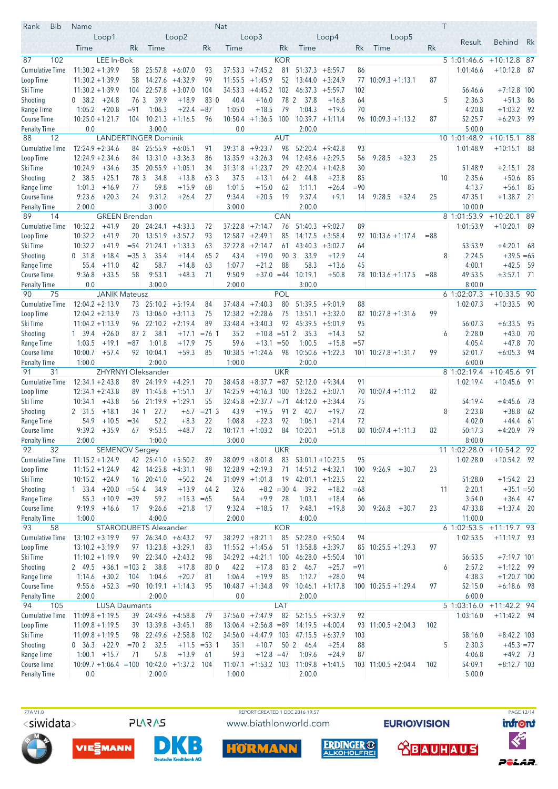| <b>Bib</b><br>Rank                 | Name                                        |                       |               |                                            |                                          |                | Nat                |                                          |               |                                         |                                          |          |                          |        | T  |                        |                             |              |
|------------------------------------|---------------------------------------------|-----------------------|---------------|--------------------------------------------|------------------------------------------|----------------|--------------------|------------------------------------------|---------------|-----------------------------------------|------------------------------------------|----------|--------------------------|--------|----|------------------------|-----------------------------|--------------|
|                                    | Loop1                                       |                       |               |                                            | Loop2                                    |                |                    | Loop3                                    |               |                                         | Loop4                                    |          | Loop5                    |        |    | Result                 | <b>Behind</b>               | Rk           |
|                                    | Time                                        |                       | Rk            | Time                                       |                                          | Rk             | Time               |                                          | Rk            | Time                                    |                                          | Rk       | Time                     | Rk     |    |                        |                             |              |
| 102<br>87                          |                                             | LEE In-Bok            |               |                                            |                                          |                |                    |                                          | <b>KOR</b>    |                                         |                                          |          |                          |        |    | 5 1:01:46.6            | $+10:12.8$ 87               |              |
| <b>Cumulative Time</b>             | $11:30.2 + 1:39.9$                          |                       | 58            | 25:57.8                                    | $+6:07.0$                                | 93             | 37:53.3            | $+7:45.2$                                | 81            | 51:37.3                                 | $+8:59.7$                                | 86       |                          |        |    | 1:01:46.6              | $+10:12.8$                  | - 87         |
| Loop Time                          | $11:30.2 + 1:39.9$                          |                       | 58            |                                            | $14:27.6 +4:32.9$                        | 99             | 11:55.5            | $+1:45.9$                                | 52            |                                         | $13:44.0 + 3:24.9$                       | 77       | $10:09.3 +1:13.1$        | 87     |    |                        |                             |              |
| Ski Time                           | $11:30.2 + 1:39.9$                          |                       | 104           | 22:57.8                                    | $+3:07.0$                                | 104            | 34:53.3            | $+4:45.2$                                | 102           | 46:37.3                                 | $+5:59.7$                                | 102      |                          |        |    | 56:46.6                | $+7:12.8$ 100               |              |
| Shooting                           | $0$ 38.2 +24.8                              |                       | 76 3          | 39.9                                       | $+18.9$                                  | 83 0           | 40.4               | $+16.0$                                  | 78 2          | - 37.8                                  | $+16.8$                                  | 64       |                          |        | 5  | 2:36.3                 | $+51.3$                     | - 86         |
| Range Time                         | 1:05.2                                      | $+20.8$               | $= 91$<br>104 | 1:06.3<br>10:21.3                          | $+22.4$                                  | $= 87$         | 1:05.0             | $+18.5$                                  | 79<br>100     | 1:04.3                                  | $+19.6$<br>$10:39.7 +1:11.4$             | 70       |                          | 87     |    | 4:20.8<br>52:25.7      | $+1:03.2$<br>$+6:29.3$      | - 92<br>- 99 |
| Course Time<br><b>Penalty Time</b> | $10:25.0 + 1:21.7$<br>0.0                   |                       |               | 3:00.0                                     | $+1:16.5$                                | 96             | 0.0                | $10:50.4$ +1:36.5                        |               | 2:00.0                                  |                                          |          | $96$ 10:09.3 +1:13.2     |        |    | 5:00.0                 |                             |              |
| 88<br>12                           |                                             |                       |               | <b>LANDERTINGER Dominik</b>                |                                          |                |                    |                                          | <b>AUT</b>    |                                         |                                          |          |                          |        |    | 10 1:01:48.9           | $+10:15.1$ 88               |              |
| <b>Cumulative Time</b>             | $12:24.9 + 2:34.6$                          |                       | 84            |                                            | $25:55.9 + 6:05.1$                       | 91             | 39:31.8            | $+9:23.7$                                | 98            | 52:20.4                                 | $+9:42.8$                                | 93       |                          |        |    | 1:01:48.9              | $+10:15.1$                  | - 88         |
| Loop Time                          | $12:24.9 + 2:34.6$                          |                       | 84            | 13:31.0                                    | $+3:36.3$                                | 86             | 13:35.9            | $+3:26.3$                                | 94            | 12:48.6                                 | $+2:29.5$                                | 56       | 9:28.5<br>$+32.3$        | 25     |    |                        |                             |              |
| Ski Time                           | 10:24.9                                     | +34.6                 |               | $35$ 20:55.9 +1:05.1                       |                                          | 34             | 31:31.8            | $+1:23.7$                                | 29            | 42:20.4                                 | $+1:42.8$                                | 30       |                          |        |    | 51:48.9                | $+2:15.1$                   | -28          |
| Shooting                           | 2 38.5                                      | $+25.1$               | 78 3          | 34.8                                       | $+13.8$                                  | 63 3           | 37.5               | $+13.1$                                  | 64 2          | 44.8                                    | $+23.8$                                  | 85       |                          |        | 10 | 2:35.6                 | $+50.6$                     | 85           |
| Range Time                         | 1:01.3                                      | $+16.9$               | 77            | 59.8                                       | $+15.9$                                  | 68             | 1:01.5             | $+15.0$                                  | 62            | 1:11.1                                  | $+26.4$                                  | $= 90$   |                          |        |    | 4:13.7                 | $+56.1$                     | 85           |
| Course Time                        | 9:23.6                                      | $+20.3$               | 24            | 9:31.2                                     | $+26.4$                                  | 27             | 9:34.4             | $+20.5$                                  | 19            | 9:37.4                                  | $+9.1$                                   | 14       | 9:28.5<br>+32.4          | 25     |    | 47:35.1                | $+1:38.7$ 21                |              |
| <b>Penalty Time</b>                | 2:00.0                                      |                       |               | 3:00.0                                     |                                          |                | 3:00.0             |                                          |               | 2:00.0                                  |                                          |          |                          |        |    | 10:00.0                |                             |              |
| 89<br>14                           |                                             | <b>GREEN Brendan</b>  |               |                                            |                                          |                |                    |                                          | <b>CAN</b>    |                                         |                                          |          |                          |        |    | 8 1:01:53.9            | $+10:20.1$ 89               |              |
| <b>Cumulative Time</b>             | 10:32.2<br>10:32.2                          | $+41.9$<br>$+41.9$    | 20<br>20      |                                            | $24:24.1 + 4:33.3$<br>$13:51.9 + 3:57.2$ | 72<br>93       | 37:22.8<br>12:58.7 | $+7:14.7$<br>$+2:49.1$                   | 76<br>85      | 51:40.3                                 | $+9:02.7$<br>$14:17.5 + 3:58.4$          | 89<br>92 | $10:13.6 + 1:17.4$       | $= 88$ |    | 1:01:53.9              | $+10:20.1$ 89               |              |
| Loop Time<br>Ski Time              | 10:32.2                                     | $+41.9$               | $= 54$        |                                            | $21:24.1 + 1:33.3$                       | 63             | 32:22.8            | $+2:14.7$                                | 61            | 43:40.3                                 | $+3:02.7$                                | 64       |                          |        |    | 53:53.9                | $+4:20.1$ 68                |              |
| Shooting                           | 0, 31.8                                     | $+18.4$               | $=353$        | 35.4                                       | $+14.4$                                  | 65 2           | 43.4               | $+19.0$                                  | 90 3          | 33.9                                    | $+12.9$                                  | 44       |                          |        | 8  | 2:24.5                 | $+39.5 = 65$                |              |
| Range Time                         | 55.4                                        | $+11.0$               | 42            | 58.7                                       | $+14.8$                                  | 63             | 1:07.7             | $+21.2$                                  | 88            | 58.3                                    | $+13.6$                                  | 45       |                          |        |    | 4:00.1                 | $+42.5$                     | - 59         |
| <b>Course Time</b>                 | 9:36.8                                      | $+33.5$               | 58            | 9:53.1                                     | $+48.3$                                  | 71             | 9:50.9             | $+37.0 = 44$                             |               | 10:19.1                                 | $+50.8$                                  |          | 78 10:13.6 +1:17.5       | $= 88$ |    | 49:53.5                | $+3:57.1$ 71                |              |
| <b>Penalty Time</b>                | 0.0                                         |                       |               | 3:00.0                                     |                                          |                | 2:00.0             |                                          |               | 3:00.0                                  |                                          |          |                          |        |    | 8:00.0                 |                             |              |
| 90<br>75                           |                                             | <b>JANIK Mateusz</b>  |               |                                            |                                          |                |                    |                                          | POL           |                                         |                                          |          |                          |        |    | 6 1:02:07.3            | $+10:33.5$ 90               |              |
| <b>Cumulative Time</b>             | $12:04.2 + 2:13.9$                          |                       |               | 73 25:10.2 +5:19.4                         |                                          | 84             | 37:48.4            | $+7:40.3$                                | 80            | 51:39.5                                 | $+9:01.9$                                | 88       |                          |        |    | 1:02:07.3              | $+10:33.5$ 90               |              |
| Loop Time                          | $12:04.2 + 2:13.9$                          |                       | 73.           |                                            | $13:06.0 + 3:11.3$                       | 75             |                    | $12:38.2 + 2:28.6$                       | 75            |                                         | $13:51.1 + 3:32.0$                       | 82       | $10:27.8 + 1:31.6$       | 99     |    |                        |                             |              |
| Ski Time                           | $11:04.2 + 1:13.9$                          |                       | 96            |                                            | $22:10.2 + 2:19.4$                       | 89             | 33:48.4            | $+3:40.3$                                | 92            | 45:39.5                                 | $+5:01.9$                                | 95       |                          |        |    | 56:07.3                | $+6:33.5$                   | - 95         |
| Shooting                           | 1 39.4                                      | $+26.0$               | 87 2          | 38.1                                       | $+17.1$                                  | $= 76.1$       | 35.2<br>59.6       | $+10.8$                                  | $= 51 \, 2$   | 35.3                                    | $+14.3$                                  | 52       |                          |        | 6  | 2:28.0                 | $+43.0$                     | 70           |
| Range Time<br><b>Course Time</b>   | 1:03.5<br>10:00.7                           | $+19.1$<br>$+57.4$    | $= 87$        | 1:01.8<br>92 10:04.1                       | $+17.9$<br>$+59.3$                       | 75<br>85       |                    | $+13.1 = 50$<br>$10:38.5 +1:24.6$        | 98            | 1:00.5<br>10:50.6                       | $+15.8$<br>$+1:22.3$                     | $= 57$   | $101$ $10:27.8 + 1:31.7$ | 99     |    | 4:05.4<br>52:01.7      | $+47.8$<br>$+6:05.3$        | - 70<br>- 94 |
| <b>Penalty Time</b>                | 1:00.0                                      |                       |               | 2:00.0                                     |                                          |                | 1:00.0             |                                          |               | 2:00.0                                  |                                          |          |                          |        |    | 6:00.0                 |                             |              |
| 91<br>31                           |                                             | ZHYRNYI               |               | Oleksander                                 |                                          |                |                    |                                          | <b>UKR</b>    |                                         |                                          |          |                          |        |    | 8 1:02:19.4            | $+10:45.6$ 91               |              |
| <b>Cumulative Time</b>             | $12:34.1 + 2:43.8$                          |                       |               | $89$ 24:19.9 +4:29.1                       |                                          | 70             | 38:45.8            | $+8:37.7 = 87$                           |               |                                         | $52:12.0 +9:34.4$                        | 91       |                          |        |    | 1:02:19.4              | $+10:45.6$ 91               |              |
| Loop Time                          | $12:34.1 + 2:43.8$                          |                       | 89            |                                            | $11:45.8 + 1:51.1$                       | 37             | 14:25.9            | $+4:16.3$                                | 100           |                                         | $13:26.2 + 3:07.1$                       | 70       | $10:07.4 + 1:11.2$       | 82     |    |                        |                             |              |
| Ski Time                           | 10:34.1                                     | $+43.8$               | 56            | $21:19.9 +1:29.1$                          |                                          | 55             | 32:45.8            | $+2:37.7 = 71$                           |               |                                         | $44:12.0 +3:34.4$                        | 75       |                          |        |    | 54:19.4                | $+4:45.6$                   | - 78         |
| Shooting                           | 2 31.5                                      | $+18.1$               | 34 1          | 27.7                                       | $+6.7$                                   | $= 21 \, 3$    | 43.9               | $+19.5$                                  | 91 2          | 40.7                                    | $+19.7$                                  | 72       |                          |        | 8  | 2:23.8                 | $+38.8$                     | - 62         |
| Range Time                         | 54.9                                        | $+10.5$               | $= 34$        | 52.2                                       | $+8.3$                                   | 22             | 1:08.8             | $+22.3$                                  | 92            | 1:06.1                                  | $+21.4$                                  | 72       |                          |        |    | 4:02.0                 | $+44.4$                     | - 61         |
| <b>Course Time</b>                 | 9:39.2                                      | $+35.9$               | 67            | 9:53.5                                     | $+48.7$                                  | 72             | 10:17.1            | $+1:03.2$                                | 84            | 10:20.1                                 | $+51.8$                                  |          | $80$ 10:07.4 +1:11.3     | 82     |    | 50:17.3                | $+4:20.9$                   | - 79         |
| <b>Penalty Time</b><br>92<br>32    | 2:00.0                                      | <b>SEMENOV Sergey</b> |               | 1:00.0                                     |                                          |                | 3:00.0             |                                          | <b>UKR</b>    | 2:00.0                                  |                                          |          |                          |        |    | 8:00.0<br>11 1:02:28.0 | +10:54.2 92                 |              |
| <b>Cumulative Time</b>             | $11:15.2 + 1:24.9$                          |                       |               | $42 \quad 25:41.0 \quad +5:50.2$           |                                          | 89             |                    | $38:09.9 + 8:01.8$                       | 83            |                                         | $53:01.1 + 10:23.5$                      | 95       |                          |        |    | 1:02:28.0              | $+10:54.2$ 92               |              |
| Loop Time                          | $11:15.2 + 1:24.9$                          |                       |               | $42 \mid 14:25.8 +4:31.1$                  |                                          | 98             |                    | $12:28.9 + 2:19.3$                       | 71            |                                         | $14:51.2 +4:32.1$                        | 100      | $9:26.9$ +30.7           | 23     |    |                        |                             |              |
| Ski Time                           | $10:15.2 + 24.9$                            |                       |               | 16 20:41.0                                 | $+50.2$                                  | 24             |                    | $31:09.9 +1:01.8$                        |               | $19$ 42:01.1 +1:23.5                    |                                          | 22       |                          |        |    | 51:28.0                | $+1:54.2$ 23                |              |
| Shooting                           | 1 33.4                                      | $+20.0$               | $= 544$       | 34.9                                       | $+13.9$                                  | 64 2           | 32.6               |                                          | $+8.2 = 30 4$ | 39.2                                    | $+18.2$                                  | $=68$    |                          |        | 11 | 2:20.1                 | $+35.1 = 50$                |              |
| Range Time                         | 55.3                                        | $+10.9$               | $=39$         | 59.2                                       | $+15.3 = 65$                             |                | 56.4               | $+9.9$                                   | 28            | 1:03.1                                  | $+18.4$                                  | 66       |                          |        |    | 3:54.0                 | $+36.4$ 47                  |              |
| Course Time                        | 9:19.9                                      | $+16.6$               | 17            | 9:26.6                                     | $+21.8$                                  | 17             | 9:32.4             | $+18.5$                                  | 17            | 9:48.1                                  | $+19.8$                                  | 30       | 9:26.8<br>$+30.7$        | 23     |    | 47:33.8                | $+1:37.4$ 20                |              |
| <b>Penalty Time</b>                | 1:00.0                                      |                       |               | 4:00.0                                     |                                          |                | 2:00.0             |                                          |               | 4:00.0                                  |                                          |          |                          |        |    | 11:00.0                |                             |              |
| 93<br>58                           |                                             |                       |               | STARODUBETS Alexander                      |                                          |                |                    |                                          | <b>KOR</b>    |                                         |                                          |          |                          |        |    | 6 1:02:53.5            | $+11:19.7$ 93               |              |
| <b>Cumulative Time</b>             | $13:10.2 + 3:19.9$                          |                       |               | 97 26:34.0 +6:43.2<br>$97$ 13:23.8 +3:29.1 |                                          | 97             |                    | $38:29.2 + 8:21.1$                       | 85            |                                         | $52:28.0 +9:50.4$                        | 94       |                          |        |    | 1:02:53.5              | $+11:19.7$ 93               |              |
| Loop Time<br>Ski Time              | $13:10.2 + 3:19.9$<br>$11:10.2 + 1:19.9$    |                       |               | $99$ 22:34.0 +2:43.2                       |                                          | 83<br>98       |                    | $11:55.2 +1:45.6$<br>34:29.2 +4:21.1 100 | 51            |                                         | $13:58.8 + 3:39.7$<br>$46:28.0 + 5:50.4$ | 101      | $85$ 10:25.5 +1:29.3     | 97     |    | 56:53.5                | $+7:19.7$ 101               |              |
| Shooting                           | $2 \quad 49.5 \quad +36.1 \quad =103$ 2     |                       |               | 38.8                                       | $+17.8$                                  | 80 0           | 42.2               | $+17.8$                                  |               | 83 2 46.7                               | $+25.7$                                  | $= 91$   |                          |        | 6  | 2:57.2                 | $+1:12.2$ 99                |              |
| Range Time                         | 1:14.6                                      | $+30.2$               | 104           | 1:04.6                                     | $+20.7$                                  | 81             | 1:06.4             | $+19.9$                                  | 85            | 1:12.7                                  | $+28.0$                                  | 94       |                          |        |    | 4:38.3                 | $+1:20.7$ 100               |              |
| <b>Course Time</b>                 | 9:55.6                                      | $+52.3$               |               | $= 90$ 10:19.1 +1:14.3                     |                                          | 95             |                    | $10:48.7 +1:34.8$                        | 99            |                                         | $10:46.1 + 1:17.8$                       |          | $100$ $10:25.5 +1:29.4$  | 97     |    | 52:15.0                | $+6:18.6$ 98                |              |
| <b>Penalty Time</b>                | 2:00.0                                      |                       |               | 2:00.0                                     |                                          |                | 0.0                |                                          |               | 2:00.0                                  |                                          |          |                          |        |    | 6:00.0                 |                             |              |
| 105<br>94                          |                                             | <b>LUSA Daumants</b>  |               |                                            |                                          |                |                    |                                          | LAT           |                                         |                                          |          |                          |        |    | 51:03:16.0             | +11:42.2 94                 |              |
| <b>Cumulative Time</b>             | $11:09.8 + 1:19.5$                          |                       |               | 39 24:49.6 +4:58.8                         |                                          | 79             |                    | $37:56.0 +7:47.9$                        | 82            |                                         | $52:15.5 +9:37.9$                        | 92       |                          |        |    | 1:03:16.0              | $+11:42.2$ 94               |              |
| Loop Time                          | $11:09.8 + 1:19.5$                          |                       |               | $39$ 13:39.8 +3:45.1                       |                                          | 88             |                    | $13:06.4$ +2:56.8 =89                    |               | $14:19.5 + 4:00.4$                      |                                          |          | $93$ 11:00.5 +2:04.3     | 102    |    |                        |                             |              |
| Ski Time                           | $11:09.8 + 1:19.5$                          |                       |               |                                            | 98 22:49.6 +2:58.8 102                   |                |                    |                                          |               | $34:56.0 +4:47.9$ 103 $47:15.5 +6:37.9$ |                                          | 103      |                          |        |    | 58:16.0                | $+8:42.2$ 103               |              |
| Shooting                           | $0 \quad 36.3 \quad +22.9$                  |                       | $= 702$       | 32.5                                       |                                          | $+11.5$ = 53 1 | 35.1               | $+10.7$                                  |               | 50 2 46.4                               | $+25.4$                                  | 88       |                          |        | 5  | 2:30.3                 | $+45.3 = 77$                |              |
| Range Time<br>Course Time          | $1:00.1 + 15.7$<br>$10:09.7 + 1:06.4 = 100$ |                       | 71            | 57.8                                       | $+13.9$<br>$10:42.0 + 1:37.2$ 104        | -61            | 59.3               | $+12.8 = 47$<br>$11:07.1 + 1:53.2$ 103   |               | 1:09.6                                  | $+24.9$<br>$11:09.8 + 1:41.5$            | 87       | $103$ 11:00.5 +2:04.4    | 102    |    | 4:06.8<br>54:09.1      | $+49.2$ 73<br>$+8:12.7$ 103 |              |
| <b>Penalty Time</b>                | 0.0                                         |                       |               | 2:00.0                                     |                                          |                | 1:00.0             |                                          |               | 2:00.0                                  |                                          |          |                          |        |    | 5:00.0                 |                             |              |
|                                    |                                             |                       |               |                                            |                                          |                |                    |                                          |               |                                         |                                          |          |                          |        |    |                        |                             |              |

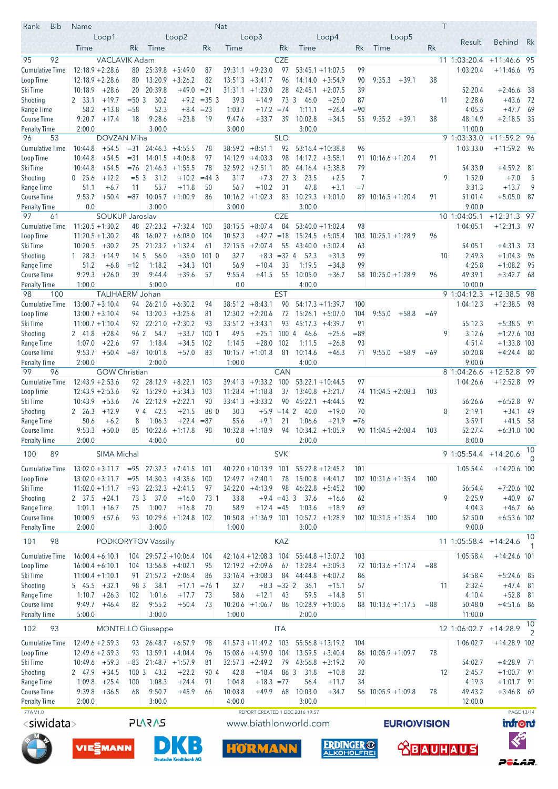| Rank<br><b>Bib</b>                  | Name               |                                          |                  |                                          |                                          |                 | Nat               |                                          |                          |                   |                                           |             |                         | Τ      |                       |                            |                   |
|-------------------------------------|--------------------|------------------------------------------|------------------|------------------------------------------|------------------------------------------|-----------------|-------------------|------------------------------------------|--------------------------|-------------------|-------------------------------------------|-------------|-------------------------|--------|-----------------------|----------------------------|-------------------|
|                                     |                    | Loop1                                    |                  |                                          | Loop2                                    |                 |                   | Loop3                                    |                          |                   | Loop4                                     |             | Loop5                   |        | Result                | <b>Behind</b>              | Rk                |
|                                     | Time               |                                          | Rk               | Time                                     |                                          | Rk              | Time              |                                          | Rk                       | Time              |                                           | Rk          | Time                    | Rk     |                       |                            |                   |
| 92<br>95                            |                    | <b>VACLAVIK Adam</b>                     |                  |                                          |                                          |                 |                   |                                          | <b>CZE</b>               |                   |                                           |             |                         |        | 11 1:03:20.4          | $+11:46.6$                 | - 95              |
| <b>Cumulative Time</b><br>Loop Time |                    | $12:18.9 + 2:28.6$<br>$12:18.9 + 2:28.6$ | 80<br>80         |                                          | $25:39.8 + 5:49.0$<br>$13:20.9 + 3:26.2$ | 87<br>82        |                   | $39:31.1 + 9:23.0$<br>$13:51.3 + 3:41.7$ | 97<br>96                 |                   | $53:45.1 + 11:07.5$<br>$14:14.0 + 3:54.9$ | 99<br>90    | 9:35.3<br>$+39.1$       | 38     | 1:03:20.4             | $+11:46.6$                 | - 95              |
| Ski Time                            | 10:18.9            | $+28.6$                                  |                  | 20 20:39.8                               | $+49.0 = 21$                             |                 |                   | $31:31.1 + 1:23.0$                       | 28                       |                   | $42:45.1 + 2:07.5$                        | 39          |                         |        | 52:20.4               | $+2:46.6$                  | -38               |
| Shooting                            | 2 33.1             | $+19.7$                                  | $= 50.3$         | 30.2                                     | $+9.2$                                   | $=353$          | 39.3              | $+14.9$                                  | 73 3                     | 46.0              | $+25.0$                                   | 87          |                         | 11     | 2:28.6                | $+43.6$                    | -72               |
| Range Time                          | 58.2               | $+13.8$                                  | $= 58$           | 52.3                                     | $+8.4$                                   | $= 23$          | 1:03.7            | $+17.2 = 74$                             |                          | 1:11.1            | $+26.4$                                   | $= 90$      |                         |        | 4:05.3                | $+47.7$                    | -69               |
| Course Time                         | 9:20.7             | $+17.4$                                  | 18               | 9:28.6                                   | $+23.8$                                  | 19              | 9:47.6            | $+33.7$                                  | 39                       | 10:02.8           | $+34.5$                                   | 55          | 9:35.2<br>$+39.1$       | 38     | 48:14.9               | $+2:18.5$                  | - 35              |
| <b>Penalty Time</b>                 | 2:00.0             |                                          |                  | 3:00.0                                   |                                          |                 | 3:00.0            |                                          |                          | 3:00.0            |                                           |             |                         |        | 11:00.0               |                            |                   |
| 53<br>96                            |                    | DOVZAN Miha                              |                  |                                          |                                          |                 |                   |                                          | <b>SLO</b>               |                   |                                           |             |                         |        | 9 1:03:33.0           | $+11:59.2$                 | - 96              |
| <b>Cumulative Time</b><br>Loop Time | 10:44.8<br>10:44.8 | $+54.5$<br>$+54.5$                       | $=$ 31<br>$= 31$ | 14:01.5                                  | $24:46.3 +4:55.5$<br>$+4:06.8$           | 78<br>97        |                   | $38:59.2 + 8:51.1$<br>$14:12.9 +4:03.3$  | 92<br>98                 |                   | $53:16.4 + 10:38.8$<br>$14:17.2 + 3:58.1$ | 96<br>91    | $10:16.6 + 1:20.4$      | 91     | 1:03:33.0             | $+11:59.2$ 96              |                   |
| Ski Time                            | 10:44.8            | $+54.5$                                  | $=76$            |                                          | $21:46.3 +1:55.5$                        | 78              |                   | $32:59.2 +2:51.1$                        | 80                       |                   | $44:16.4 +3:38.8$                         | 79          |                         |        | 54:33.0               | $+4:59.2$                  | - 81              |
| Shooting                            | $0\quad 25.6$      | $+12.2$                                  | $= 5 \, 3$       | 31.2                                     | $+10.2$                                  | $=44.3$         | 31.7              | $+7.3$                                   | 27 <sub>3</sub>          | 23.5              | $+2.5$                                    | 7           |                         | 9      | 1:52.0                | $+7.0$                     | -5                |
| Range Time                          | 51.1               | $+6.7$                                   | 11               | 55.7                                     | $+11.8$                                  | 50              | 56.7              | $+10.2$                                  | 31                       | 47.8              | $+3.1$                                    | $=7$        |                         |        | 3:31.3                | $+13.7$                    | 9                 |
| Course Time                         | 9:53.7             | $+50.4$                                  | $= 87$           | 10:05.7                                  | $+1:00.9$                                | 86              |                   | $10:16.2 + 1:02.3$                       | 83                       |                   | $10:29.3 +1:01.0$                         |             | $89$ 10:16.5 +1:20.4    | 91     | 51:01.4               | $+5:05.0$                  | 87                |
| <b>Penalty Time</b>                 | 0.0                |                                          |                  | 3:00.0                                   |                                          |                 | 3:00.0            |                                          |                          | 3:00.0            |                                           |             |                         |        | 9:00.0                |                            |                   |
| 97<br>61                            |                    | SOUKUP Jaroslav                          |                  |                                          |                                          |                 |                   |                                          | <b>CZE</b>               |                   |                                           |             |                         |        | 10 1:04:05.1          | $+12:31.3$ 97              |                   |
| <b>Cumulative Time</b>              |                    | $11:20.5 + 1:30.2$                       | 48               |                                          | $27:23.2 +7:32.4$                        | 100             | 38:15.5           | $+8:07.4$                                | 84                       |                   | $53:40.0 + 11:02.4$                       | 98          |                         |        | 1:04:05.1             | $+12:31.3$ 97              |                   |
| Loop Time<br>Ski Time               | 10:20.5            | $11:20.5 + 1:30.2$<br>$+30.2$            | 48               | $25$ 21:23.2 +1:32.4                     | $16:02.7 + 6:08.0$                       | 104<br>61       | 10:52.3           | $+42.7 = 18$<br>$32:15.5 + 2:07.4$       | 55                       |                   | $15:24.5 + 5:05.4$<br>$43:40.0 + 3:02.4$  | 103<br>63   | $10:25.1 + 1:28.9$      | 96     | 54:05.1               | $+4:31.3$                  | - 73              |
| Shooting                            | 128.3              | $+14.9$                                  | $14\overline{5}$ | 56.0                                     | $+35.0$                                  | 1010            | 32.7              |                                          | $+8.3 = 32$ 4            | 52.3              | $+31.3$                                   | 99          |                         | 10     | 2:49.3                | $+1:04.3$                  | 96                |
| Range Time                          | 51.2               | $+6.8$                                   | $=12$            | 1:18.2                                   | $+34.3$                                  | 101             | 56.9              | $+10.4$                                  | 33                       | 1:19.5            | $+34.8$                                   | 99          |                         |        | 4:25.8                | $+1:08.2$                  | - 95              |
| Course Time                         | 9:29.3             | $+26.0$                                  | 39               | 9:44.4                                   | $+39.6$                                  | 57              | 9:55.4            | $+41.5$                                  | 55                       | 10:05.0           | $+36.7$                                   |             | $58$ 10:25.0 +1:28.9    | 96     | 49:39.1               | $+3:42.7$ 68               |                   |
| <b>Penalty Time</b>                 | 1:00.0             |                                          |                  | 5:00.0                                   |                                          |                 | 0.0               |                                          |                          | 4:00.0            |                                           |             |                         |        | 10:00.0               |                            |                   |
| 98<br>100                           |                    | <b>TALIHAERM Johan</b>                   |                  |                                          |                                          |                 |                   |                                          | <b>EST</b>               |                   |                                           |             |                         |        | 9 1:04:12.3           | $+12:38.5$ 98              |                   |
| <b>Cumulative Time</b>              |                    | $13:00.7 + 3:10.4$                       |                  | $94$ 26:21.0 +6:30.2                     |                                          | 94              |                   | $38:51.2 + 8:43.1$                       | 90                       |                   | $54:17.3 + 11:39.7$                       | 100         |                         |        | 1:04:12.3             | $+12:38.5$                 | - 98              |
| Loop Time                           |                    | $13:00.7 + 3:10.4$                       | 94               |                                          | $13:20.3 + 3:25.6$                       | 81              |                   | $12:30.2 +2:20.6$                        | 72                       |                   | $15:26.1 + 5:07.0$                        | 104         | 9:55.0<br>$+58.8$       | $=69$  |                       |                            |                   |
| Ski Time<br>Shooting                | 2 41.8             | $11:00.7 + 1:10.4$<br>$+28.4$            | 96 2             | $92 \quad 22:21.0 \quad +2:30.2$<br>54.7 | $+33.7$                                  | 93<br>10011     | 49.5              | $33:51.2 +3:43.1$<br>$+25.1$             | 93<br>1004               | 46.6              | $45:17.3 +4:39.7$<br>$+25.6$              | 91<br>$=89$ |                         | 9      | 55:12.3<br>3:12.6     | $+5:38.5$<br>$+1:27.6$ 103 | - 91              |
| Range Time                          | 1:07.0             | $+22.6$                                  | 97               | 1:18.4                                   | $+34.5$                                  | 102             | 1:14.5            | $+28.0$                                  | 102                      | 1:11.5            | $+26.8$                                   | 93          |                         |        | 4:51.4                | $+1:33.8$ 103              |                   |
| Course Time                         | 9:53.7             | $+50.4$                                  | $= 87$           | 10:01.8                                  | $+57.0$                                  | 83              |                   | $10:15.7 + 1:01.8$                       | 81                       | 10:14.6           | $+46.3$                                   | 71          | 9:55.0<br>$+58.9$       | $=69$  | 50:20.8               | $+4:24.4$ 80               |                   |
| <b>Penalty Time</b>                 | 2:00.0             |                                          |                  | 2:00.0                                   |                                          |                 | 1:00.0            |                                          |                          | 4:00.0            |                                           |             |                         |        | 9:00.0                |                            |                   |
| 99<br>96                            |                    | <b>GOW Christian</b>                     |                  |                                          |                                          |                 |                   |                                          | CAN                      |                   |                                           |             |                         |        | 8 1:04:26.6           | $+12:52.8$                 | -99               |
| <b>Cumulative Time</b>              |                    | $12:43.9 + 2:53.6$                       |                  | $92 \quad 28:12.9 \quad +8:22.1$         |                                          | 103             |                   | $39:41.3 + 9:33.2$ 100                   |                          |                   | $53:22.1 + 10:44.5$                       | 97          |                         |        | 1:04:26.6             | $+12:52.8$ 99              |                   |
| Loop Time                           |                    | $12:43.9 + 2:53.6$                       | 92               |                                          | $15:29.0 + 5:34.3$<br>$22:12.9 + 2:22.1$ | 103             | 11:28.4           | $+1:18.8$                                | 37                       |                   | $13:40.8 + 3:21.7$                        | 74          | $11:04.5 + 2:08.3$      | 103    |                       | $+6:52.8$                  |                   |
| Ski Time<br>Shooting                | 10:43.9<br>2 26.3  | $+53.6$<br>$+12.9$                       | 74<br>94         | 42.5                                     | $+21.5$                                  | 90<br>88 0      | 30.3              | $33:41.3 +3:33.2$                        | 90<br>$+5.9 = 14$ 2      | 40.0              | $45:22.1 +4:44.5$<br>$+19.0$              | 92<br>70    |                         | 8      | 56:26.6<br>2:19.1     | $+34.1$                    | -97<br>-49        |
| Range Time                          | 50.6               | $+6.2$                                   | 8                | 1:06.3                                   | $+22.4$                                  | $= 87$          | 55.6              | $+9.1$                                   | 21                       | 1:06.6            | $+21.9$                                   | $= 76$      |                         |        | 3:59.1                | $+41.5$                    | 58                |
| Course Time                         | 9:53.3             | $+50.0$                                  | 85               |                                          | $10:22.6 +1:17.8$                        | 98              |                   | $10:32.8 +1:18.9$                        | 94                       |                   | $10:34.2 +1:05.9$                         |             | $90$ 11:04.5 +2:08.4    | 103    | 52:27.4               | $+6:31.0$ 100              |                   |
| <b>Penalty Time</b>                 | 2:00.0             |                                          |                  | 4:00.0                                   |                                          |                 | 0.0               |                                          |                          | 2:00.0            |                                           |             |                         |        | 8:00.0                |                            |                   |
| 100<br>89                           |                    | SIMA Michal                              |                  |                                          |                                          |                 |                   |                                          | <b>SVK</b>               |                   |                                           |             |                         |        | 9 1:05:54.4 +14:20.6  |                            | 10                |
|                                     |                    | $13:02.0 + 3:11.7$                       | $= 95$           |                                          | $27:32.3 +7:41.5$                        | 101             |                   | $40:22.0 + 10:13.9$ 101                  |                          |                   | $55:22.8 + 12:45.2$                       | 101         |                         |        | 1:05:54.4             | $+14:20.6$ 100             | $\Omega$          |
| Cumulative Time<br>Loop Time        |                    | $13:02.0 + 3:11.7$                       | $= 95$           |                                          | $14:30.3 +4:35.6$                        | 100             |                   | $12:49.7 + 2:40.1$                       | 78                       |                   | $15:00.8 + 4:41.7$                        | 102         | $10:31.6 + 1:35.4$      | 100    |                       |                            |                   |
| Ski Time                            |                    | $11:02.0 + 1:11.7$                       |                  | $= 93$ 22:32.3 +2:41.5                   |                                          | 97              |                   | $34:22.0 +4:13.9$                        | 98                       |                   | $46:22.8$ +5:45.2                         | 100         |                         |        | 56:54.4               | $+7:20.6$ 102              |                   |
| Shooting                            | 2 37.5             | $+24.1$                                  | 73 3             | 37.0                                     | $+16.0$                                  | 73 <sup>1</sup> | 33.8              |                                          | $+9.4 = 43 \overline{3}$ | 37.6              | $+16.6$                                   | 62          |                         | 9      | 2:25.9                | $+40.9$                    | - 67              |
| Range Time                          | 1:01.1             | $+16.7$                                  | 75               | 1:00.7                                   | $+16.8$                                  | 70              | 58.9              | $+12.4 = 45$                             |                          | 1:03.6            | $+18.9$                                   | 69          |                         |        | 4:04.3                | $+46.7$                    | - 66              |
| Course Time                         | 10:00.9            | $+57.6$                                  | 93               |                                          | $10:29.6 +1:24.8$                        | 102             |                   | $10:50.8 + 1:36.9$ 101                   |                          |                   | $10:57.2 +1:28.9$                         |             | $102$ $10:31.5 +1:35.4$ | 100    | 52:50.0               | $+6:53.6$ 102              |                   |
| <b>Penalty Time</b>                 | 2:00.0             |                                          |                  | 3:00.0                                   |                                          |                 | 1:00.0            |                                          |                          | 3:00.0            |                                           |             |                         |        | 9:00.0                |                            |                   |
| 98<br>101                           |                    |                                          |                  | <b>PODKORYTOV Vassiliy</b>               |                                          |                 |                   |                                          | KAZ                      |                   |                                           |             |                         |        | 11 1:05:58.4 +14:24.6 |                            | 10<br>1           |
| <b>Cumulative Time</b>              |                    | $16:00.4 + 6:10.1$                       | 104              |                                          | $29:57.2 + 10:06.4$                      | 104             |                   | $42:16.4 + 12:08.3$                      | 104                      |                   | $55:44.8 + 13:07.2$                       | 103         |                         |        | 1:05:58.4             | $+14:24.6$ 101             |                   |
| Loop Time                           |                    | $16:00.4 + 6:10.1$                       | 104              | $13:56.8 +4:02.1$                        |                                          | 95              |                   | $12:19.2 + 2:09.6$                       | 67                       |                   | $13:28.4 + 3:09.3$                        | 72          | $10:13.6 + 1:17.4$      | $= 88$ |                       |                            |                   |
| Ski Time                            |                    | $11:00.4 + 1:10.1$                       | 91               |                                          | $21:57.2 +2:06.4$                        | 86              |                   | $33:16.4 + 3:08.3$                       | 84                       |                   | $44:44.8 + 4:07.2$                        | 86          |                         |        | 54:58.4               | $+5:24.6$                  | - 85              |
| Shooting                            | 5 45.5             | $+32.1$                                  | 98 3             | 38.1                                     | $+17.1$                                  | $= 76.1$        | 32.7              |                                          | $+8.3 = 32$ 2            | 36.1              | $+15.1$                                   | 57          |                         | 11     | 2:32.4                | $+47.4$                    | - 81              |
| Range Time                          | 1:10.7             | $+26.3$                                  | 102              | 1:01.6                                   | $+17.7$                                  | 73              | 58.6              | $+12.1$                                  | 43                       | 59.5              | $+14.8$                                   | 51          |                         |        | 4:10.4                | $+52.8$                    | - 81              |
| Course Time                         | 9:49.7             | $+46.4$                                  | 82               | 9:55.2                                   | $+50.4$                                  | 73              |                   | $10:20.6$ +1:06.7                        | 86                       |                   | $10:28.9 + 1:00.6$                        |             | 88 10:13.6 +1:17.5      | $= 88$ | 50:48.0               | $+4:51.6$                  | -86               |
| <b>Penalty Time</b>                 | 5:00.0             |                                          |                  | 3:00.0                                   |                                          |                 | 1:00.0            |                                          |                          | 2:00.0            |                                           |             |                         |        | 11:00.0               |                            | 10                |
| 102<br>93                           |                    |                                          |                  | <b>MONTELLO Giuseppe</b>                 |                                          |                 |                   |                                          | <b>ITA</b>               |                   |                                           |             |                         |        | 12 1:06:02.7          | $+14:28.9$                 | 2                 |
| <b>Cumulative Time</b>              |                    | $12:49.6 + 2:59.3$                       |                  | $93$ 26:48.7 +6:57.9                     |                                          | 98              |                   | $41:57.3 + 11:49.2$ 103                  |                          |                   | $55:56.8 + 13:19.2$                       | 104         |                         |        | 1:06:02.7             | $+14:28.9$ 102             |                   |
| Loop Time                           |                    | $12:49.6 + 2:59.3$                       | 93               |                                          | $13:59.1 + 4:04.4$                       | 96              |                   | $15:08.6 +4:59.0$                        | 104                      |                   | $13:59.5 + 3:40.4$                        | 86          | $10:05.9 + 1:09.7$      | 78     |                       |                            |                   |
| Ski Time                            | 10:49.6            | $+59.3$                                  | $= 83$           |                                          | $21:48.7 + 1:57.9$                       | 81              |                   | $32:57.3 +2:49.2$                        | 79                       |                   | $43:56.8 + 3:19.2$                        | 70          |                         |        | 54:02.7               | $+4:28.9$ 71               |                   |
| Shooting                            | 2 47.9             | $+34.5$                                  | 1003             | 43.2                                     | $+22.2$                                  | 90 4            | 42.8              | $+18.4$                                  | 86 3                     | 31.8              | $+10.8$                                   | 32          |                         | 12     | 2:45.7                | $+1:00.7$                  | - 91              |
| Range Time                          | 1:09.8             | $+25.4$                                  | 100              | 1:08.3                                   | $+24.4$                                  | 91              | 1:04.8            | $+18.3 = 77$                             |                          | 56.4              | $+11.7$                                   | 34          |                         |        | 4:19.3                | $+1:01.7$                  | - 91              |
| Course Time<br><b>Penalty Time</b>  | 9:39.8<br>2:00.0   | $+36.5$                                  | 68               | 9:50.7<br>3:00.0                         | $+45.9$                                  | 66              | 10:03.8<br>4:00.0 | $+49.9$                                  | 68                       | 10:03.0<br>3:00.0 | $+34.7$                                   | 56          | $10:05.9 + 1:09.8$      | 78     | 49:43.2<br>12:00.0    | $+3:46.8$ 69               |                   |
| 77A V1.0                            |                    |                                          |                  |                                          |                                          |                 |                   | REPORT CREATED 1 DEC 2016 19:57          |                          |                   |                                           |             |                         |        |                       |                            | <b>PAGE 13/14</b> |
| <siwidata></siwidata>               |                    |                                          |                  | <b>SVSVJS</b>                            |                                          |                 |                   | www.biathlonworld.com                    |                          |                   |                                           |             | <b>EURIOVISION</b>      |        |                       | <b>infront</b>             |                   |
|                                     |                    |                                          |                  |                                          |                                          |                 |                   |                                          |                          |                   |                                           |             |                         |        |                       |                            |                   |
|                                     |                    | VIE EMANN                                |                  |                                          |                                          |                 |                   |                                          |                          |                   | <b>ERDINGER ®</b>                         |             |                         |        |                       | $\bm{\langle}$             |                   |
|                                     |                    |                                          |                  |                                          | <b>Deutsche Kreditbank AG</b>            |                 |                   | <b>HORMANN</b>                           |                          |                   | <b>ALKOHOLFRE</b>                         |             |                         |        | <b>RBAUHAUS</b>       |                            |                   |
|                                     |                    |                                          |                  |                                          |                                          |                 |                   |                                          |                          |                   |                                           |             |                         |        |                       | PêlaR.                     |                   |